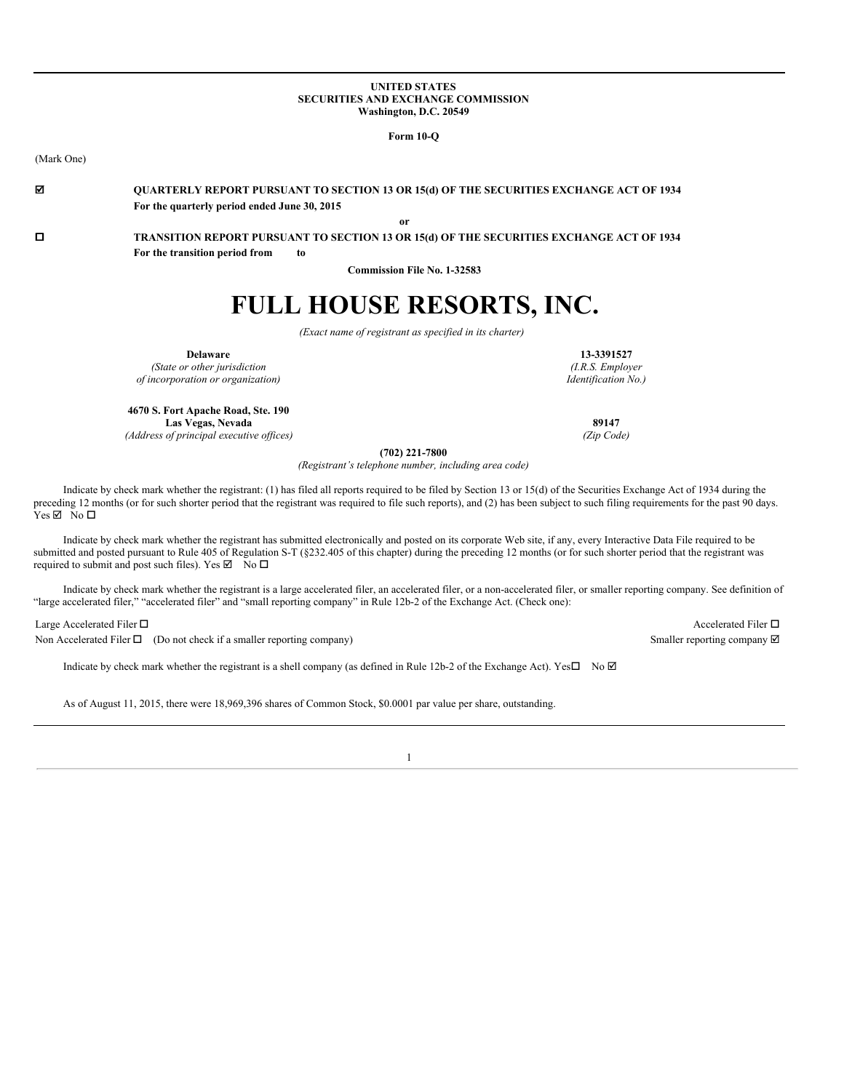#### **UNITED STATES SECURITIES AND EXCHANGE COMMISSION Washington, D.C. 20549**

**Form 10-Q**

(Mark One)

þ **QUARTERLY REPORT PURSUANT TO SECTION 13 OR 15(d) OF THE SECURITIES EXCHANGE ACT OF 1934 For the quarterly period ended June 30, 2015**

**or**

o **TRANSITION REPORT PURSUANT TO SECTION 13 OR 15(d) OF THE SECURITIES EXCHANGE ACT OF 1934 For the transition period from to**

**Commission File No. 1-32583**

# **FULL HOUSE RESORTS, INC.**

*(Exact name of registrant as specified in its charter)*

**Delaware**

*(State or other jurisdiction of incorporation or organization)*

**4670 S. Fort Apache Road, Ste. 190**

**Las Vegas, Nevada** *(Address of principal executive of ices)*

**(702) 221-7800**

*(Registrant's telephone number, including area code)*

Indicate by check mark whether the registrant: (1) has filed all reports required to be filed by Section 13 or 15(d) of the Securities Exchange Act of 1934 during the preceding 12 months (or for such shorter period that the registrant was required to file such reports), and (2) has been subject to such filing requirements for the past 90 days.  $Yes \n  $No \square$$ 

Indicate by check mark whether the registrant has submitted electronically and posted on its corporate Web site, if any, every Interactive Data File required to be submitted and posted pursuant to Rule 405 of Regulation S-T (§232.405 of this chapter) during the preceding 12 months (or for such shorter period that the registrant was required to submit and post such files). Yes  $\boxtimes$  No  $\square$ 

Indicate by check mark whether the registrant is a large accelerated filer, an accelerated filer, or a non-accelerated filer, or smaller reporting company. See definition of "large accelerated filer," "accelerated filer" and "small reporting company" in Rule 12b-2 of the Exchange Act. (Check one):

Non Accelerated Filer  $\Box$  (Do not check if a smaller reporting company) Smaller reporting company  $\Box$ 

Indicate by check mark whether the registrant is a shell company (as defined in Rule 12b-2 of the Exchange Act). Yes $\Box$  No  $\Box$ 

As of August 11, 2015, there were 18,969,396 shares of Common Stock, \$0.0001 par value per share, outstanding.

1

Large Accelerated Filer  $\Box$  Accelerated Filer  $\Box$  Accelerated Filer  $\Box$ 

**13-3391527**

*(I.R.S. Employer Identification No.)*

> **89147** *(Zip Code)*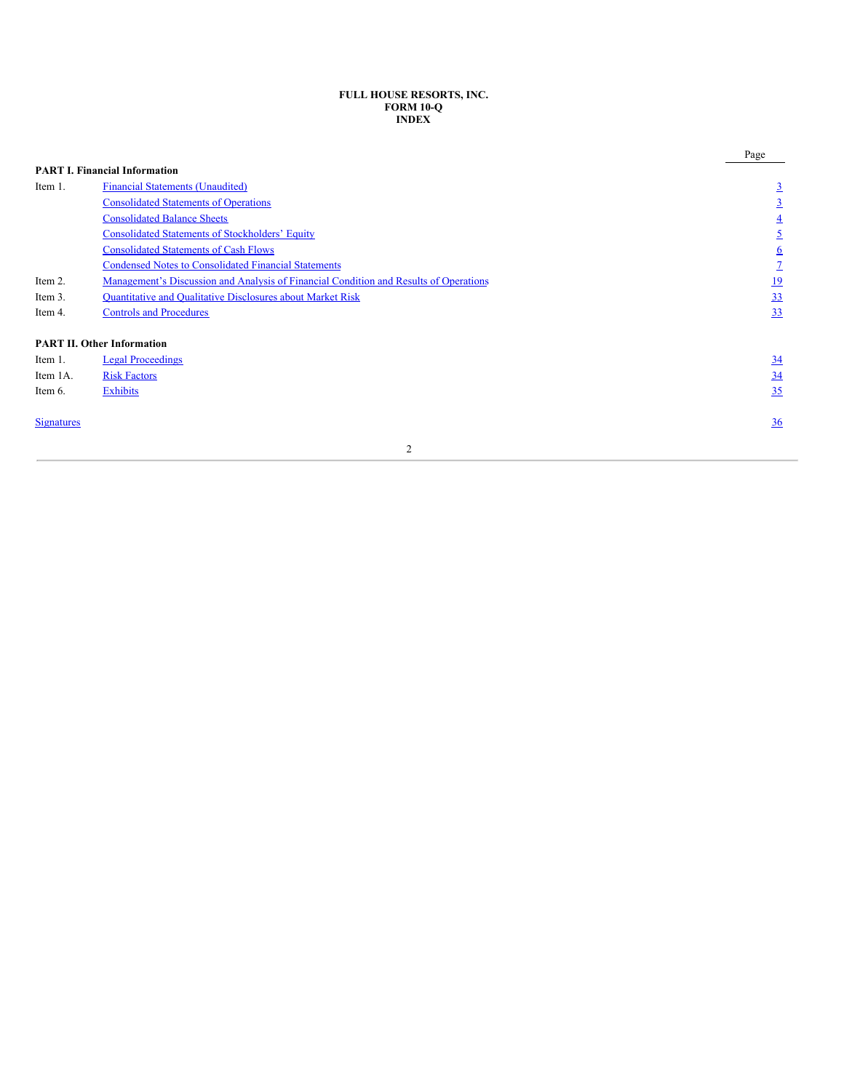#### **FULL HOUSE RESORTS, INC. FORM 10-Q INDEX**

|                   |                                                                                       | Page            |
|-------------------|---------------------------------------------------------------------------------------|-----------------|
|                   | <b>PART I. Financial Information</b>                                                  |                 |
| Item 1.           | <b>Financial Statements (Unaudited)</b>                                               | <u>3</u>        |
|                   | <b>Consolidated Statements of Operations</b>                                          | <u>3</u>        |
|                   | <b>Consolidated Balance Sheets</b>                                                    | <u>4</u>        |
|                   | <b>Consolidated Statements of Stockholders' Equity</b>                                |                 |
|                   | <b>Consolidated Statements of Cash Flows</b>                                          | $\underline{6}$ |
|                   | <b>Condensed Notes to Consolidated Financial Statements</b>                           | <u>7</u>        |
| Item 2.           | Management's Discussion and Analysis of Financial Condition and Results of Operations | 19              |
| Item 3.           | Quantitative and Qualitative Disclosures about Market Risk                            | 33              |
| Item 4.           | <b>Controls and Procedures</b>                                                        | 33              |
|                   | <b>PART II. Other Information</b>                                                     |                 |
| Item 1.           | <b>Legal Proceedings</b>                                                              | 34              |
| Item 1A.          | <b>Risk Factors</b>                                                                   | 34              |
| Item 6.           | <b>Exhibits</b>                                                                       | 35              |
| <b>Signatures</b> |                                                                                       | 36              |
|                   | $\overline{2}$                                                                        |                 |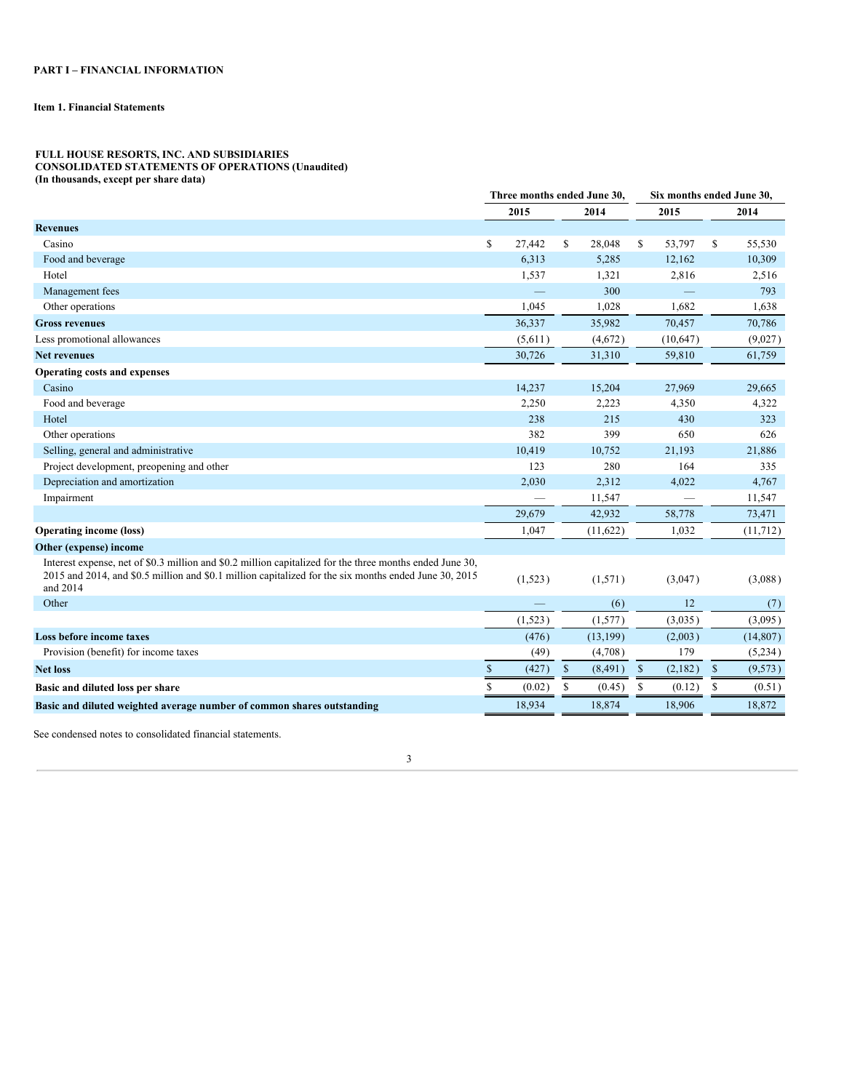# <span id="page-2-0"></span>**Item 1. Financial Statements**

#### <span id="page-2-1"></span>**FULL HOUSE RESORTS, INC. AND SUBSIDIARIES CONSOLIDATED STATEMENTS OF OPERATIONS (Unaudited) (In thousands, except per share data)**

|                                                                                                                                                                                                                               | Three months ended June 30, |         |    |           | Six months ended June 30, |          |               |           |
|-------------------------------------------------------------------------------------------------------------------------------------------------------------------------------------------------------------------------------|-----------------------------|---------|----|-----------|---------------------------|----------|---------------|-----------|
|                                                                                                                                                                                                                               |                             | 2015    |    | 2014      |                           | 2015     |               | 2014      |
| <b>Revenues</b>                                                                                                                                                                                                               |                             |         |    |           |                           |          |               |           |
| Casino                                                                                                                                                                                                                        | \$                          | 27,442  | \$ | 28,048    | \$                        | 53,797   | <sup>\$</sup> | 55,530    |
| Food and beverage                                                                                                                                                                                                             |                             | 6,313   |    | 5,285     |                           | 12,162   |               | 10,309    |
| Hotel                                                                                                                                                                                                                         |                             | 1,537   |    | 1,321     |                           | 2,816    |               | 2,516     |
| Management fees                                                                                                                                                                                                               |                             |         |    | 300       |                           |          |               | 793       |
| Other operations                                                                                                                                                                                                              |                             | 1,045   |    | 1,028     |                           | 1,682    |               | 1,638     |
| <b>Gross revenues</b>                                                                                                                                                                                                         |                             | 36,337  |    | 35,982    |                           | 70,457   |               | 70,786    |
| Less promotional allowances                                                                                                                                                                                                   |                             | (5,611) |    | (4,672)   |                           | (10,647) |               | (9,027)   |
| <b>Net revenues</b>                                                                                                                                                                                                           |                             | 30,726  |    | 31,310    |                           | 59,810   |               | 61,759    |
| <b>Operating costs and expenses</b>                                                                                                                                                                                           |                             |         |    |           |                           |          |               |           |
| Casino                                                                                                                                                                                                                        |                             | 14,237  |    | 15,204    |                           | 27,969   |               | 29,665    |
| Food and beverage                                                                                                                                                                                                             |                             | 2,250   |    | 2,223     |                           | 4,350    |               | 4,322     |
| Hotel                                                                                                                                                                                                                         |                             | 238     |    | 215       |                           | 430      |               | 323       |
| Other operations                                                                                                                                                                                                              |                             | 382     |    | 399       |                           | 650      |               | 626       |
| Selling, general and administrative                                                                                                                                                                                           |                             | 10,419  |    | 10,752    |                           | 21,193   |               | 21,886    |
| Project development, preopening and other                                                                                                                                                                                     |                             | 123     |    | 280       |                           | 164      |               | 335       |
| Depreciation and amortization                                                                                                                                                                                                 |                             | 2,030   |    | 2,312     |                           | 4,022    |               | 4,767     |
| Impairment                                                                                                                                                                                                                    |                             |         |    | 11,547    |                           |          |               | 11,547    |
|                                                                                                                                                                                                                               |                             | 29,679  |    | 42,932    |                           | 58,778   |               | 73,471    |
| <b>Operating income (loss)</b>                                                                                                                                                                                                |                             | 1,047   |    | (11,622)  |                           | 1,032    |               | (11,712)  |
| Other (expense) income                                                                                                                                                                                                        |                             |         |    |           |                           |          |               |           |
| Interest expense, net of \$0.3 million and \$0.2 million capitalized for the three months ended June 30,<br>2015 and 2014, and \$0.5 million and \$0.1 million capitalized for the six months ended June 30, 2015<br>and 2014 |                             | (1,523) |    | (1,571)   |                           | (3,047)  |               | (3,088)   |
| Other                                                                                                                                                                                                                         |                             |         |    | (6)       |                           | 12       |               | (7)       |
|                                                                                                                                                                                                                               |                             | (1,523) |    | (1,577)   |                           | (3,035)  |               | (3,095)   |
| <b>Loss before income taxes</b>                                                                                                                                                                                               |                             | (476)   |    | (13, 199) |                           | (2,003)  |               | (14, 807) |
| Provision (benefit) for income taxes                                                                                                                                                                                          |                             | (49)    |    | (4,708)   |                           | 179      |               | (5,234)   |
| <b>Net loss</b>                                                                                                                                                                                                               | \$                          | (427)   | -S | (8,491)   | \$                        | (2,182)  | \$            | (9,573)   |
| Basic and diluted loss per share                                                                                                                                                                                              | \$                          | (0.02)  | \$ | (0.45)    | \$                        | (0.12)   | \$            | (0.51)    |
| Basic and diluted weighted average number of common shares outstanding                                                                                                                                                        |                             | 18,934  |    | 18,874    |                           | 18,906   |               | 18,872    |

See condensed notes to consolidated financial statements.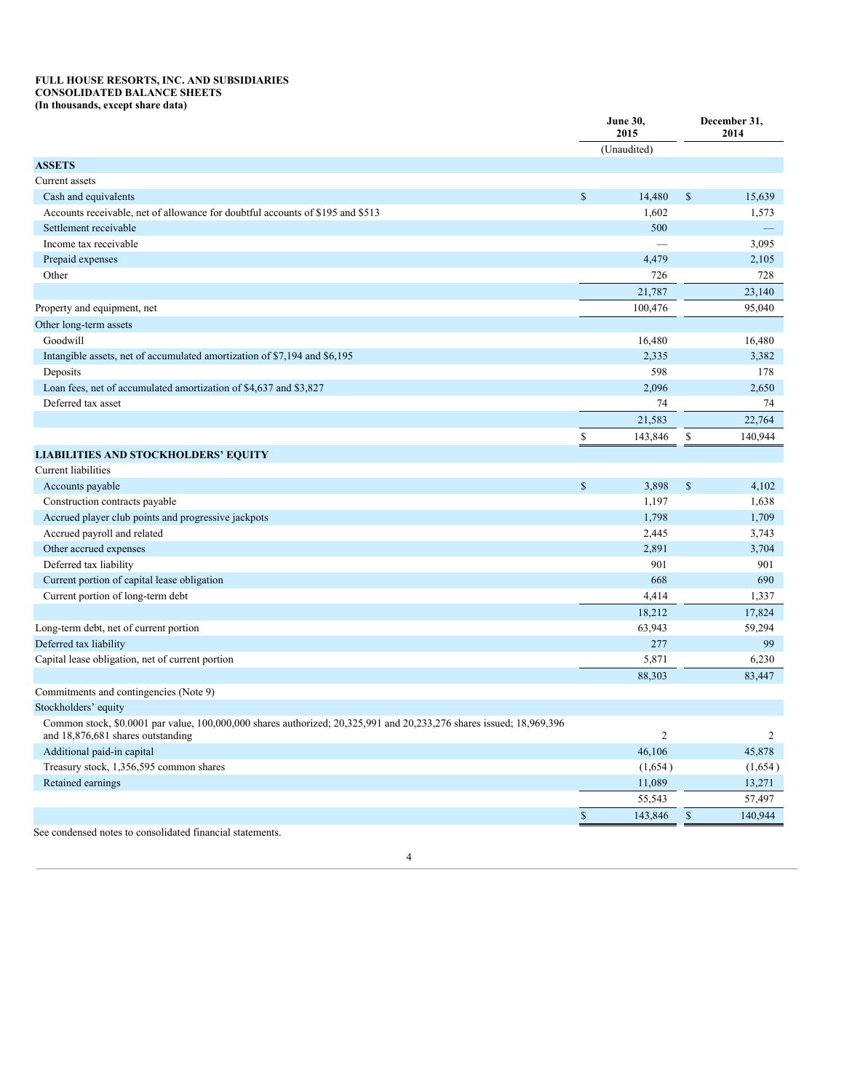#### <span id="page-3-0"></span>**FULL HOUSE RESORTS, INC. AND SUBSIDIARIES CONSOLIDATED BALANCE SHEETS (In thousands, except share data)**

|                                                                                                                                                           | <b>June 30,</b><br>2015 |                |              | December 31,<br>2014     |
|-----------------------------------------------------------------------------------------------------------------------------------------------------------|-------------------------|----------------|--------------|--------------------------|
|                                                                                                                                                           |                         | (Unaudited)    |              |                          |
| <b>ASSETS</b>                                                                                                                                             |                         |                |              |                          |
| Current assets                                                                                                                                            |                         |                |              |                          |
| Cash and equivalents                                                                                                                                      | $\mathbb S$             | 14.480         | $\mathbf S$  | 15,639                   |
| Accounts receivable, net of allowance for doubtful accounts of \$195 and \$513                                                                            |                         | 1,602          |              | 1,573                    |
| Settlement receivable                                                                                                                                     |                         | 500            |              | $\overline{\phantom{m}}$ |
| Income tax receivable                                                                                                                                     |                         |                |              | 3,095                    |
| Prepaid expenses                                                                                                                                          |                         | 4,479          |              | 2,105                    |
| Other                                                                                                                                                     |                         | 726            |              | 728                      |
|                                                                                                                                                           |                         | 21.787         |              | 23.140                   |
| Property and equipment, net                                                                                                                               |                         | 100,476        |              | 95,040                   |
| Other long-term assets                                                                                                                                    |                         |                |              |                          |
| Goodwill                                                                                                                                                  |                         | 16,480         |              | 16,480                   |
| Intangible assets, net of accumulated amortization of \$7,194 and \$6,195                                                                                 |                         | 2.335          |              | 3,382                    |
| Deposits                                                                                                                                                  |                         | 598            |              | 178                      |
| Loan fees, net of accumulated amortization of \$4,637 and \$3,827                                                                                         |                         | 2,096          |              | 2,650                    |
| Deferred tax asset                                                                                                                                        |                         | 74             |              | 74                       |
|                                                                                                                                                           |                         | 21,583         |              | 22,764                   |
|                                                                                                                                                           | \$                      | 143,846        | \$           | 140,944                  |
| <b>LIABILITIES AND STOCKHOLDERS' EQUITY</b>                                                                                                               |                         |                |              |                          |
| Current liabilities                                                                                                                                       |                         |                |              |                          |
| Accounts payable                                                                                                                                          | $\mathbb{S}$            | 3,898          | $\mathbb{S}$ | 4,102                    |
| Construction contracts payable                                                                                                                            |                         | 1,197          |              | 1,638                    |
| Accrued player club points and progressive jackpots                                                                                                       |                         | 1,798          |              | 1,709                    |
| Accrued payroll and related                                                                                                                               |                         | 2,445          |              | 3,743                    |
| Other accrued expenses                                                                                                                                    |                         | 2,891          |              | 3,704                    |
| Deferred tax liability                                                                                                                                    |                         | 901            |              | 901                      |
| Current portion of capital lease obligation                                                                                                               |                         | 668            |              | 690                      |
| Current portion of long-term debt                                                                                                                         |                         | 4,414          |              | 1,337                    |
|                                                                                                                                                           |                         | 18,212         |              | 17,824                   |
| Long-term debt, net of current portion                                                                                                                    |                         | 63,943         |              | 59,294                   |
| Deferred tax liability                                                                                                                                    |                         | 277            |              | 99                       |
| Capital lease obligation, net of current portion                                                                                                          |                         | 5,871          |              | 6,230                    |
|                                                                                                                                                           |                         | 88,303         |              | 83,447                   |
| Commitments and contingencies (Note 9)                                                                                                                    |                         |                |              |                          |
| Stockholders' equity                                                                                                                                      |                         |                |              |                          |
| Common stock, \$0.0001 par value, 100,000,000 shares authorized; 20,325,991 and 20,233,276 shares issued; 18,969,396<br>and 18,876,681 shares outstanding |                         | $\overline{2}$ |              | 2                        |
| Additional paid-in capital                                                                                                                                |                         | 46,106         |              | 45,878                   |
| Treasury stock, 1,356,595 common shares                                                                                                                   |                         | (1,654)        |              | (1,654)                  |
| Retained earnings                                                                                                                                         |                         | 11,089         |              | 13,271                   |
|                                                                                                                                                           |                         | 55,543         |              | 57,497                   |
|                                                                                                                                                           | $\mathbf S$             | 143,846        | $\mathbb{S}$ | 140.944                  |

See condensed notes to consolidated financial statements.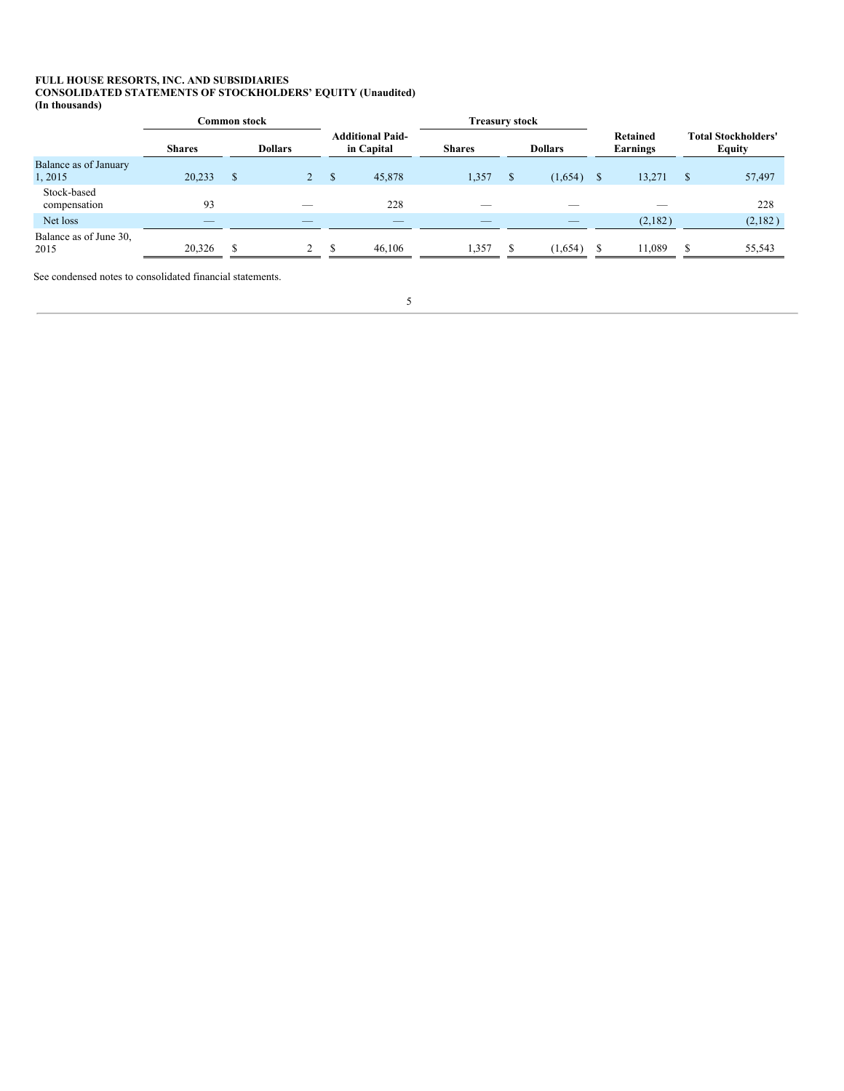#### <span id="page-4-0"></span>**FULL HOUSE RESORTS, INC. AND SUBSIDIARIES CONSOLIDATED STATEMENTS OF STOCKHOLDERS' EQUITY (Unaudited) (In thousands)**

|                                 | Common stock  |    |                |               | <b>Treasury stock</b>                 |               |                |         |    |                      |    |                                             |
|---------------------------------|---------------|----|----------------|---------------|---------------------------------------|---------------|----------------|---------|----|----------------------|----|---------------------------------------------|
|                                 | <b>Shares</b> |    | <b>Dollars</b> |               | <b>Additional Paid-</b><br>in Capital | <b>Shares</b> | <b>Dollars</b> |         |    | Retained<br>Earnings |    | <b>Total Stockholders'</b><br><b>Equity</b> |
| Balance as of January<br>1,2015 | 20,233        | \$ |                | <sup>\$</sup> | 45,878                                | 1,357         |                | (1,654) | -S | 13,271               | S. | 57,497                                      |
| Stock-based<br>compensation     | 93            |    | _              |               | 228                                   | __            |                |         |    |                      |    | 228                                         |
| Net loss                        |               |    |                |               |                                       |               |                |         |    | (2,182)              |    | (2,182)                                     |
| Balance as of June 30,<br>2015  | 20,326        | S  |                | S             | 46,106                                | 1,357         |                | (1,654) | S  | 11,089               |    | 55,543                                      |

See condensed notes to consolidated financial statements.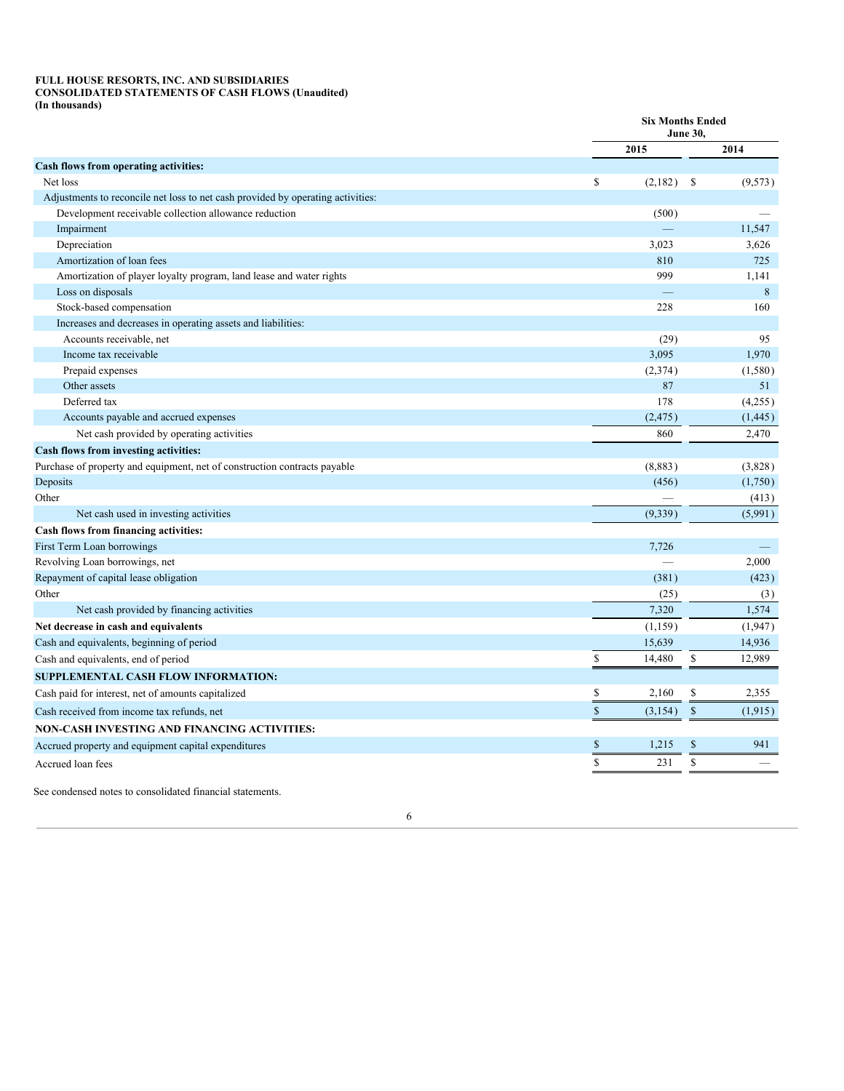#### <span id="page-5-0"></span>**FULL HOUSE RESORTS, INC. AND SUBSIDIARIES CONSOLIDATED STATEMENTS OF CASH FLOWS (Unaudited) (In thousands)**

|                                                                                 | <b>Six Months Ended</b><br><b>June 30,</b> |          |               |          |
|---------------------------------------------------------------------------------|--------------------------------------------|----------|---------------|----------|
|                                                                                 |                                            | 2015     |               | 2014     |
| Cash flows from operating activities:                                           |                                            |          |               |          |
| Net loss                                                                        | \$                                         | (2,182)  | <sup>\$</sup> | (9,573)  |
| Adjustments to reconcile net loss to net cash provided by operating activities: |                                            |          |               |          |
| Development receivable collection allowance reduction                           |                                            | (500)    |               |          |
| Impairment                                                                      |                                            |          |               | 11,547   |
| Depreciation                                                                    |                                            | 3,023    |               | 3,626    |
| Amortization of loan fees                                                       |                                            | 810      |               | 725      |
| Amortization of player loyalty program, land lease and water rights             |                                            | 999      |               | 1,141    |
| Loss on disposals                                                               |                                            | $\equiv$ |               | 8        |
| Stock-based compensation                                                        |                                            | 228      |               | 160      |
| Increases and decreases in operating assets and liabilities:                    |                                            |          |               |          |
| Accounts receivable, net                                                        |                                            | (29)     |               | 95       |
| Income tax receivable                                                           |                                            | 3,095    |               | 1,970    |
| Prepaid expenses                                                                |                                            | (2,374)  |               | (1,580)  |
| Other assets                                                                    |                                            | 87       |               | 51       |
| Deferred tax                                                                    |                                            | 178      |               | (4,255)  |
| Accounts payable and accrued expenses                                           |                                            | (2, 475) |               | (1, 445) |
| Net cash provided by operating activities                                       |                                            | 860      |               | 2,470    |
| Cash flows from investing activities:                                           |                                            |          |               |          |
| Purchase of property and equipment, net of construction contracts payable       |                                            | (8,883)  |               | (3,828)  |
| Deposits                                                                        |                                            | (456)    |               | (1,750)  |
| Other                                                                           |                                            |          |               | (413)    |
| Net cash used in investing activities                                           |                                            | (9,339)  |               | (5,991)  |
| Cash flows from financing activities:                                           |                                            |          |               |          |
| First Term Loan borrowings                                                      |                                            | 7,726    |               |          |
| Revolving Loan borrowings, net                                                  |                                            |          |               | 2,000    |
| Repayment of capital lease obligation                                           |                                            | (381)    |               | (423)    |
| Other                                                                           |                                            | (25)     |               | (3)      |
| Net cash provided by financing activities                                       |                                            | 7,320    |               | 1,574    |
| Net decrease in cash and equivalents                                            |                                            | (1,159)  |               | (1, 947) |
| Cash and equivalents, beginning of period                                       |                                            | 15,639   |               | 14,936   |
| Cash and equivalents, end of period                                             | \$                                         | 14,480   | \$            | 12,989   |
| SUPPLEMENTAL CASH FLOW INFORMATION:                                             |                                            |          |               |          |
| Cash paid for interest, net of amounts capitalized                              | \$                                         | 2,160    | \$            | 2,355    |
| Cash received from income tax refunds, net                                      | $\mathsf{\$}$                              | (3, 154) | $\mathsf{\$}$ | (1, 915) |
| <b>NON-CASH INVESTING AND FINANCING ACTIVITIES:</b>                             |                                            |          |               |          |
| Accrued property and equipment capital expenditures                             | $\$$                                       | 1,215    | $\mathbb{S}$  | 941      |
| Accrued loan fees                                                               | \$                                         | 231      | \$            |          |

See condensed notes to consolidated financial statements.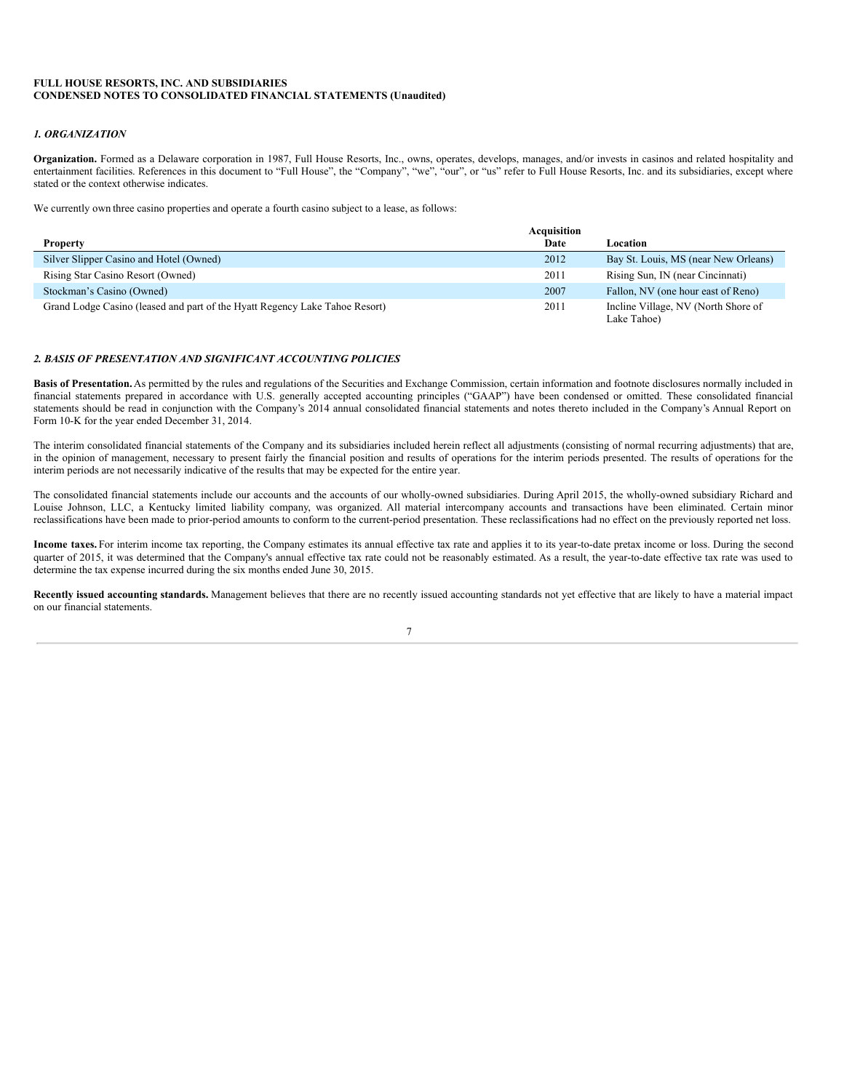# <span id="page-6-0"></span>**FULL HOUSE RESORTS, INC. AND SUBSIDIARIES CONDENSED NOTES TO CONSOLIDATED FINANCIAL STATEMENTS (Unaudited)**

#### *1. ORGANIZATION*

**Organization.** Formed as a Delaware corporation in 1987, Full House Resorts, Inc., owns, operates, develops, manages, and/or invests in casinos and related hospitality and entertainment facilities. References in this document to "Full House", the "Company", "we", "our", or "us" refer to Full House Resorts, Inc. and its subsidiaries, except where stated or the context otherwise indicates.

We currently own three casino properties and operate a fourth casino subject to a lease, as follows:

|                                                                             | Acquisition |                                                    |
|-----------------------------------------------------------------------------|-------------|----------------------------------------------------|
| <b>Property</b>                                                             | Date        | Location                                           |
| Silver Slipper Casino and Hotel (Owned)                                     | 2012        | Bay St. Louis, MS (near New Orleans)               |
| Rising Star Casino Resort (Owned)                                           | 2011        | Rising Sun, IN (near Cincinnati)                   |
| Stockman's Casino (Owned)                                                   | 2007        | Fallon, NV (one hour east of Reno)                 |
| Grand Lodge Casino (leased and part of the Hyatt Regency Lake Tahoe Resort) | 2011        | Incline Village, NV (North Shore of<br>Lake Tahoe) |

# *2. BASIS OF PRESENTATION AND SIGNIFICANT ACCOUNTING POLICIES*

**Basis of Presentation.** As permitted by the rules and regulations of the Securities and Exchange Commission, certain information and footnote disclosures normally included in financial statements prepared in accordance with U.S. generally accepted accounting principles ("GAAP") have been condensed or omitted. These consolidated financial statements should be read in conjunction with the Company's 2014 annual consolidated financial statements and notes thereto included in the Company's Annual Report on Form 10-K for the year ended December 31, 2014.

The interim consolidated financial statements of the Company and its subsidiaries included herein reflect all adjustments (consisting of normal recurring adjustments) that are, in the opinion of management, necessary to present fairly the financial position and results of operations for the interim periods presented. The results of operations for the interim periods are not necessarily indicative of the results that may be expected for the entire year.

The consolidated financial statements include our accounts and the accounts of our wholly-owned subsidiaries. During April 2015, the wholly-owned subsidiary Richard and Louise Johnson, LLC, a Kentucky limited liability company, was organized. All material intercompany accounts and transactions have been eliminated. Certain minor reclassifications have been made to prior-period amounts to conform to the current-period presentation. These reclassifications had no effect on the previously reported net loss.

**Income taxes.** For interim income tax reporting, the Company estimates its annual effective tax rate and applies it to its year-to-date pretax income or loss. During the second quarter of 2015, it was determined that the Company's annual effective tax rate could not be reasonably estimated. As a result, the year-to-date effective tax rate was used to determine the tax expense incurred during the six months ended June 30, 2015.

**Recently issued accounting standards.** Management believes that there are no recently issued accounting standards not yet effective that are likely to have a material impact on our financial statements.

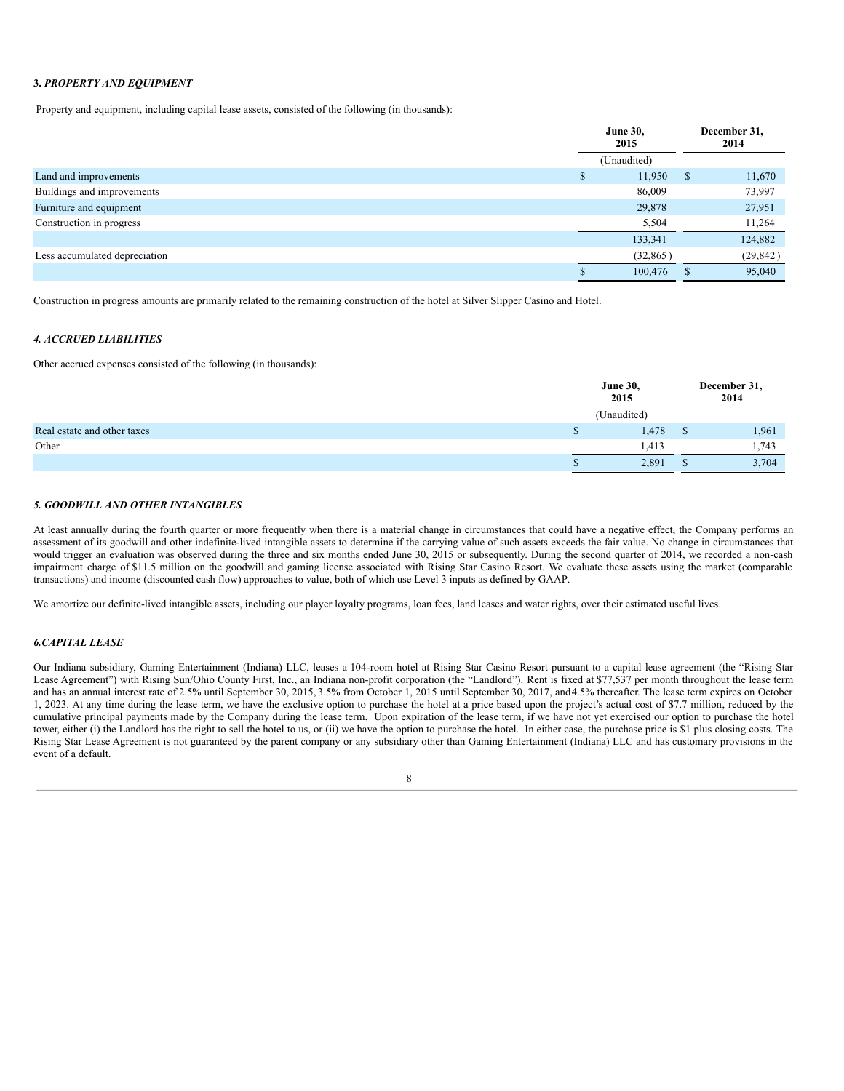#### **3.** *PROPERTY AND EQUIPMENT*

Property and equipment, including capital lease assets, consisted of the following (in thousands):

|                               |               | <b>June 30,</b><br>2015 |   | December 31,<br>2014 |
|-------------------------------|---------------|-------------------------|---|----------------------|
|                               |               | (Unaudited)             |   |                      |
| Land and improvements         | <sup>\$</sup> | 11,950                  | S | 11,670               |
| Buildings and improvements    |               | 86,009                  |   | 73,997               |
| Furniture and equipment       |               | 29,878                  |   | 27,951               |
| Construction in progress      |               | 5,504                   |   | 11,264               |
|                               |               | 133,341                 |   | 124,882              |
| Less accumulated depreciation |               | (32, 865)               |   | (29, 842)            |
|                               |               | 100,476                 |   | 95,040               |

Construction in progress amounts are primarily related to the remaining construction of the hotel at Silver Slipper Casino and Hotel.

# *4. ACCRUED LIABILITIES*

Other accrued expenses consisted of the following (in thousands):

|                             | <b>June 30,</b><br>2015 |  | December 31,<br>2014 |
|-----------------------------|-------------------------|--|----------------------|
|                             | (Unaudited)             |  |                      |
| Real estate and other taxes | 1,478                   |  | 1,961                |
| Other                       | 1,413                   |  | 1,743                |
|                             | 2,891                   |  | 3,704                |

# *5. GOODWILL AND OTHER INTANGIBLES*

At least annually during the fourth quarter or more frequently when there is a material change in circumstances that could have a negative effect, the Company performs an assessment of its goodwill and other indefinite-lived intangible assets to determine if the carrying value of such assets exceeds the fair value. No change in circumstances that would trigger an evaluation was observed during the three and six months ended June 30, 2015 or subsequently. During the second quarter of 2014, we recorded a non-cash impairment charge of \$11.5 million on the goodwill and gaming license associated with Rising Star Casino Resort. We evaluate these assets using the market (comparable transactions) and income (discounted cash flow) approaches to value, both of which use Level 3 inputs as defined by GAAP.

We amortize our definite-lived intangible assets, including our player loyalty programs, loan fees, land leases and water rights, over their estimated useful lives.

### *6.CAPITAL LEASE*

Our Indiana subsidiary, Gaming Entertainment (Indiana) LLC, leases a 104-room hotel at Rising Star Casino Resort pursuant to a capital lease agreement (the "Rising Star Lease Agreement") with Rising Sun/Ohio County First, Inc., an Indiana non-profit corporation (the "Landlord"). Rent is fixed at \$77,537 per month throughout the lease term and has an annual interest rate of 2.5% until September 30, 2015, 3.5% from October 1, 2015 until September 30, 2017, and4.5% thereafter. The lease term expires on October 1, 2023. At any time during the lease term, we have the exclusive option to purchase the hotel at a price based upon the project's actual cost of \$7.7 million, reduced by the cumulative principal payments made by the Company during the lease term. Upon expiration of the lease term, if we have not yet exercised our option to purchase the hotel tower, either (i) the Landlord has the right to sell the hotel to us, or (ii) we have the option to purchase the hotel. In either case, the purchase price is \$1 plus closing costs. The Rising Star Lease Agreement is not guaranteed by the parent company or any subsidiary other than Gaming Entertainment (Indiana) LLC and has customary provisions in the event of a default.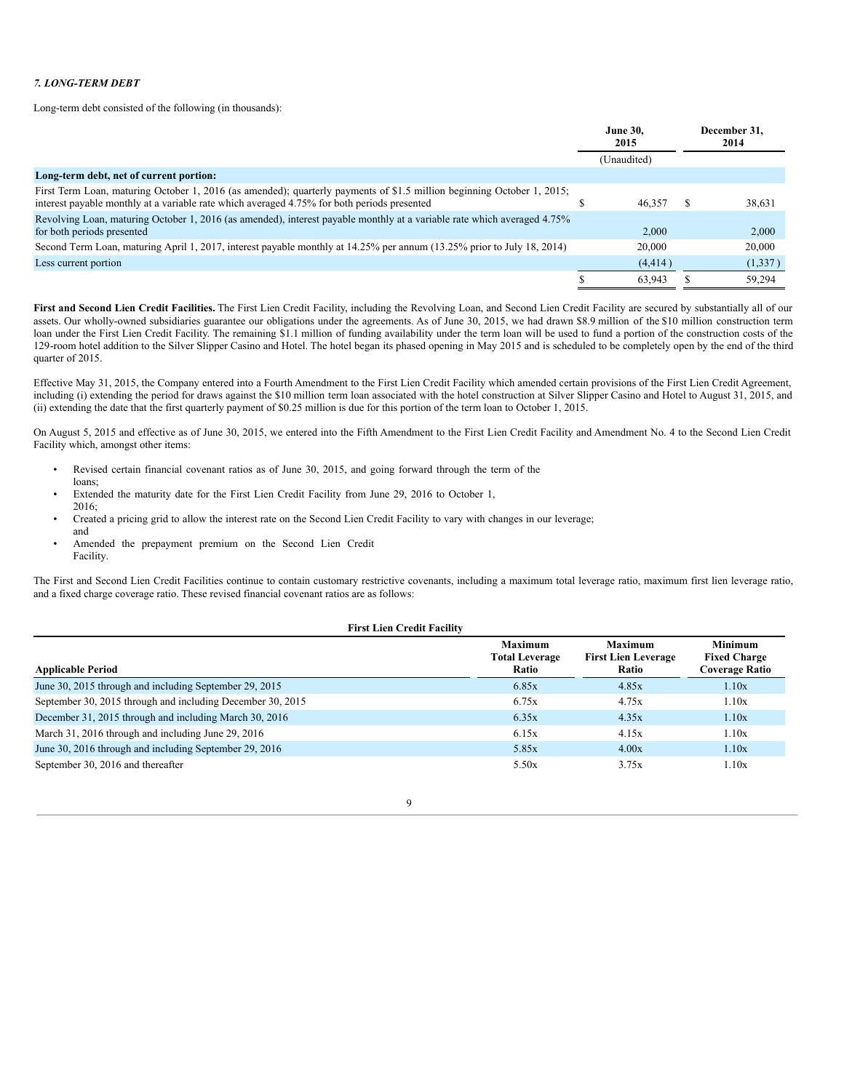#### *7. LONG-TERM DEBT*

Long-term debt consisted of the following (in thousands):

|                                                                                                                                                                                                                       | <b>June 30.</b><br>2015 |             | December 31.<br>2014 |
|-----------------------------------------------------------------------------------------------------------------------------------------------------------------------------------------------------------------------|-------------------------|-------------|----------------------|
|                                                                                                                                                                                                                       |                         | (Unaudited) |                      |
| Long-term debt, net of current portion:                                                                                                                                                                               |                         |             |                      |
| First Term Loan, maturing October 1, 2016 (as amended); quarterly payments of \$1.5 million beginning October 1, 2015;<br>interest payable monthly at a variable rate which averaged 4.75% for both periods presented |                         | 46.357      | 38,631               |
| Revolving Loan, maturing October 1, 2016 (as amended), interest payable monthly at a variable rate which averaged 4.75%<br>for both periods presented                                                                 |                         | 2,000       | 2,000                |
| Second Term Loan, maturing April 1, 2017, interest payable monthly at 14.25% per annum (13.25% prior to July 18, 2014)                                                                                                |                         | 20,000      | 20,000               |
| Less current portion                                                                                                                                                                                                  |                         | (4, 414)    | (1, 337)             |
|                                                                                                                                                                                                                       |                         | 63.943      | 59.294               |

**First and Second Lien Credit Facilities.** The First Lien Credit Facility, including the Revolving Loan, and Second Lien Credit Facility are secured by substantially all of our assets. Our wholly-owned subsidiaries guarantee our obligations under the agreements. As of June 30, 2015, we had drawn \$8.9 million of the \$10 million construction term loan under the First Lien Credit Facility. The remaining \$1.1 million of funding availability under the term loan will be used to fund a portion of the construction costs of the 129-room hotel addition to the Silver Slipper Casino and Hotel. The hotel began its phased opening in May 2015 and is scheduled to be completely open by the end of the third quarter of 2015.

Effective May 31, 2015, the Company entered into a Fourth Amendment to the First Lien Credit Facility which amended certain provisions of the First Lien Credit Agreement, including (i) extending the period for draws against the \$10 million term loan associated with the hotel construction at Silver Slipper Casino and Hotel to August 31, 2015, and (ii) extending the date that the first quarterly payment of \$0.25 million is due for this portion of the term loan to October 1, 2015.

On August 5, 2015 and effective as of June 30, 2015, we entered into the Fifth Amendment to the First Lien Credit Facility and Amendment No. 4 to the Second Lien Credit Facility which, amongst other items:

- Revised certain financial covenant ratios as of June 30, 2015, and going forward through the term of the loans;
- Extended the maturity date for the First Lien Credit Facility from June 29, 2016 to October 1,  $2016$
- Created a pricing grid to allow the interest rate on the Second Lien Credit Facility to vary with changes in our leverage; and
- Amended the prepayment premium on the Second Lien Credit Facility.

The First and Second Lien Credit Facilities continue to contain customary restrictive covenants, including a maximum total leverage ratio, maximum first lien leverage ratio, and a fixed charge coverage ratio. These revised financial covenant ratios are as follows:

#### **First Lien Credit Facility**

|                                                            | <b>Maximum</b><br><b>Total Leverage</b> | <b>Maximum</b><br><b>First Lien Leverage</b> | <b>Minimum</b><br><b>Fixed Charge</b> |
|------------------------------------------------------------|-----------------------------------------|----------------------------------------------|---------------------------------------|
| <b>Applicable Period</b>                                   | Ratio                                   | Ratio                                        | <b>Coverage Ratio</b>                 |
| June 30, 2015 through and including September 29, 2015     | 6.85x                                   | 4.85x                                        | 1.10x                                 |
| September 30, 2015 through and including December 30, 2015 | 6.75x                                   | 4.75x                                        | 1.10x                                 |
| December 31, 2015 through and including March 30, 2016     | 6.35x                                   | 4.35x                                        | 1.10x                                 |
| March 31, 2016 through and including June 29, 2016         | 6.15x                                   | 4.15x                                        | 1.10x                                 |
| June 30, 2016 through and including September 29, 2016     | 5.85x                                   | 4.00x                                        | 1.10x                                 |
| September 30, 2016 and thereafter                          | 5.50x                                   | 3.75x                                        | 1.10x                                 |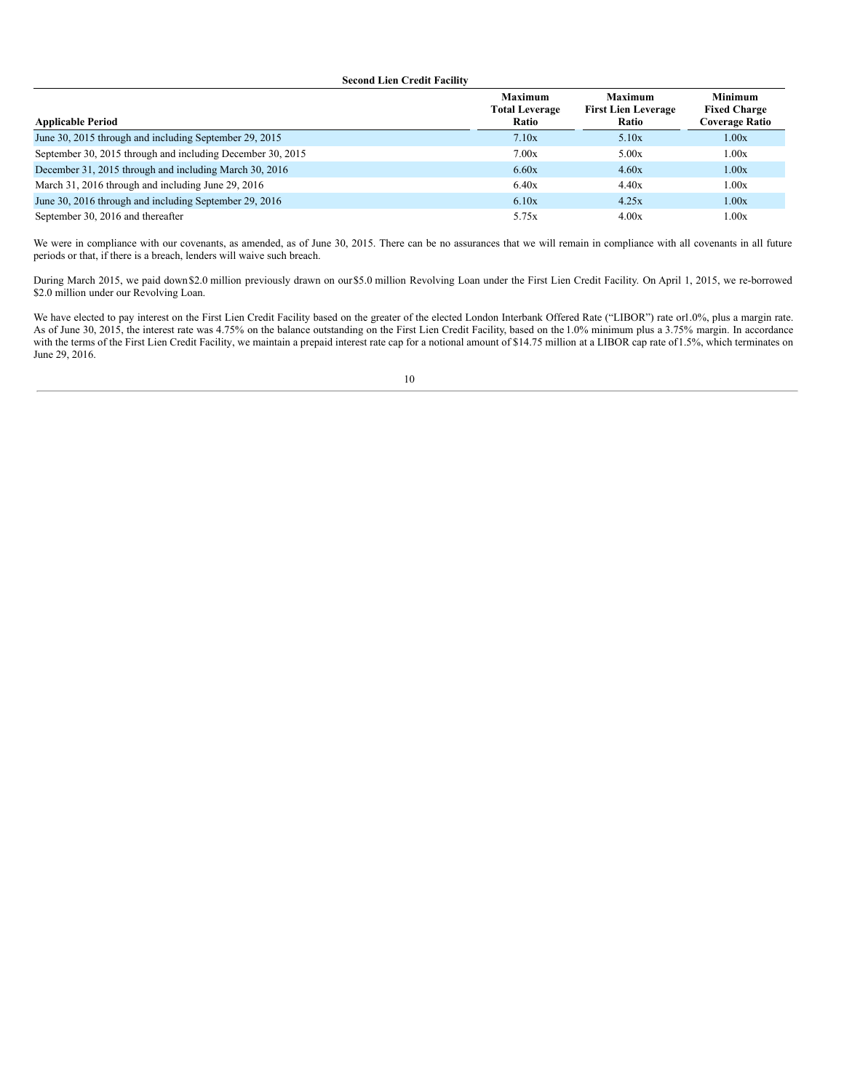**Second Lien Credit Facility**

| <b>Applicable Period</b>                                   | <b>Maximum</b><br><b>Total Leverage</b><br>Ratio | <b>Maximum</b><br><b>First Lien Leverage</b><br>Ratio | <b>Minimum</b><br><b>Fixed Charge</b><br>Coverage Ratio |
|------------------------------------------------------------|--------------------------------------------------|-------------------------------------------------------|---------------------------------------------------------|
| June 30, 2015 through and including September 29, 2015     | 7.10x                                            | 5.10x                                                 | 1.00x                                                   |
| September 30, 2015 through and including December 30, 2015 | 7.00x                                            | 5.00x                                                 | 1.00x                                                   |
| December 31, 2015 through and including March 30, 2016     | 6.60x                                            | 4.60x                                                 | 1.00x                                                   |
| March 31, 2016 through and including June 29, 2016         | 6.40x                                            | 4.40x                                                 | 1.00x                                                   |
| June 30, 2016 through and including September 29, 2016     | 6.10x                                            | 4.25x                                                 | 1.00x                                                   |
| September 30, 2016 and thereafter                          | 5.75x                                            | 4.00x                                                 | 1.00x                                                   |

We were in compliance with our covenants, as amended, as of June 30, 2015. There can be no assurances that we will remain in compliance with all covenants in all future periods or that, if there is a breach, lenders will waive such breach.

During March 2015, we paid down\$2.0 million previously drawn on our\$5.0 million Revolving Loan under the First Lien Credit Facility. On April 1, 2015, we re-borrowed \$2.0 million under our Revolving Loan.

We have elected to pay interest on the First Lien Credit Facility based on the greater of the elected London Interbank Offered Rate ("LIBOR") rate or1.0%, plus a margin rate. As of June 30, 2015, the interest rate was 4.75% on the balance outstanding on the First Lien Credit Facility, based on the 1.0% minimum plus a 3.75% margin. In accordance with the terms of the First Lien Credit Facility, we maintain a prepaid interest rate cap for a notional amount of \$14.75 million at a LIBOR cap rate of 1.5%, which terminates on June 29, 2016.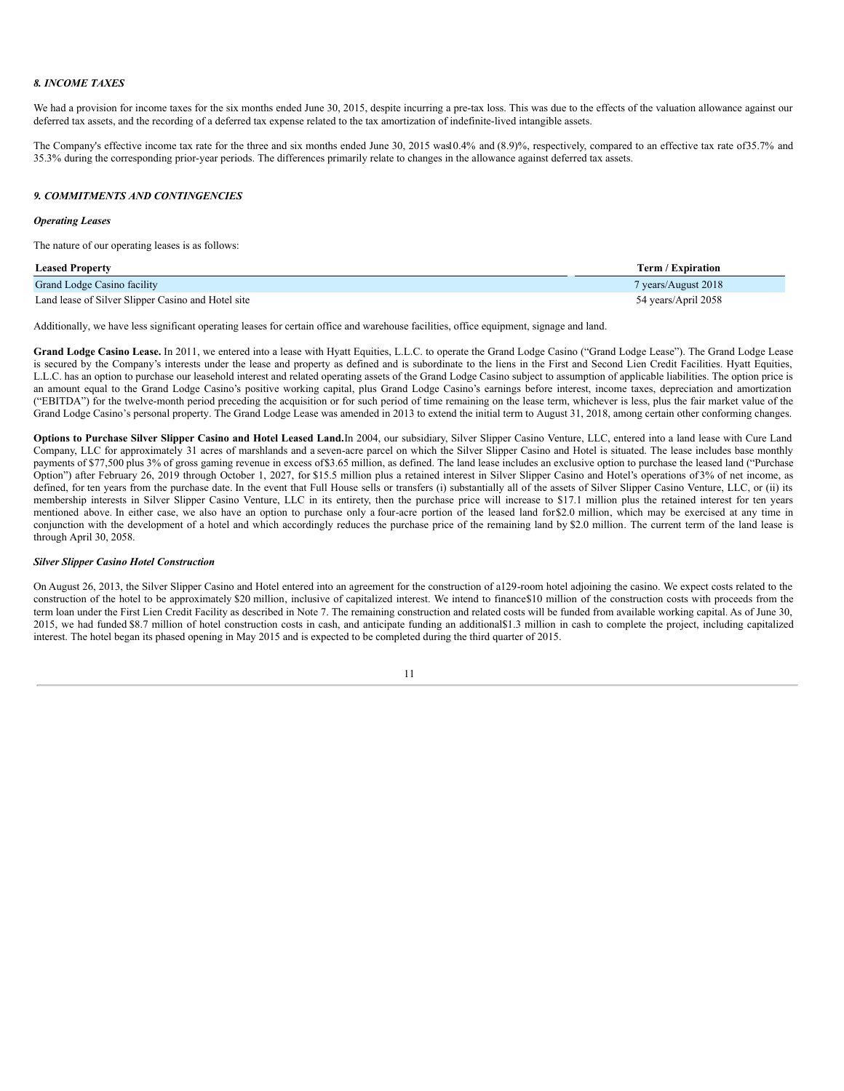#### *8. INCOME TAXES*

We had a provision for income taxes for the six months ended June 30, 2015, despite incurring a pre-tax loss. This was due to the effects of the valuation allowance against our deferred tax assets, and the recording of a deferred tax expense related to the tax amortization of indefinite-lived intangible assets.

The Company's effective income tax rate for the three and six months ended June 30, 2015 was10.4% and (8.9)%, respectively, compared to an effective tax rate of 35.7% and 35.3% during the corresponding prior-year periods. The differences primarily relate to changes in the allowance against deferred tax assets.

#### *9. COMMITMENTS AND CONTINGENCIES*

#### *Operating Leases*

The nature of our operating leases is as follows:

| <b>Leased Property</b>                             | Term / Expiration   |
|----------------------------------------------------|---------------------|
| Grand Lodge Casino facility                        | 7 years/August 2018 |
| Land lease of Silver Slipper Casino and Hotel site | 54 years/April 2058 |

Additionally, we have less significant operating leases for certain office and warehouse facilities, office equipment, signage and land.

**Grand Lodge Casino Lease.** In 2011, we entered into a lease with Hyatt Equities, L.L.C. to operate the Grand Lodge Casino ("Grand Lodge Lease"). The Grand Lodge Lease is secured by the Company's interests under the lease and property as defined and is subordinate to the liens in the First and Second Lien Credit Facilities. Hyatt Equities, L.L.C. has an option to purchase our leasehold interest and related operating assets of the Grand Lodge Casino subject to assumption of applicable liabilities. The option price is an amount equal to the Grand Lodge Casino's positive working capital, plus Grand Lodge Casino's earnings before interest, income taxes, depreciation and amortization ("EBITDA") for the twelve-month period preceding the acquisition or for such period of time remaining on the lease term, whichever is less, plus the fair market value of the Grand Lodge Casino's personal property. The Grand Lodge Lease was amended in 2013 to extend the initial term to August 31, 2018, among certain other conforming changes.

Options to Purchase Silver Slipper Casino and Hotel Leased Land.In 2004, our subsidiary, Silver Slipper Casino Venture, LLC, entered into a land lease with Cure Land Company, LLC for approximately 31 acres of marshlands and a seven-acre parcel on which the Silver Slipper Casino and Hotel is situated. The lease includes base monthly payments of \$77,500 plus 3% of gross gaming revenue in excess of\$3.65 million, as defined. The land lease includes an exclusive option to purchase the leased land ("Purchase Option") after February 26, 2019 through October 1, 2027, for \$15.5 million plus a retained interest in Silver Slipper Casino and Hotel's operations of 3% of net income, as defined, for ten years from the purchase date. In the event that Full House sells or transfers (i) substantially all of the assets of Silver Slipper Casino Venture, LLC, or (ii) its membership interests in Silver Slipper Casino Venture, LLC in its entirety, then the purchase price will increase to \$17.1 million plus the retained interest for ten years mentioned above. In either case, we also have an option to purchase only a four-acre portion of the leased land for\$2.0 million, which may be exercised at any time in conjunction with the development of a hotel and which accordingly reduces the purchase price of the remaining land by \$2.0 million. The current term of the land lease is through April 30, 2058.

#### *Silver Slipper Casino Hotel Construction*

On August 26, 2013, the Silver Slipper Casino and Hotel entered into an agreement for the construction of a129-room hotel adjoining the casino. We expect costs related to the construction of the hotel to be approximately \$20 million, inclusive of capitalized interest. We intend to finance\$10 million of the construction costs with proceeds from the term loan under the First Lien Credit Facility as described in Note 7. The remaining construction and related costs will be funded from available working capital. As of June 30, 2015, we had funded \$8.7 million of hotel construction costs in cash, and anticipate funding an additional\$1.3 million in cash to complete the project, including capitalized interest. The hotel began its phased opening in May 2015 and is expected to be completed during the third quarter of 2015.

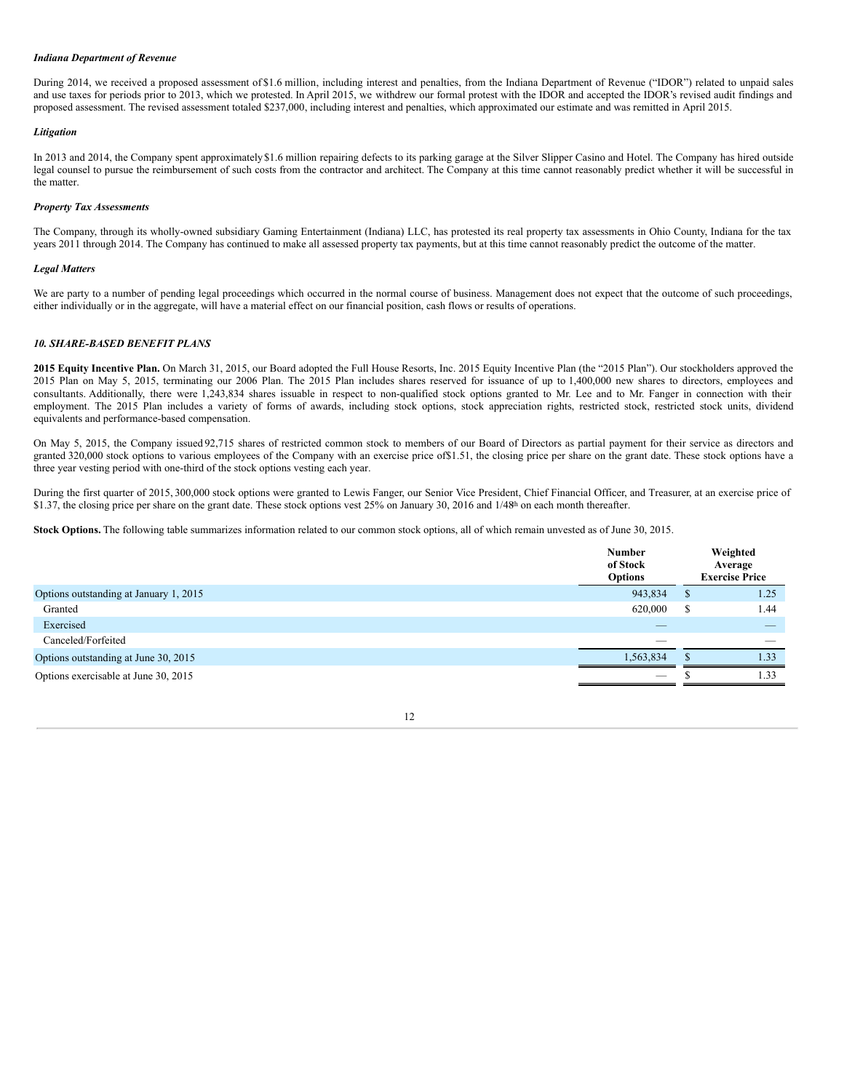#### *Indiana Department of Revenue*

During 2014, we received a proposed assessment of \$1.6 million, including interest and penalties, from the Indiana Department of Revenue ("IDOR") related to unpaid sales and use taxes for periods prior to 2013, which we protested. In April 2015, we withdrew our formal protest with the IDOR and accepted the IDOR's revised audit findings and proposed assessment. The revised assessment totaled \$237,000, including interest and penalties, which approximated our estimate and was remitted in April 2015.

#### *Litigation*

In 2013 and 2014, the Company spent approximately\$1.6 million repairing defects to its parking garage at the Silver Slipper Casino and Hotel. The Company has hired outside legal counsel to pursue the reimbursement of such costs from the contractor and architect. The Company at this time cannot reasonably predict whether it will be successful in the matter.

#### *Property Tax Assessments*

The Company, through its wholly-owned subsidiary Gaming Entertainment (Indiana) LLC, has protested its real property tax assessments in Ohio County, Indiana for the tax years 2011 through 2014. The Company has continued to make all assessed property tax payments, but at this time cannot reasonably predict the outcome of the matter.

#### *Legal Matters*

We are party to a number of pending legal proceedings which occurred in the normal course of business. Management does not expect that the outcome of such proceedings, either individually or in the aggregate, will have a material effect on our financial position, cash flows or results of operations.

# *10. SHARE-BASED BENEFIT PLANS*

**2015 Equity Incentive Plan.** On March 31, 2015, our Board adopted the Full House Resorts, Inc. 2015 Equity Incentive Plan (the "2015 Plan"). Our stockholders approved the 2015 Plan on May 5, 2015, terminating our 2006 Plan. The 2015 Plan includes shares reserved for issuance of up to 1,400,000 new shares to directors, employees and consultants. Additionally, there were 1,243,834 shares issuable in respect to non-qualified stock options granted to Mr. Lee and to Mr. Fanger in connection with their employment. The 2015 Plan includes a variety of forms of awards, including stock options, stock appreciation rights, restricted stock, restricted stock units, dividend equivalents and performance-based compensation.

On May 5, 2015, the Company issued 92,715 shares of restricted common stock to members of our Board of Directors as partial payment for their service as directors and granted 320,000 stock options to various employees of the Company with an exercise price of\$1.51, the closing price per share on the grant date. These stock options have a three year vesting period with one-third of the stock options vesting each year.

During the first quarter of 2015, 300,000 stock options were granted to Lewis Fanger, our Senior Vice President, Chief Financial Officer, and Treasurer, at an exercise price of \$1.37, the closing price per share on the grant date. These stock options vest 25% on January 30, 2016 and 1/48<sup>th</sup> on each month thereafter.

**Stock Options.** The following table summarizes information related to our common stock options, all of which remain unvested as of June 30, 2015.

|                                        | <b>Number</b><br>of Stock<br><b>Options</b> |   | Weighted<br>Average<br><b>Exercise Price</b> |
|----------------------------------------|---------------------------------------------|---|----------------------------------------------|
| Options outstanding at January 1, 2015 | 943,834                                     | S | 1.25                                         |
| Granted                                | 620,000                                     | S | 1.44                                         |
| Exercised                              | _                                           |   | _                                            |
| Canceled/Forfeited                     | __                                          |   |                                              |
| Options outstanding at June 30, 2015   | 1,563,834                                   |   | 1.33                                         |
| Options exercisable at June 30, 2015   | _                                           |   | 1.33                                         |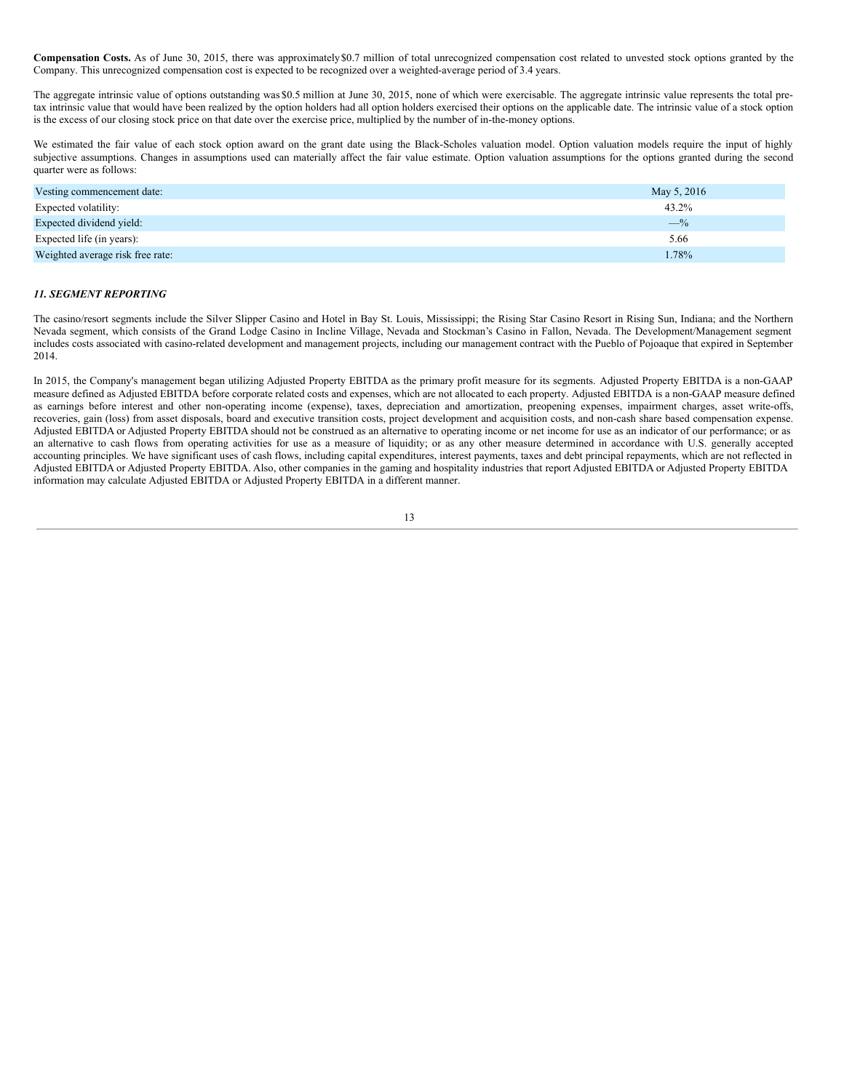**Compensation Costs.** As of June 30, 2015, there was approximately\$0.7 million of total unrecognized compensation cost related to unvested stock options granted by the Company. This unrecognized compensation cost is expected to be recognized over a weighted-average period of 3.4 years.

The aggregate intrinsic value of options outstanding was \$0.5 million at June 30, 2015, none of which were exercisable. The aggregate intrinsic value represents the total pretax intrinsic value that would have been realized by the option holders had all option holders exercised their options on the applicable date. The intrinsic value of a stock option is the excess of our closing stock price on that date over the exercise price, multiplied by the number of in-the-money options.

We estimated the fair value of each stock option award on the grant date using the Black-Scholes valuation model. Option valuation models require the input of highly subjective assumptions. Changes in assumptions used can materially affect the fair value estimate. Option valuation assumptions for the options granted during the second quarter were as follows:

| Vesting commencement date:       | May 5, 2016 |
|----------------------------------|-------------|
| Expected volatility:             | 43.2%       |
| Expected dividend yield:         | $-$ %       |
| Expected life (in years):        | 5.66        |
| Weighted average risk free rate: | 1.78%       |

#### *11. SEGMENT REPORTING*

The casino/resort segments include the Silver Slipper Casino and Hotel in Bay St. Louis, Mississippi; the Rising Star Casino Resort in Rising Sun, Indiana; and the Northern Nevada segment, which consists of the Grand Lodge Casino in Incline Village, Nevada and Stockman's Casino in Fallon, Nevada. The Development/Management segment includes costs associated with casino-related development and management projects, including our management contract with the Pueblo of Pojoaque that expired in September 2014.

In 2015, the Company's management began utilizing Adjusted Property EBITDA as the primary profit measure for its segments. Adjusted Property EBITDA is a non-GAAP measure defined as Adjusted EBITDA before corporate related costs and expenses, which are not allocated to each property. Adjusted EBITDA is a non-GAAP measure defined as earnings before interest and other non-operating income (expense), taxes, depreciation and amortization, preopening expenses, impairment charges, asset write-offs, recoveries, gain (loss) from asset disposals, board and executive transition costs, project development and acquisition costs, and non-cash share based compensation expense. Adjusted EBITDA or Adjusted Property EBITDA should not be construed as an alternative to operating income or net income for use as an indicator of our performance; or as an alternative to cash flows from operating activities for use as a measure of liquidity; or as any other measure determined in accordance with U.S. generally accepted accounting principles. We have significant uses of cash flows, including capital expenditures, interest payments, taxes and debt principal repayments, which are not reflected in Adjusted EBITDA or Adjusted Property EBITDA. Also, other companies in the gaming and hospitality industries that report Adjusted EBITDA or Adjusted Property EBITDA information may calculate Adjusted EBITDA or Adjusted Property EBITDA in a different manner.

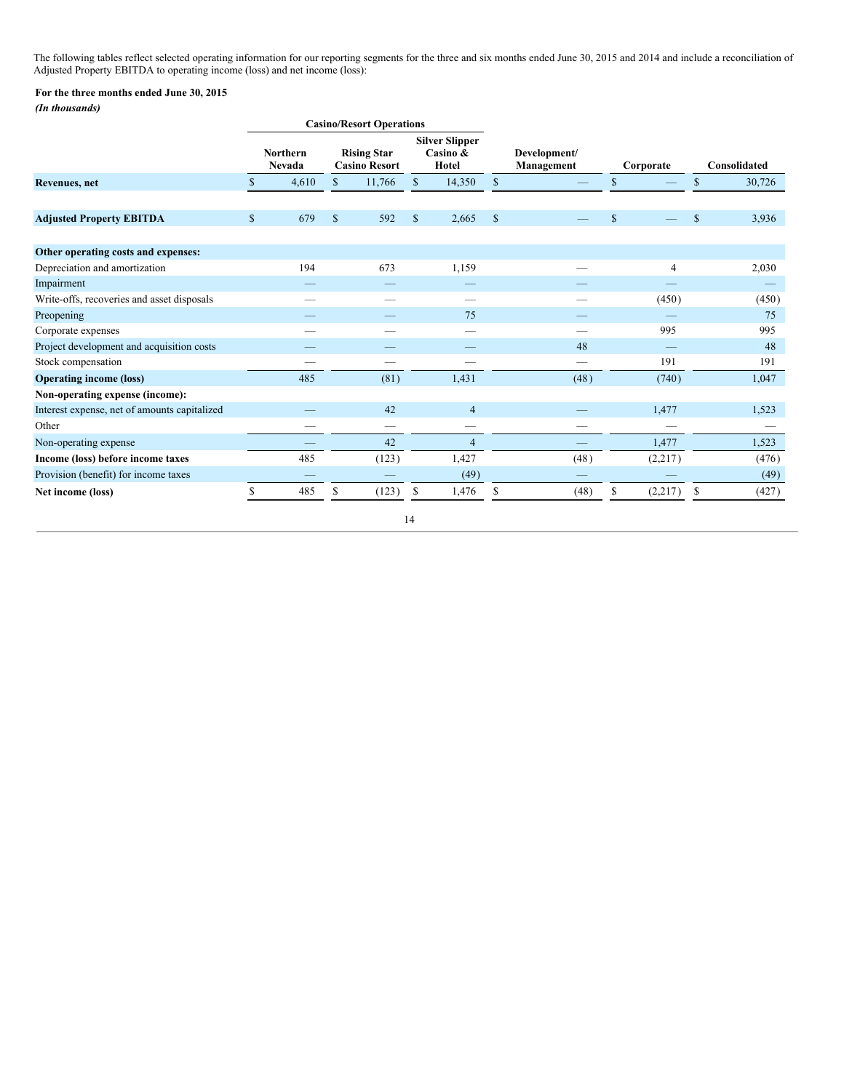The following tables reflect selected operating information for our reporting segments for the three and six months ended June 30, 2015 and 2014 and include a reconciliation of Adjusted Property EBITDA to operating income (loss) and net income (loss):

# **For the three months ended June 30, 2015**

*(In thousands)*

|                                              |               |                                  |              | <b>Casino/Resort Operations</b>            |              |                                            |               |                            |              |           |              |              |
|----------------------------------------------|---------------|----------------------------------|--------------|--------------------------------------------|--------------|--------------------------------------------|---------------|----------------------------|--------------|-----------|--------------|--------------|
|                                              |               | <b>Northern</b><br><b>Nevada</b> |              | <b>Rising Star</b><br><b>Casino Resort</b> |              | <b>Silver Slipper</b><br>Casino &<br>Hotel |               | Development/<br>Management |              | Corporate |              | Consolidated |
| Revenues, net                                | <sup>\$</sup> | 4,610                            | $\mathbb{S}$ | 11,766                                     | $\mathbb{S}$ | 14,350                                     | $\mathbb{S}$  |                            | $\mathbf S$  |           | $\mathbb{S}$ | 30,726       |
|                                              |               |                                  |              |                                            |              |                                            |               |                            |              |           |              |              |
| <b>Adjusted Property EBITDA</b>              | \$            | 679                              | \$           | 592                                        | $\mathbb{S}$ | 2,665                                      | $\mathcal{S}$ |                            | $\mathbb{S}$ |           | $\mathbb{S}$ | 3,936        |
|                                              |               |                                  |              |                                            |              |                                            |               |                            |              |           |              |              |
| Other operating costs and expenses:          |               |                                  |              |                                            |              |                                            |               |                            |              |           |              |              |
| Depreciation and amortization                |               | 194                              |              | 673                                        |              | 1,159                                      |               |                            |              | 4         |              | 2,030        |
| Impairment                                   |               |                                  |              |                                            |              |                                            |               |                            |              |           |              |              |
| Write-offs, recoveries and asset disposals   |               |                                  |              |                                            |              |                                            |               |                            |              | (450)     |              | (450)        |
| Preopening                                   |               |                                  |              |                                            |              | 75                                         |               |                            |              |           |              | 75           |
| Corporate expenses                           |               |                                  |              |                                            |              |                                            |               |                            |              | 995       |              | 995          |
| Project development and acquisition costs    |               |                                  |              |                                            |              |                                            |               | 48                         |              |           |              | 48           |
| Stock compensation                           |               |                                  |              |                                            |              |                                            |               |                            |              | 191       |              | 191          |
| <b>Operating income (loss)</b>               |               | 485                              |              | (81)                                       |              | 1,431                                      |               | (48)                       |              | (740)     |              | 1,047        |
| Non-operating expense (income):              |               |                                  |              |                                            |              |                                            |               |                            |              |           |              |              |
| Interest expense, net of amounts capitalized |               |                                  |              | 42                                         |              | $\overline{4}$                             |               |                            |              | 1,477     |              | 1,523        |
| Other                                        |               |                                  |              |                                            |              |                                            |               |                            |              |           |              |              |
| Non-operating expense                        |               |                                  |              | 42                                         |              | $\overline{4}$                             |               |                            |              | 1,477     |              | 1,523        |
| Income (loss) before income taxes            |               | 485                              |              | (123)                                      |              | 1,427                                      |               | (48)                       |              | (2,217)   |              | (476)        |
| Provision (benefit) for income taxes         |               |                                  |              |                                            |              | (49)                                       |               |                            |              |           |              | (49)         |
| Net income (loss)                            |               | 485                              | \$           | (123)                                      | S            | 1,476                                      | S             | (48)                       | S            | (2,217)   | S            | (427)        |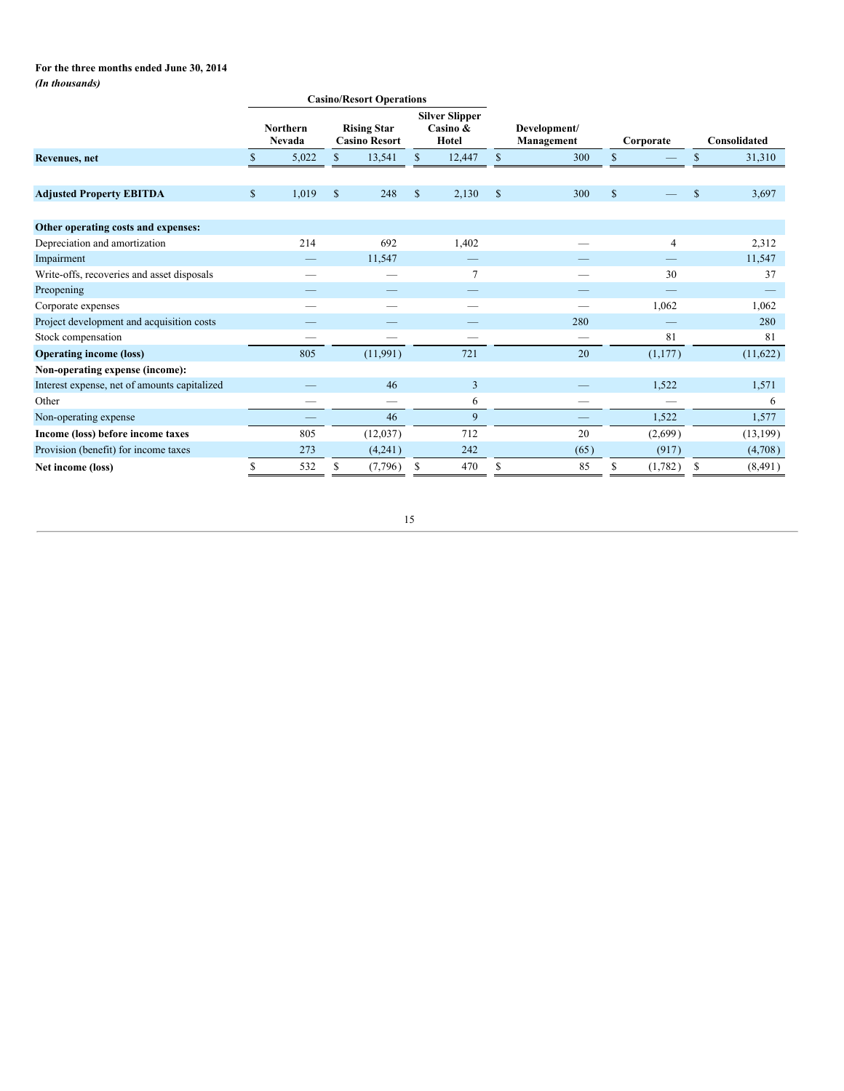# **For the three months ended June 30, 2014**

*(In thousands)*

|                                              |              |       |                                                                                | <b>Casino/Resort Operations</b> |                                            |                            |      |             |           |               |           |  |
|----------------------------------------------|--------------|-------|--------------------------------------------------------------------------------|---------------------------------|--------------------------------------------|----------------------------|------|-------------|-----------|---------------|-----------|--|
|                                              |              |       | <b>Northern</b><br><b>Rising Star</b><br><b>Casino Resort</b><br><b>Nevada</b> |                                 | <b>Silver Slipper</b><br>Casino &<br>Hotel | Development/<br>Management |      |             | Corporate | Consolidated  |           |  |
| Revenues, net                                | S            | 5,022 | \$                                                                             | 13,541                          | \$<br>12,447                               | $\mathbb{S}$               | 300  | \$          |           | S             | 31,310    |  |
|                                              |              |       |                                                                                |                                 |                                            |                            |      |             |           |               |           |  |
| <b>Adjusted Property EBITDA</b>              | $\mathbb{S}$ | 1,019 | $\mathbb{S}$                                                                   | 248                             | \$<br>2,130                                | $\mathbb{S}$               | 300  | $\mathbf S$ |           | <sup>\$</sup> | 3,697     |  |
|                                              |              |       |                                                                                |                                 |                                            |                            |      |             |           |               |           |  |
| Other operating costs and expenses:          |              |       |                                                                                |                                 |                                            |                            |      |             |           |               |           |  |
| Depreciation and amortization                |              | 214   |                                                                                | 692                             | 1,402                                      |                            |      |             | 4         |               | 2,312     |  |
| Impairment                                   |              |       |                                                                                | 11,547                          |                                            |                            |      |             |           |               | 11,547    |  |
| Write-offs, recoveries and asset disposals   |              |       |                                                                                |                                 |                                            |                            |      |             | 30        |               | 37        |  |
| Preopening                                   |              |       |                                                                                |                                 |                                            |                            |      |             |           |               |           |  |
| Corporate expenses                           |              |       |                                                                                |                                 |                                            |                            |      |             | 1,062     |               | 1,062     |  |
| Project development and acquisition costs    |              |       |                                                                                |                                 |                                            |                            | 280  |             |           |               | 280       |  |
| Stock compensation                           |              |       |                                                                                |                                 |                                            |                            |      |             | 81        |               | 81        |  |
| <b>Operating income (loss)</b>               |              | 805   |                                                                                | (11, 991)                       | 721                                        |                            | 20   |             | (1,177)   |               | (11,622)  |  |
| Non-operating expense (income):              |              |       |                                                                                |                                 |                                            |                            |      |             |           |               |           |  |
| Interest expense, net of amounts capitalized |              |       |                                                                                | 46                              | $\overline{3}$                             |                            |      |             | 1,522     |               | 1,571     |  |
| Other                                        |              |       |                                                                                |                                 | 6                                          |                            |      |             |           |               | 6         |  |
| Non-operating expense                        |              |       |                                                                                | 46                              | 9                                          |                            |      |             | 1,522     |               | 1,577     |  |
| Income (loss) before income taxes            |              | 805   |                                                                                | (12,037)                        | 712                                        |                            | 20   |             | (2,699)   |               | (13, 199) |  |
| Provision (benefit) for income taxes         |              | 273   |                                                                                | (4,241)                         | 242                                        |                            | (65) |             | (917)     |               | (4,708)   |  |
| Net income (loss)                            | S            | 532   | \$                                                                             | (7,796)                         | \$<br>470                                  | S                          | 85   | \$          | (1,782)   | \$            | (8, 491)  |  |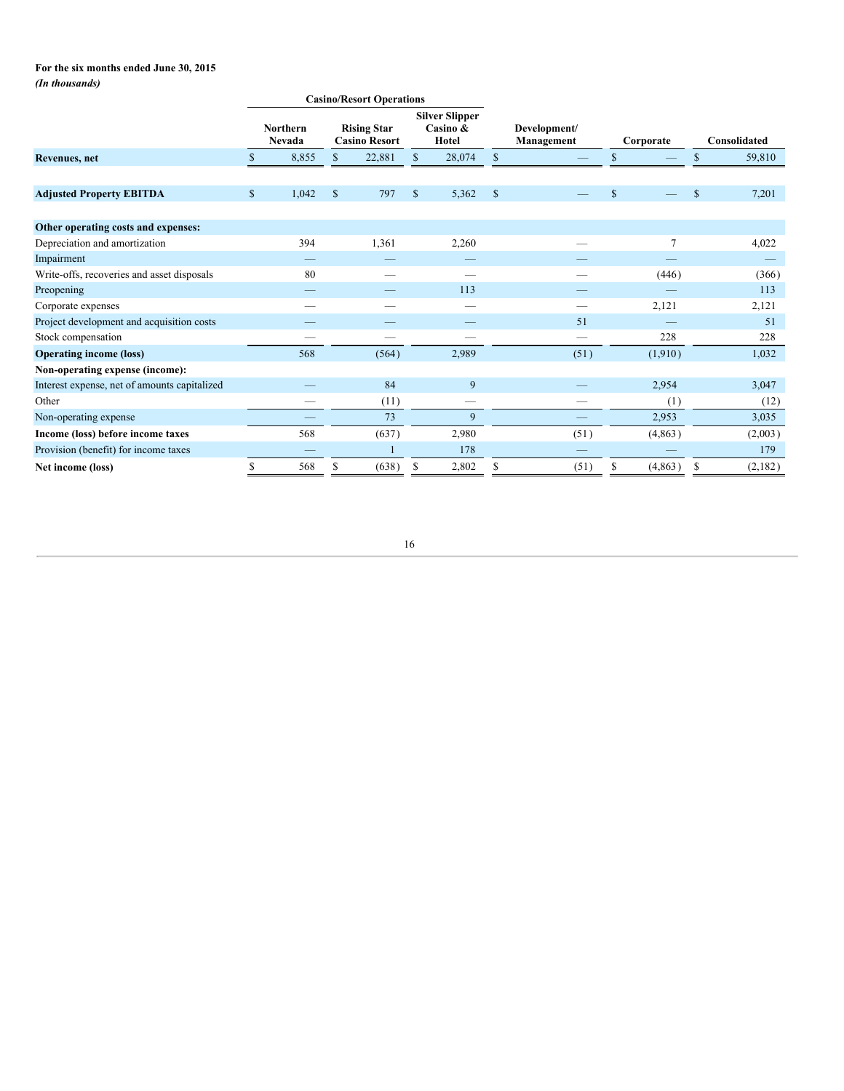# **For the six months ended June 30, 2015**

*(In thousands)*

|                                              | <b>Casino/Resort Operations</b> |                                  |             |                                            |              |                                            |              |                            |              |          |              |              |
|----------------------------------------------|---------------------------------|----------------------------------|-------------|--------------------------------------------|--------------|--------------------------------------------|--------------|----------------------------|--------------|----------|--------------|--------------|
|                                              |                                 | <b>Northern</b><br><b>Nevada</b> |             | <b>Rising Star</b><br><b>Casino Resort</b> |              | <b>Silver Slipper</b><br>Casino &<br>Hotel |              | Development/<br>Management | Corporate    |          |              | Consolidated |
| Revenues, net                                | \$.                             | 8,855                            | $\mathbf S$ | 22,881                                     | \$           | 28,074                                     | $\$$         |                            | $\mathbf{s}$ |          | $\mathbb{S}$ | 59,810       |
|                                              |                                 |                                  |             |                                            |              |                                            |              |                            |              |          |              |              |
| <b>Adjusted Property EBITDA</b>              | $\mathbb{S}$                    | 1,042                            | \$          | 797                                        | $\mathbb{S}$ | 5,362                                      | $\mathbb{S}$ |                            | $\mathbb{S}$ |          | $\mathbb{S}$ | 7,201        |
|                                              |                                 |                                  |             |                                            |              |                                            |              |                            |              |          |              |              |
| Other operating costs and expenses:          |                                 |                                  |             |                                            |              |                                            |              |                            |              |          |              |              |
| Depreciation and amortization                |                                 | 394                              |             | 1,361                                      |              | 2,260                                      |              |                            |              | 7        |              | 4,022        |
| Impairment                                   |                                 |                                  |             |                                            |              |                                            |              |                            |              |          |              |              |
| Write-offs, recoveries and asset disposals   |                                 | 80                               |             |                                            |              |                                            |              |                            |              | (446)    |              | (366)        |
| Preopening                                   |                                 |                                  |             |                                            |              | 113                                        |              |                            |              |          |              | 113          |
| Corporate expenses                           |                                 | -                                |             |                                            |              | $\sim$                                     |              | _                          |              | 2,121    |              | 2,121        |
| Project development and acquisition costs    |                                 |                                  |             |                                            |              |                                            |              | 51                         |              |          |              | 51           |
| Stock compensation                           |                                 |                                  |             |                                            |              |                                            |              |                            |              | 228      |              | 228          |
| <b>Operating income (loss)</b>               |                                 | 568                              |             | (564)                                      |              | 2,989                                      |              | (51)                       |              | (1,910)  |              | 1,032        |
| Non-operating expense (income):              |                                 |                                  |             |                                            |              |                                            |              |                            |              |          |              |              |
| Interest expense, net of amounts capitalized |                                 |                                  |             | 84                                         |              | 9                                          |              |                            |              | 2,954    |              | 3,047        |
| Other                                        |                                 |                                  |             | (11)                                       |              | -                                          |              | -                          |              | (1)      |              | (12)         |
| Non-operating expense                        |                                 |                                  |             | 73                                         |              | 9                                          |              |                            |              | 2,953    |              | 3,035        |
| Income (loss) before income taxes            |                                 | 568                              |             | (637)                                      |              | 2,980                                      |              | (51)                       |              | (4, 863) |              | (2,003)      |
| Provision (benefit) for income taxes         |                                 |                                  |             |                                            |              | 178                                        |              |                            |              |          |              | 179          |
| Net income (loss)                            | \$                              | 568                              | \$          | (638)                                      | \$           | 2,802                                      | \$           | (51)                       | \$           | (4, 863) | \$           | (2,182)      |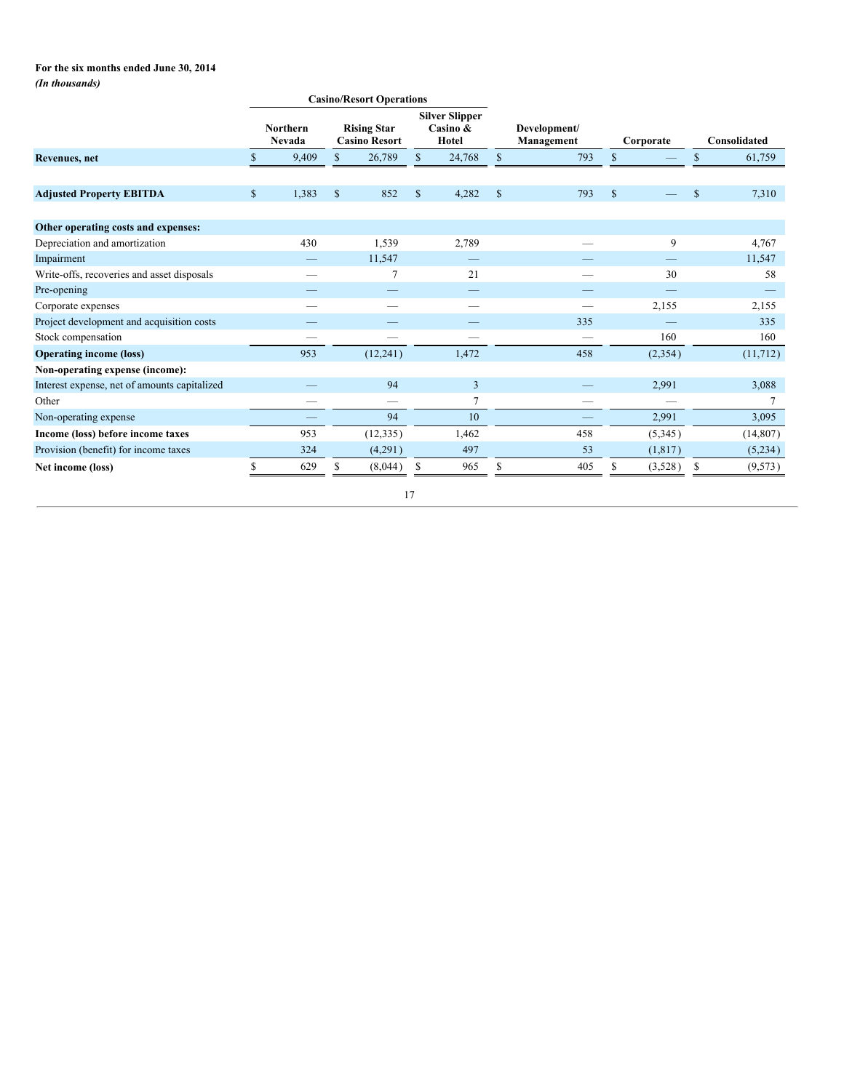# **For the six months ended June 30, 2014**

*(In thousands)*

|                                              |               |                           |              | <b>Casino/Resort Operations</b>            |                                            |                |                            |     |              |           |              |              |
|----------------------------------------------|---------------|---------------------------|--------------|--------------------------------------------|--------------------------------------------|----------------|----------------------------|-----|--------------|-----------|--------------|--------------|
|                                              |               | <b>Northern</b><br>Nevada |              | <b>Rising Star</b><br><b>Casino Resort</b> | <b>Silver Slipper</b><br>Casino &<br>Hotel |                | Development/<br>Management |     |              | Corporate |              | Consolidated |
| Revenues, net                                | <sup>\$</sup> | 9,409                     | \$           | 26,789                                     | $\mathbb{S}$                               | 24,768         | $\mathbb{S}$               | 793 | $\mathbf S$  |           | S            | 61,759       |
| <b>Adjusted Property EBITDA</b>              | $\mathbb{S}$  | 1,383                     | $\mathbb{S}$ | 852                                        | $\mathbb{S}$                               | 4,282          | $\mathcal{S}$              | 793 | $\mathbb{S}$ |           | $\mathbb{S}$ | 7,310        |
|                                              |               |                           |              |                                            |                                            |                |                            |     |              |           |              |              |
| Other operating costs and expenses:          |               |                           |              |                                            |                                            |                |                            |     |              |           |              |              |
| Depreciation and amortization                |               | 430                       |              | 1,539                                      |                                            | 2,789          |                            |     |              | 9         |              | 4,767        |
| Impairment                                   |               |                           |              | 11,547                                     |                                            |                |                            |     |              |           |              | 11,547       |
| Write-offs, recoveries and asset disposals   |               |                           |              | 7                                          |                                            | 21             |                            |     |              | 30        |              | 58           |
| Pre-opening                                  |               |                           |              |                                            |                                            |                |                            |     |              |           |              |              |
| Corporate expenses                           |               |                           |              |                                            |                                            |                |                            |     |              | 2,155     |              | 2,155        |
| Project development and acquisition costs    |               |                           |              |                                            |                                            |                |                            | 335 |              |           |              | 335          |
| Stock compensation                           |               |                           |              |                                            |                                            |                |                            |     |              | 160       |              | 160          |
| <b>Operating income (loss)</b>               |               | 953                       |              | (12,241)                                   |                                            | 1,472          |                            | 458 |              | (2,354)   |              | (11,712)     |
| Non-operating expense (income):              |               |                           |              |                                            |                                            |                |                            |     |              |           |              |              |
| Interest expense, net of amounts capitalized |               |                           |              | 94                                         |                                            | $\overline{3}$ |                            |     |              | 2,991     |              | 3,088        |
| Other                                        |               |                           |              | -                                          |                                            | $\overline{7}$ |                            |     |              |           |              | 7            |
| Non-operating expense                        |               |                           |              | 94                                         |                                            | 10             |                            |     |              | 2,991     |              | 3,095        |
| Income (loss) before income taxes            |               | 953                       |              | (12, 335)                                  |                                            | 1,462          |                            | 458 |              | (5,345)   |              | (14, 807)    |
| Provision (benefit) for income taxes         |               | 324                       |              | (4,291)                                    |                                            | 497            |                            | 53  |              | (1, 817)  |              | (5,234)      |
| Net income (loss)                            |               | 629                       | \$           | (8,044)                                    | S                                          | 965            | \$                         | 405 | \$           | (3,528)   | S            | (9,573)      |
|                                              |               |                           |              |                                            | 17                                         |                |                            |     |              |           |              |              |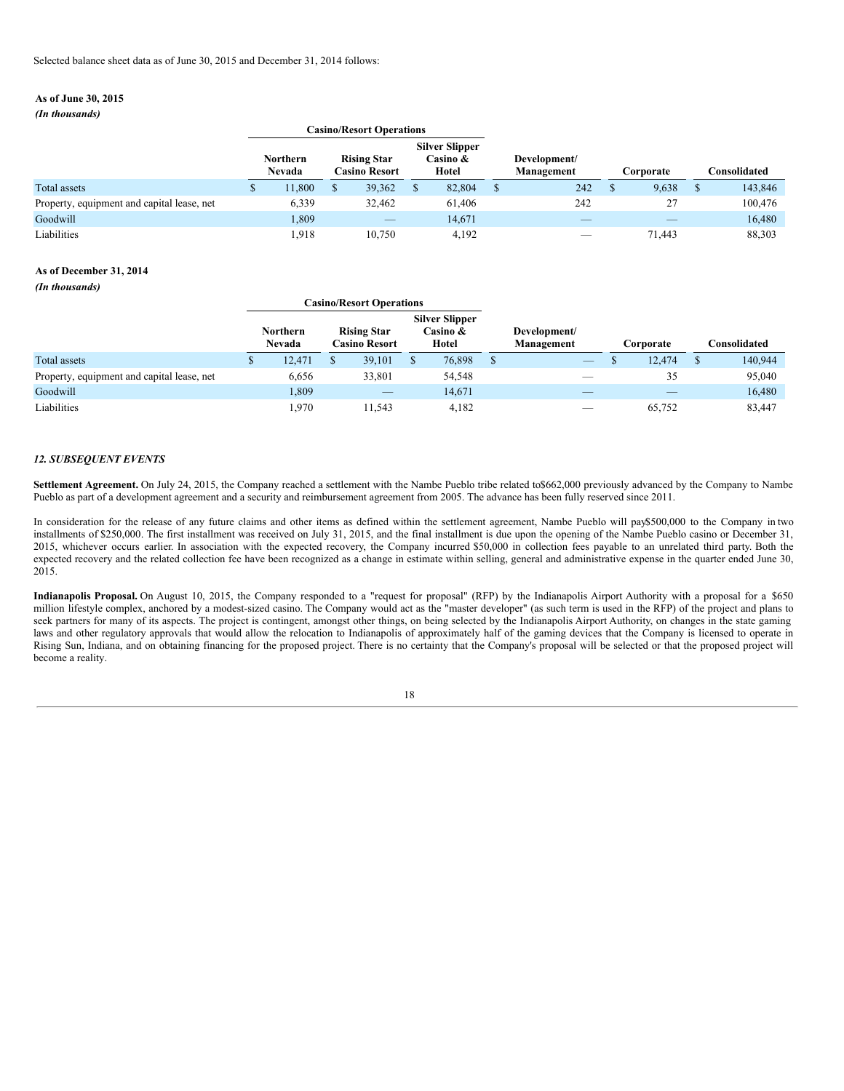# **As of June 30, 2015**

*(In thousands)*

|                                            |                                                                                |  | <b>Casino/Resort Operations</b> |  |                                            |   |                            |           |               |              |
|--------------------------------------------|--------------------------------------------------------------------------------|--|---------------------------------|--|--------------------------------------------|---|----------------------------|-----------|---------------|--------------|
|                                            | <b>Northern</b><br><b>Rising Star</b><br><b>Nevada</b><br><b>Casino Resort</b> |  |                                 |  | <b>Silver Slipper</b><br>Casino &<br>Hotel |   | Development/<br>Management | Corporate |               | Consolidated |
| Total assets                               | 11,800                                                                         |  | 39,362                          |  | 82,804                                     | S | 242                        | 9,638     | <sup>\$</sup> | 143,846      |
| Property, equipment and capital lease, net | 6,339                                                                          |  | 32,462                          |  | 61,406                                     |   | 242                        | 27        |               | 100,476      |
| Goodwill                                   | 1,809                                                                          |  | $\overline{\phantom{a}}$        |  | 14,671                                     |   |                            |           |               | 16.480       |
| Liabilities                                | 1.918                                                                          |  | 10.750                          |  | 4.192                                      |   |                            | 71.443    |               | 88.303       |

# **As of December 31, 2014**

*(In thousands)*

|                                            |                                                                                |  | <b>Casino/Resort Operations</b>            |                            |           |                                 |        |   |         |
|--------------------------------------------|--------------------------------------------------------------------------------|--|--------------------------------------------|----------------------------|-----------|---------------------------------|--------|---|---------|
|                                            | <b>Northern</b><br><b>Rising Star</b><br><b>Nevada</b><br><b>Casino Resort</b> |  | <b>Silver Slipper</b><br>Casino &<br>Hotel | Development/<br>Management | Corporate | Consolidated                    |        |   |         |
| Total assets                               | 12,471                                                                         |  | 39.101                                     |                            | 76,898    | $\hspace{0.1mm}-\hspace{0.1mm}$ | 12.474 | S | 140,944 |
| Property, equipment and capital lease, net | 6,656                                                                          |  | 33,801                                     |                            | 54,548    | __                              | 35     |   | 95,040  |
| Goodwill                                   | 1,809                                                                          |  | _                                          |                            | 14,671    | _                               |        |   | 16,480  |
| Liabilities                                | 1.970                                                                          |  | 11.543                                     |                            | 4,182     |                                 | 65.752 |   | 83,447  |

#### *12. SUBSEQUENT EVENTS*

**Settlement Agreement.** On July 24, 2015, the Company reached a settlement with the Nambe Pueblo tribe related to\$662,000 previously advanced by the Company to Nambe Pueblo as part of a development agreement and a security and reimbursement agreement from 2005. The advance has been fully reserved since 2011.

In consideration for the release of any future claims and other items as defined within the settlement agreement, Nambe Pueblo will pay\$500,000 to the Company in two installments of \$250,000. The first installment was received on July 31, 2015, and the final installment is due upon the opening of the Nambe Pueblo casino or December 31, 2015, whichever occurs earlier. In association with the expected recovery, the Company incurred \$50,000 in collection fees payable to an unrelated third party. Both the expected recovery and the related collection fee have been recognized as a change in estimate within selling, general and administrative expense in the quarter ended June 30,  $2015.$ 

**Indianapolis Proposal.** On August 10, 2015, the Company responded to a "request for proposal" (RFP) by the Indianapolis Airport Authority with a proposal for a \$650 million lifestyle complex, anchored by a modest-sized casino. The Company would act as the "master developer" (as such term is used in the RFP) of the project and plans to seek partners for many of its aspects. The project is contingent, amongst other things, on being selected by the Indianapolis Airport Authority, on changes in the state gaming laws and other regulatory approvals that would allow the relocation to Indianapolis of approximately half of the gaming devices that the Company is licensed to operate in Rising Sun, Indiana, and on obtaining financing for the proposed project. There is no certainty that the Company's proposal will be selected or that the proposed project will become a reality.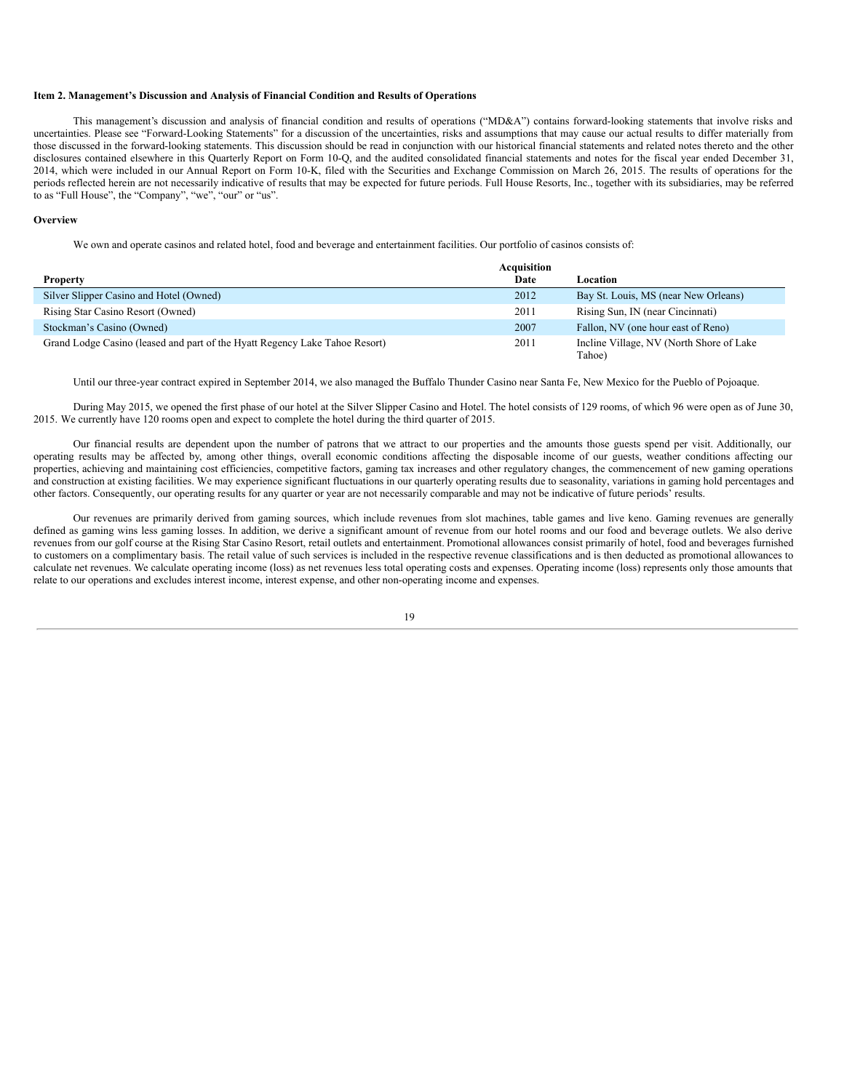#### <span id="page-18-0"></span>**Item 2. Management's Discussion and Analysis of Financial Condition and Results of Operations**

This management's discussion and analysis of financial condition and results of operations ("MD&A") contains forward-looking statements that involve risks and uncertainties. Please see "Forward-Looking Statements" for a discussion of the uncertainties, risks and assumptions that may cause our actual results to differ materially from those discussed in the forward-looking statements. This discussion should be read in conjunction with our historical financial statements and related notes thereto and the other disclosures contained elsewhere in this Quarterly Report on Form 10-Q, and the audited consolidated financial statements and notes for the fiscal year ended December 31, 2014, which were included in our Annual Report on Form 10-K, filed with the Securities and Exchange Commission on March 26, 2015. The results of operations for the periods reflected herein are not necessarily indicative of results that may be expected for future periods. Full House Resorts, Inc., together with its subsidiaries, may be referred to as "Full House", the "Company", "we", "our" or "us".

#### **Overview**

We own and operate casinos and related hotel, food and beverage and entertainment facilities. Our portfolio of casinos consists of:

|                                                                             | Acquisition |                                                     |
|-----------------------------------------------------------------------------|-------------|-----------------------------------------------------|
| <b>Property</b>                                                             | Date        | Location                                            |
| Silver Slipper Casino and Hotel (Owned)                                     | 2012        | Bay St. Louis, MS (near New Orleans)                |
| Rising Star Casino Resort (Owned)                                           | 2011        | Rising Sun, IN (near Cincinnati)                    |
| Stockman's Casino (Owned)                                                   | 2007        | Fallon, NV (one hour east of Reno)                  |
| Grand Lodge Casino (leased and part of the Hyatt Regency Lake Tahoe Resort) | 2011        | Incline Village, NV (North Shore of Lake)<br>Tahoe) |

Until our three-year contract expired in September 2014, we also managed the Buffalo Thunder Casino near Santa Fe, New Mexico for the Pueblo of Pojoaque.

During May 2015, we opened the first phase of our hotel at the Silver Slipper Casino and Hotel. The hotel consists of 129 rooms, of which 96 were open as of June 30, 2015. We currently have 120 rooms open and expect to complete the hotel during the third quarter of 2015.

Our financial results are dependent upon the number of patrons that we attract to our properties and the amounts those guests spend per visit. Additionally, our operating results may be affected by, among other things, overall economic conditions affecting the disposable income of our guests, weather conditions affecting our properties, achieving and maintaining cost efficiencies, competitive factors, gaming tax increases and other regulatory changes, the commencement of new gaming operations and construction at existing facilities. We may experience significant fluctuations in our quarterly operating results due to seasonality, variations in gaming hold percentages and other factors. Consequently, our operating results for any quarter or year are not necessarily comparable and may not be indicative of future periods' results.

Our revenues are primarily derived from gaming sources, which include revenues from slot machines, table games and live keno. Gaming revenues are generally defined as gaming wins less gaming losses. In addition, we derive a significant amount of revenue from our hotel rooms and our food and beverage outlets. We also derive revenues from our golf course at the Rising Star Casino Resort, retail outlets and entertainment. Promotional allowances consist primarily of hotel, food and beverages furnished to customers on a complimentary basis. The retail value of such services is included in the respective revenue classifications and is then deducted as promotional allowances to calculate net revenues. We calculate operating income (loss) as net revenues less total operating costs and expenses. Operating income (loss) represents only those amounts that relate to our operations and excludes interest income, interest expense, and other non-operating income and expenses.

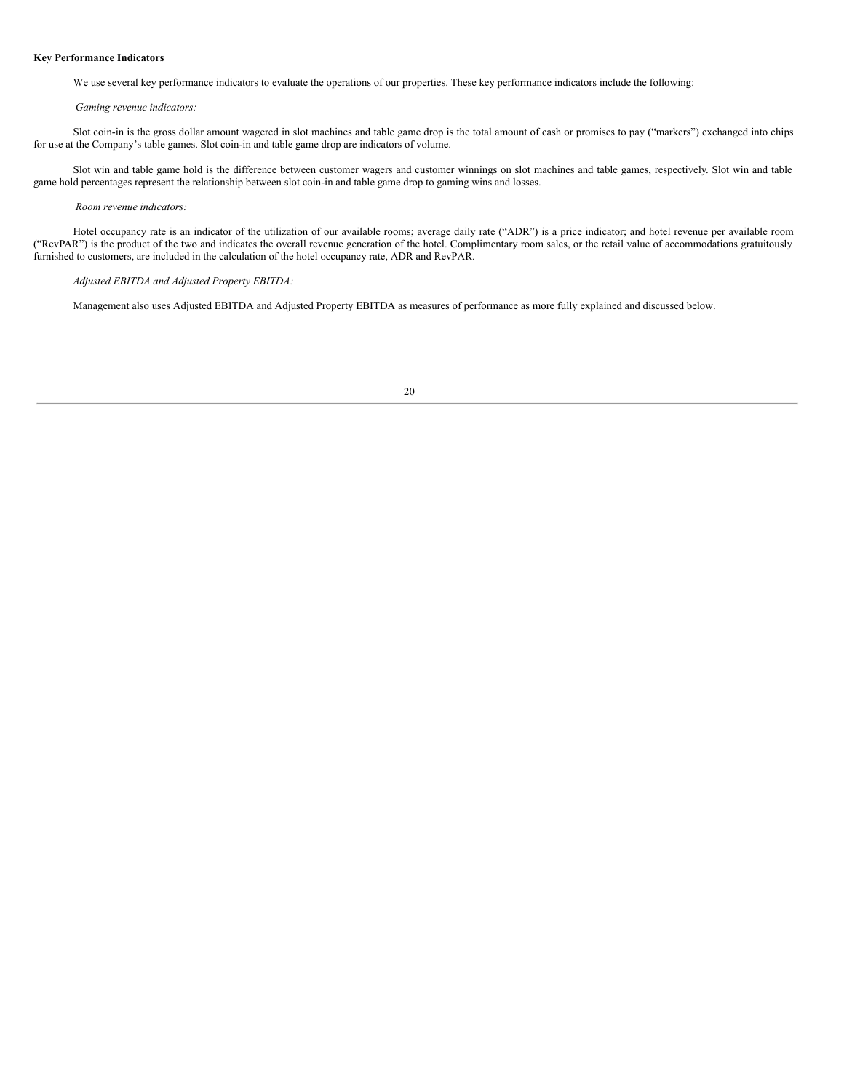#### **Key Performance Indicators**

We use several key performance indicators to evaluate the operations of our properties. These key performance indicators include the following:

#### *Gaming revenue indicators:*

Slot coin-in is the gross dollar amount wagered in slot machines and table game drop is the total amount of cash or promises to pay ("markers") exchanged into chips for use at the Company's table games. Slot coin-in and table game drop are indicators of volume.

Slot win and table game hold is the difference between customer wagers and customer winnings on slot machines and table games, respectively. Slot win and table game hold percentages represent the relationship between slot coin-in and table game drop to gaming wins and losses.

#### *Room revenue indicators:*

Hotel occupancy rate is an indicator of the utilization of our available rooms; average daily rate ("ADR") is a price indicator; and hotel revenue per available room ("RevPAR") is the product of the two and indicates the overall revenue generation of the hotel. Complimentary room sales, or the retail value of accommodations gratuitously furnished to customers, are included in the calculation of the hotel occupancy rate, ADR and RevPAR.

# *Adjusted EBITDA and Adjusted Property EBITDA:*

Management also uses Adjusted EBITDA and Adjusted Property EBITDA as measures of performance as more fully explained and discussed below.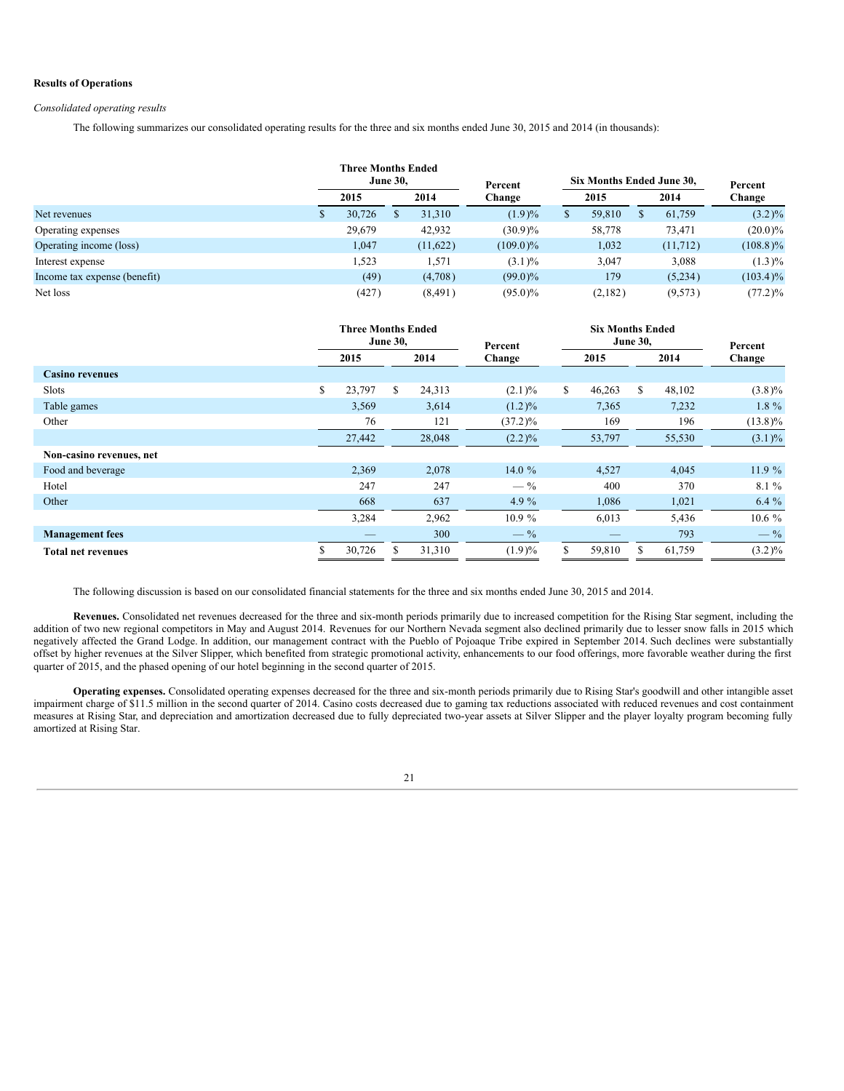#### **Results of Operations**

#### *Consolidated operating results*

The following summarizes our consolidated operating results for the three and six months ended June 30, 2015 and 2014 (in thousands):

|                              | <b>Three Months Ended</b> | <b>June 30,</b> |          | Percent     | Six Months Ended June 30. |           | Percent     |  |
|------------------------------|---------------------------|-----------------|----------|-------------|---------------------------|-----------|-------------|--|
|                              | 2015                      |                 | 2014     | Change      | 2015                      | 2014      | Change      |  |
| Net revenues                 | 30,726                    |                 | 31,310   | (1.9)%      | 59,810                    | 61,759    | $(3.2)\%$   |  |
| Operating expenses           | 29.679                    |                 | 42,932   | (30.9)%     | 58,778                    | 73,471    | $(20.0)\%$  |  |
| Operating income (loss)      | 1,047                     |                 | (11,622) | $(109.0)\%$ | 1,032                     | (11, 712) | $(108.8)\%$ |  |
| Interest expense             | 1,523                     |                 | 1,571    | $(3.1)\%$   | 3,047                     | 3,088     | $(1.3)\%$   |  |
| Income tax expense (benefit) | (49)                      |                 | (4,708)  | $(99.0)\%$  | 179                       | (5,234)   | $(103.4)\%$ |  |
| Net loss                     | (427)                     |                 | (8,491)  | $(95.0)\%$  | (2,182)                   | (9,573)   | $(77.2)\%$  |  |

|                           |    | <b>Three Months Ended</b> | <b>June 30,</b> |        | Percent    | <b>Six Months Ended</b> | <b>June 30,</b> |        | Percent    |
|---------------------------|----|---------------------------|-----------------|--------|------------|-------------------------|-----------------|--------|------------|
|                           |    | 2015                      | 2014            |        | Change     | 2015                    |                 | 2014   | Change     |
| <b>Casino revenues</b>    |    |                           |                 |        |            |                         |                 |        |            |
| <b>Slots</b>              | \$ | 23,797                    | \$              | 24,313 | $(2.1)\%$  | \$<br>46,263            | \$              | 48,102 | $(3.8)\%$  |
| Table games               |    | 3,569                     |                 | 3,614  | $(1.2)\%$  | 7.365                   |                 | 7,232  | $1.8\%$    |
| Other                     |    | 76                        |                 | 121    | $(37.2)\%$ | 169                     |                 | 196    | $(13.8)\%$ |
|                           |    | 27,442                    |                 | 28,048 | $(2.2)\%$  | 53,797                  |                 | 55,530 | $(3.1)\%$  |
| Non-casino revenues, net  |    |                           |                 |        |            |                         |                 |        |            |
| Food and beverage         |    | 2,369                     |                 | 2,078  | 14.0 %     | 4,527                   |                 | 4,045  | 11.9%      |
| Hotel                     |    | 247                       |                 | 247    | $-$ %      | 400                     |                 | 370    | $8.1\%$    |
| Other                     |    | 668                       |                 | 637    | 4.9 $%$    | 1,086                   |                 | 1,021  | $6.4\%$    |
|                           |    | 3,284                     |                 | 2,962  | $10.9\%$   | 6,013                   |                 | 5,436  | $10.6\%$   |
| <b>Management</b> fees    |    |                           |                 | 300    | $-$ %      | _                       |                 | 793    | $-$ %      |
| <b>Total net revenues</b> | S  | 30,726                    |                 | 31,310 | $(1.9)\%$  | \$<br>59,810            |                 | 61,759 | $(3.2)\%$  |

The following discussion is based on our consolidated financial statements for the three and six months ended June 30, 2015 and 2014.

**Revenues.** Consolidated net revenues decreased for the three and six-month periods primarily due to increased competition for the Rising Star segment, including the addition of two new regional competitors in May and August 2014. Revenues for our Northern Nevada segment also declined primarily due to lesser snow falls in 2015 which negatively affected the Grand Lodge. In addition, our management contract with the Pueblo of Pojoaque Tribe expired in September 2014. Such declines were substantially offset by higher revenues at the Silver Slipper, which benefited from strategic promotional activity, enhancements to our food offerings, more favorable weather during the first quarter of 2015, and the phased opening of our hotel beginning in the second quarter of 2015.

**Operating expenses.** Consolidated operating expenses decreased for the three and six-month periods primarily due to Rising Star's goodwill and other intangible asset impairment charge of \$11.5 million in the second quarter of 2014. Casino costs decreased due to gaming tax reductions associated with reduced revenues and cost containment measures at Rising Star, and depreciation and amortization decreased due to fully depreciated two-year assets at Silver Slipper and the player loyalty program becoming fully amortized at Rising Star.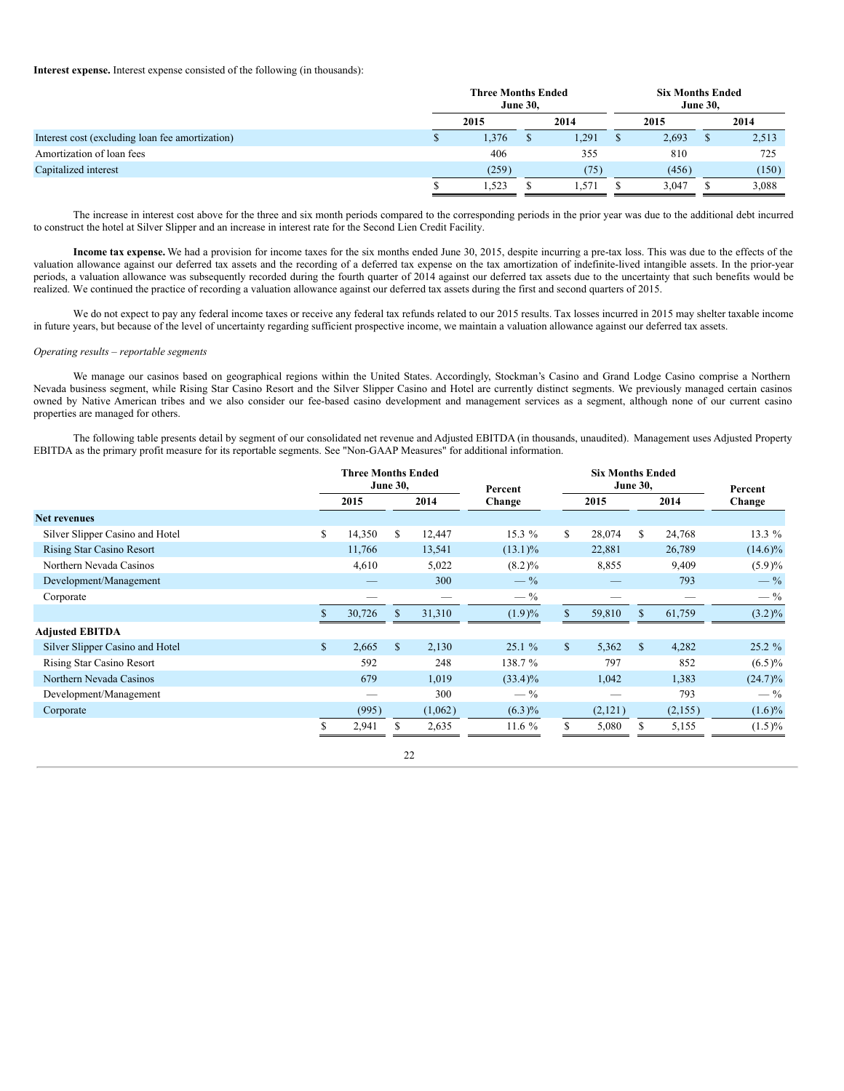#### **Interest expense.** Interest expense consisted of the following (in thousands):

|                                                 | <b>Three Months Ended</b> | <b>June 30.</b> | <b>Six Months Ended</b><br><b>June 30,</b> |  |       |  |       |
|-------------------------------------------------|---------------------------|-----------------|--------------------------------------------|--|-------|--|-------|
|                                                 | 2015                      | 2014            |                                            |  | 2015  |  | 2014  |
| Interest cost (excluding loan fee amortization) | 1,376                     |                 | 1,291                                      |  | 2,693 |  | 2,513 |
| Amortization of loan fees                       | 406                       |                 | 355                                        |  | 810   |  | 725   |
| Capitalized interest                            | (259)                     |                 | (75)                                       |  | (456) |  | (150) |
|                                                 | 1,523                     |                 | .571                                       |  | 3,047 |  | 3,088 |

The increase in interest cost above for the three and six month periods compared to the corresponding periods in the prior year was due to the additional debt incurred to construct the hotel at Silver Slipper and an increase in interest rate for the Second Lien Credit Facility.

**Income tax expense.** We had a provision for income taxes for the six months ended June 30, 2015, despite incurring a pre-tax loss. This was due to the effects of the valuation allowance against our deferred tax assets and the recording of a deferred tax expense on the tax amortization of indefinite-lived intangible assets. In the prior-year periods, a valuation allowance was subsequently recorded during the fourth quarter of 2014 against our deferred tax assets due to the uncertainty that such benefits would be realized. We continued the practice of recording a valuation allowance against our deferred tax assets during the first and second quarters of 2015.

We do not expect to pay any federal income taxes or receive any federal tax refunds related to our 2015 results. Tax losses incurred in 2015 may shelter taxable income in future years, but because of the level of uncertainty regarding sufficient prospective income, we maintain a valuation allowance against our deferred tax assets.

#### *Operating results – reportable segments*

We manage our casinos based on geographical regions within the United States. Accordingly, Stockman's Casino and Grand Lodge Casino comprise a Northern Nevada business segment, while Rising Star Casino Resort and the Silver Slipper Casino and Hotel are currently distinct segments. We previously managed certain casinos owned by Native American tribes and we also consider our fee-based casino development and management services as a segment, although none of our current casino properties are managed for others.

The following table presents detail by segment of our consolidated net revenue and Adjusted EBITDA (in thousands, unaudited). Management uses Adjusted Property EBITDA as the primary profit measure for its reportable segments. See "Non-GAAP Measures" for additional information.

|                                  |              | <b>Three Months Ended</b> | <b>June 30,</b> |         | Percent    |              | <b>Six Months Ended</b><br><b>June 30,</b> | Percent      |         |            |
|----------------------------------|--------------|---------------------------|-----------------|---------|------------|--------------|--------------------------------------------|--------------|---------|------------|
|                                  |              | 2015                      |                 | 2014    | Change     | 2015         |                                            | 2014         |         | Change     |
| <b>Net revenues</b>              |              |                           |                 |         |            |              |                                            |              |         |            |
| Silver Slipper Casino and Hotel  | S.           | 14,350                    | S.              | 12,447  | $15.3\%$   | S.           | 28,074                                     | S            | 24,768  | 13.3 %     |
| <b>Rising Star Casino Resort</b> |              | 11,766                    |                 | 13,541  | $(13.1)\%$ |              | 22,881                                     |              | 26,789  | $(14.6)\%$ |
| Northern Nevada Casinos          |              | 4,610                     |                 | 5,022   | $(8.2)\%$  |              | 8,855                                      |              | 9,409   | $(5.9)\%$  |
| Development/Management           |              |                           |                 | 300     | $-$ %      |              |                                            |              | 793     | $-$ %      |
| Corporate                        |              |                           |                 |         | $-$ %      |              |                                            |              |         | $-$ %      |
|                                  |              | 30,726                    |                 | 31,310  | $(1.9)\%$  | S.           | 59,810                                     | \$           | 61,759  | $(3.2)\%$  |
| <b>Adjusted EBITDA</b>           |              |                           |                 |         |            |              |                                            |              |         |            |
| Silver Slipper Casino and Hotel  | $\mathbb{S}$ | 2,665                     | $\mathbb{S}$    | 2,130   | 25.1%      | $\mathbb{S}$ | 5,362                                      | <sup>S</sup> | 4,282   | $25.2 \%$  |
| <b>Rising Star Casino Resort</b> |              | 592                       |                 | 248     | 138.7 %    |              | 797                                        |              | 852     | $(6.5)\%$  |
| Northern Nevada Casinos          |              | 679                       |                 | 1,019   | $(33.4)\%$ |              | 1,042                                      |              | 1,383   | $(24.7)\%$ |
| Development/Management           |              | -                         |                 | 300     | $-$ %      |              |                                            |              | 793     | $-$ %      |
| Corporate                        |              | (995)                     |                 | (1,062) | $(6.3)\%$  |              | (2,121)                                    |              | (2,155) | $(1.6)\%$  |
|                                  |              | 2,941                     | ъ               | 2,635   | 11.6 $%$   |              | 5,080                                      | S            | 5,155   | $(1.5)\%$  |
|                                  |              |                           |                 |         |            |              |                                            |              |         |            |

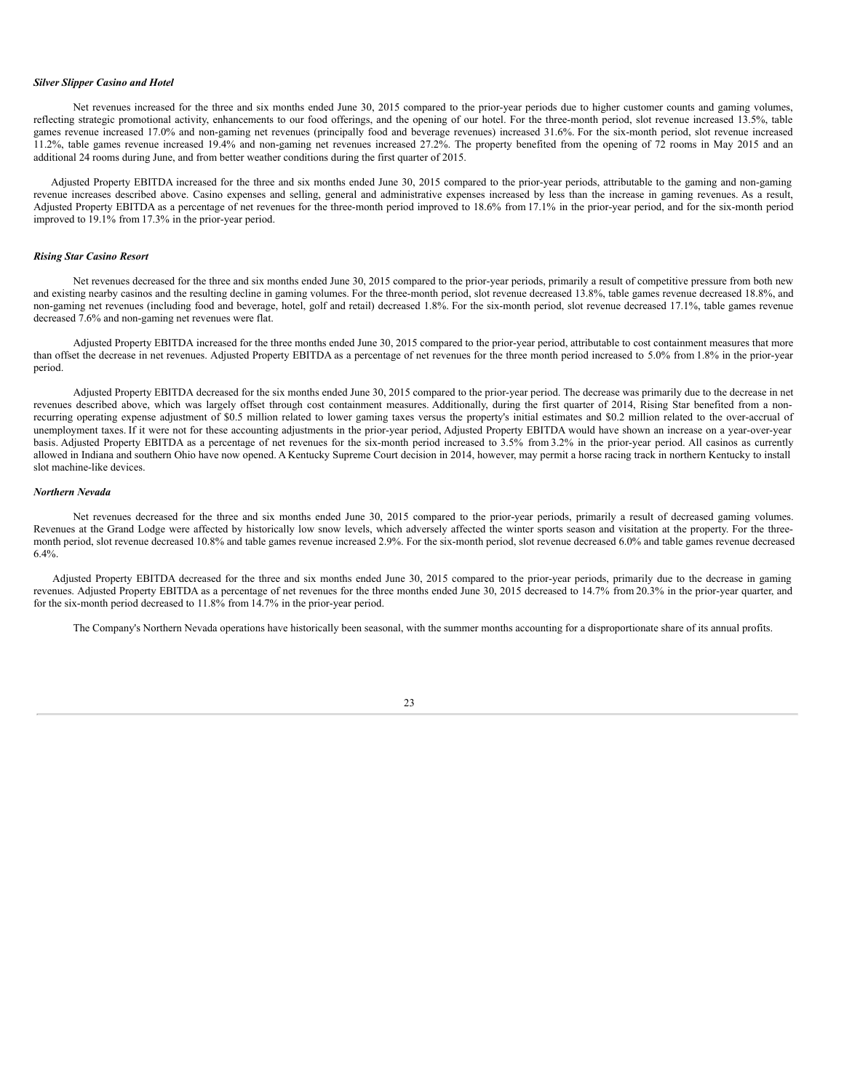#### *Silver Slipper Casino and Hotel*

Net revenues increased for the three and six months ended June 30, 2015 compared to the prior-year periods due to higher customer counts and gaming volumes, reflecting strategic promotional activity, enhancements to our food offerings, and the opening of our hotel. For the three-month period, slot revenue increased 13.5%, table games revenue increased 17.0% and non-gaming net revenues (principally food and beverage revenues) increased 31.6%. For the six-month period, slot revenue increased 11.2%, table games revenue increased 19.4% and non-gaming net revenues increased 27.2%. The property benefited from the opening of 72 rooms in May 2015 and an additional 24 rooms during June, and from better weather conditions during the first quarter of 2015.

Adjusted Property EBITDA increased for the three and six months ended June 30, 2015 compared to the prior-year periods, attributable to the gaming and non-gaming revenue increases described above. Casino expenses and selling, general and administrative expenses increased by less than the increase in gaming revenues. As a result, Adjusted Property EBITDA as a percentage of net revenues for the three-month period improved to 18.6% from 17.1% in the prior-year period, and for the six-month period improved to 19.1% from 17.3% in the prior-year period.

#### *Rising Star Casino Resort*

Net revenues decreased for the three and six months ended June 30, 2015 compared to the prior-year periods, primarily a result of competitive pressure from both new and existing nearby casinos and the resulting decline in gaming volumes. For the three-month period, slot revenue decreased 13.8%, table games revenue decreased 18.8%, and non-gaming net revenues (including food and beverage, hotel, golf and retail) decreased 1.8%. For the six-month period, slot revenue decreased 17.1%, table games revenue decreased 7.6% and non-gaming net revenues were flat.

Adjusted Property EBITDA increased for the three months ended June 30, 2015 compared to the prior-year period, attributable to cost containment measures that more than offset the decrease in net revenues. Adjusted Property EBITDA as a percentage of net revenues for the three month period increased to 5.0% from 1.8% in the prior-year period.

Adjusted Property EBITDA decreased for the six months ended June 30, 2015 compared to the prior-year period. The decrease was primarily due to the decrease in net revenues described above, which was largely offset through cost containment measures. Additionally, during the first quarter of 2014, Rising Star benefited from a nonrecurring operating expense adjustment of \$0.5 million related to lower gaming taxes versus the property's initial estimates and \$0.2 million related to the over-accrual of unemployment taxes. If it were not for these accounting adjustments in the prior-year period, Adjusted Property EBITDA would have shown an increase on a year-over-year basis. Adjusted Property EBITDA as a percentage of net revenues for the six-month period increased to 3.5% from 3.2% in the prior-year period. All casinos as currently allowed in Indiana and southern Ohio have now opened. A Kentucky Supreme Court decision in 2014, however, may permit a horse racing track in northern Kentucky to install slot machine-like devices.

#### *Northern Nevada*

Net revenues decreased for the three and six months ended June 30, 2015 compared to the prior-year periods, primarily a result of decreased gaming volumes. Revenues at the Grand Lodge were affected by historically low snow levels, which adversely affected the winter sports season and visitation at the property. For the threemonth period, slot revenue decreased 10.8% and table games revenue increased 2.9%. For the six-month period, slot revenue decreased 6.0% and table games revenue decreased 6.4%.

Adjusted Property EBITDA decreased for the three and six months ended June 30, 2015 compared to the prior-year periods, primarily due to the decrease in gaming revenues. Adjusted Property EBITDA as a percentage of net revenues for the three months ended June 30, 2015 decreased to 14.7% from 20.3% in the prior-year quarter, and for the six-month period decreased to 11.8% from 14.7% in the prior-year period.

The Company's Northern Nevada operations have historically been seasonal, with the summer months accounting for a disproportionate share of its annual profits.

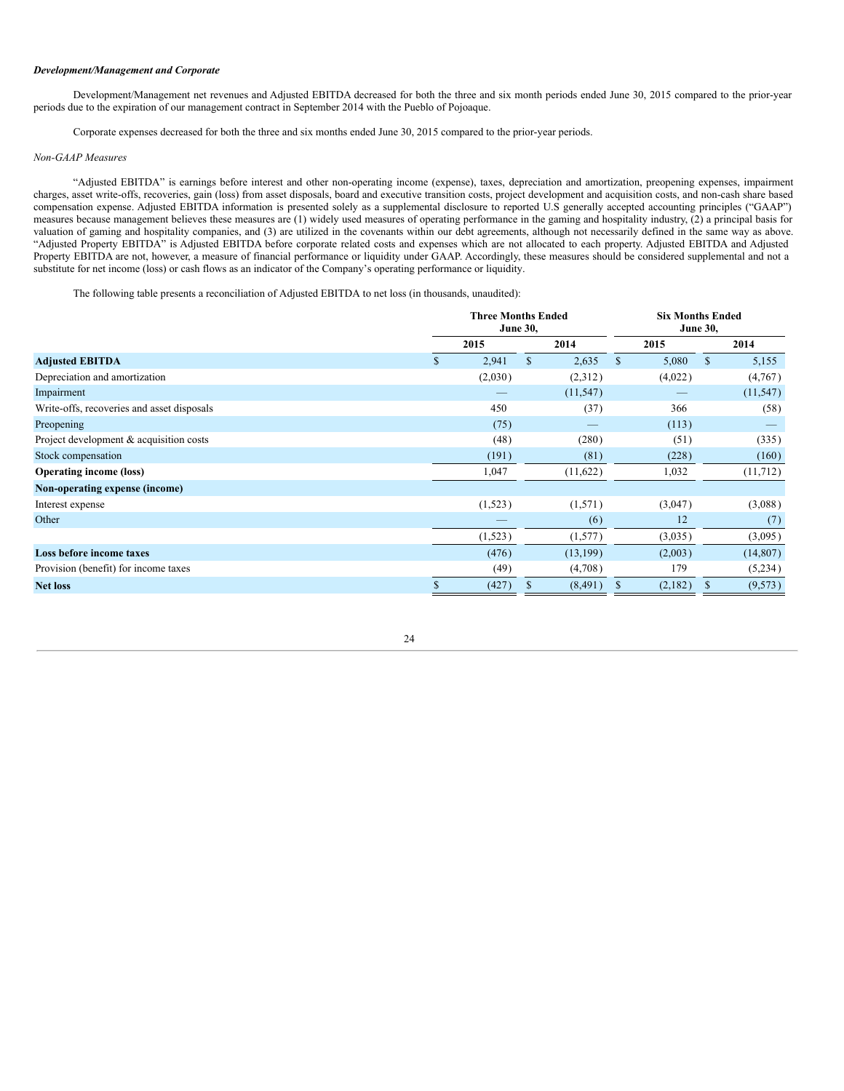#### *Development/Management and Corporate*

Development/Management net revenues and Adjusted EBITDA decreased for both the three and six month periods ended June 30, 2015 compared to the prior-year periods due to the expiration of our management contract in September 2014 with the Pueblo of Pojoaque.

Corporate expenses decreased for both the three and six months ended June 30, 2015 compared to the prior-year periods.

### *Non-GAAP Measures*

"Adjusted EBITDA" is earnings before interest and other non-operating income (expense), taxes, depreciation and amortization, preopening expenses, impairment charges, asset write-offs, recoveries, gain (loss) from asset disposals, board and executive transition costs, project development and acquisition costs, and non-cash share based compensation expense. Adjusted EBITDA information is presented solely as a supplemental disclosure to reported U.S generally accepted accounting principles ("GAAP") measures because management believes these measures are (1) widely used measures of operating performance in the gaming and hospitality industry, (2) a principal basis for valuation of gaming and hospitality companies, and (3) are utilized in the covenants within our debt agreements, although not necessarily defined in the same way as above. "Adjusted Property EBITDA" is Adjusted EBITDA before corporate related costs and expenses which are not allocated to each property. Adjusted EBITDA and Adjusted Property EBITDA are not, however, a measure of financial performance or liquidity under GAAP. Accordingly, these measures should be considered supplemental and not a substitute for net income (loss) or cash flows as an indicator of the Company's operating performance or liquidity.

The following table presents a reconciliation of Adjusted EBITDA to net loss (in thousands, unaudited):

|                                            | <b>Three Months Ended</b><br><b>June 30,</b> |              |           | <b>Six Months Ended</b> | <b>June 30,</b> |   |           |
|--------------------------------------------|----------------------------------------------|--------------|-----------|-------------------------|-----------------|---|-----------|
|                                            | 2015                                         |              | 2014      | 2015                    |                 |   | 2014      |
| <b>Adjusted EBITDA</b>                     | \$<br>2,941                                  | $\mathbb{S}$ | 2,635     | <sup>\$</sup>           | 5,080           | S | 5,155     |
| Depreciation and amortization              | (2,030)                                      |              | (2,312)   |                         | (4,022)         |   | (4,767)   |
| Impairment                                 |                                              |              | (11, 547) |                         |                 |   | (11, 547) |
| Write-offs, recoveries and asset disposals | 450                                          |              | (37)      |                         | 366             |   | (58)      |
| Preopening                                 | (75)                                         |              |           |                         | (113)           |   |           |
| Project development & acquisition costs    | (48)                                         |              | (280)     |                         | (51)            |   | (335)     |
| Stock compensation                         | (191)                                        |              | (81)      |                         | (228)           |   | (160)     |
| <b>Operating income (loss)</b>             | 1,047                                        |              | (11,622)  |                         | 1,032           |   | (11,712)  |
| Non-operating expense (income)             |                                              |              |           |                         |                 |   |           |
| Interest expense                           | (1,523)                                      |              | (1,571)   |                         | (3,047)         |   | (3,088)   |
| Other                                      |                                              |              | (6)       |                         | 12              |   | (7)       |
|                                            | (1, 523)                                     |              | (1,577)   |                         | (3,035)         |   | (3,095)   |
| Loss before income taxes                   | (476)                                        |              | (13, 199) |                         | (2,003)         |   | (14, 807) |
| Provision (benefit) for income taxes       | (49)                                         |              | (4,708)   |                         | 179             |   | (5,234)   |
| <b>Net loss</b>                            | \$<br>(427)                                  | S            | (8,491)   | S                       | (2,182)         | S | (9,573)   |

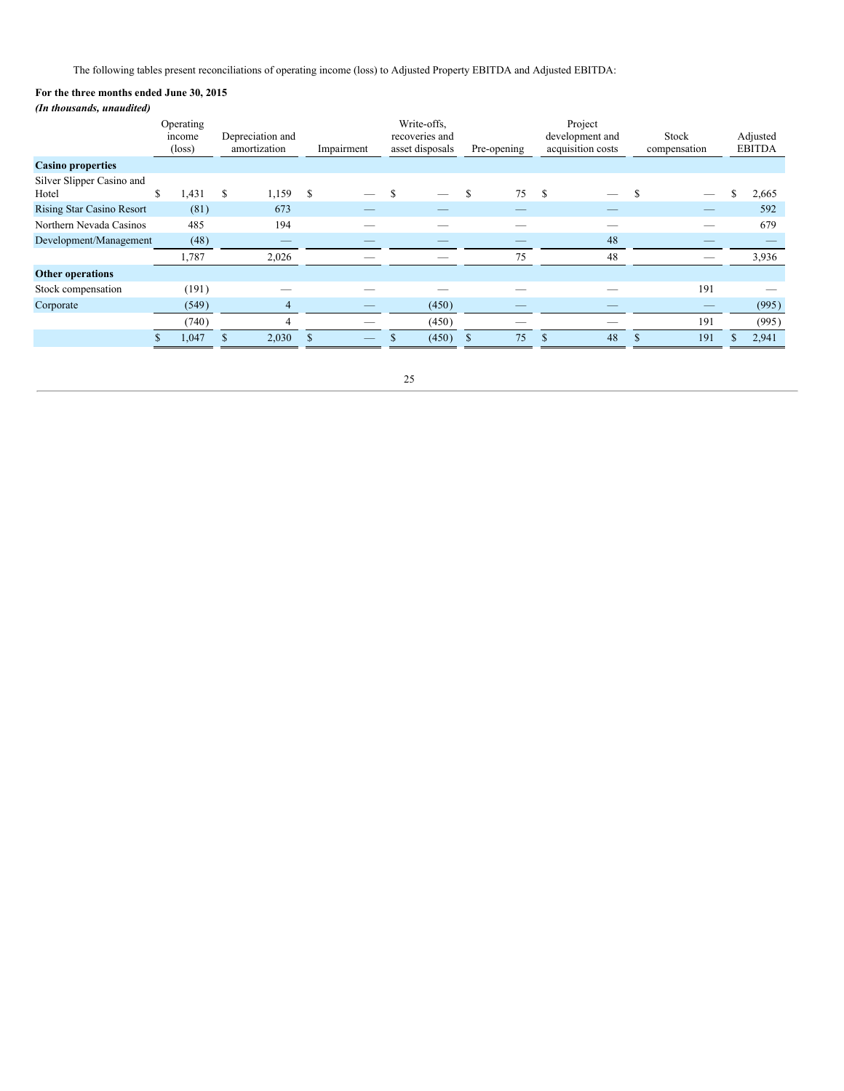The following tables present reconciliations of operating income (loss) to Adjusted Property EBITDA and Adjusted EBITDA:

# **For the three months ended June 30, 2015**

*(In thousands, unaudited)*

|                                    | Operating<br>income<br>$(\text{loss})$ | Depreciation and<br>amortization |                | Impairment |  | Write-offs.<br>recoveries and<br>asset disposals |       | Pre-opening |    | Project<br>development and<br>acquisition costs |    | Stock<br>compensation |     |   | Adjusted<br><b>EBITDA</b> |
|------------------------------------|----------------------------------------|----------------------------------|----------------|------------|--|--------------------------------------------------|-------|-------------|----|-------------------------------------------------|----|-----------------------|-----|---|---------------------------|
| <b>Casino properties</b>           |                                        |                                  |                |            |  |                                                  |       |             |    |                                                 |    |                       |     |   |                           |
| Silver Slipper Casino and<br>Hotel | \$<br>1,431                            | S                                | 1,159          | S          |  |                                                  |       |             | 75 | S                                               |    |                       |     | S | 2,665                     |
| <b>Rising Star Casino Resort</b>   | (81)                                   |                                  | 673            |            |  |                                                  |       |             | _  |                                                 | _  |                       |     |   | 592                       |
| Northern Nevada Casinos            | 485                                    |                                  | 194            |            |  |                                                  |       |             |    |                                                 |    |                       |     |   | 679                       |
| Development/Management             | (48)                                   |                                  |                |            |  |                                                  |       |             |    |                                                 | 48 |                       |     |   |                           |
|                                    | 1,787                                  |                                  | 2,026          |            |  |                                                  |       |             | 75 |                                                 | 48 |                       |     |   | 3,936                     |
| <b>Other operations</b>            |                                        |                                  |                |            |  |                                                  |       |             |    |                                                 |    |                       |     |   |                           |
| Stock compensation                 | (191)                                  |                                  |                |            |  |                                                  |       |             |    |                                                 |    |                       | 191 |   |                           |
| Corporate                          | (549)                                  |                                  | $\overline{4}$ |            |  |                                                  | (450) |             |    |                                                 |    |                       | _   |   | (995)                     |
|                                    | (740)                                  |                                  | 4              |            |  |                                                  | (450) |             |    |                                                 |    |                       | 191 |   | (995)                     |
|                                    | 1,047                                  |                                  | 2,030          | \$.        |  |                                                  | (450) | ъ           | 75 |                                                 | 48 |                       | 191 |   | 2,941                     |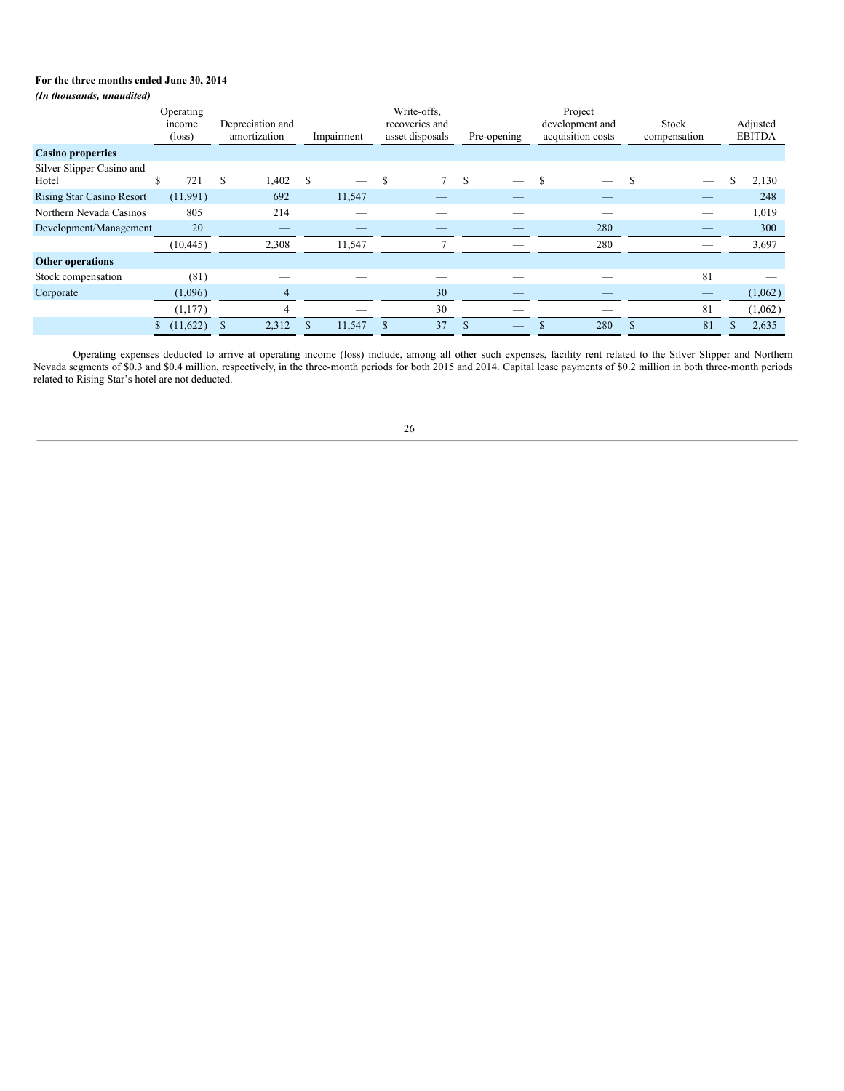# **For the three months ended June 30, 2014**

# *(In thousands, unaudited)*

|                                    |    | Operating<br>income<br>$(\text{loss})$ | Depreciation and<br>amortization |   | Impairment |   | Write-offs.<br>recoveries and<br>asset disposals |    | Pre-opening              | Project<br>development and<br>acquisition costs | Stock<br>compensation |   | Adjusted<br><b>EBITDA</b> |
|------------------------------------|----|----------------------------------------|----------------------------------|---|------------|---|--------------------------------------------------|----|--------------------------|-------------------------------------------------|-----------------------|---|---------------------------|
| <b>Casino properties</b>           |    |                                        |                                  |   |            |   |                                                  |    |                          |                                                 |                       |   |                           |
| Silver Slipper Casino and<br>Hotel | S  | 721                                    | \$<br>1,402                      | S | -          | S |                                                  | £. | $\overline{\phantom{a}}$ |                                                 |                       | S | 2,130                     |
| <b>Rising Star Casino Resort</b>   |    | (11,991)                               | 692                              |   | 11,547     |   |                                                  |    |                          |                                                 |                       |   | 248                       |
| Northern Nevada Casinos            |    | 805                                    | 214                              |   |            |   |                                                  |    |                          |                                                 |                       |   | 1,019                     |
| Development/Management             |    | 20                                     |                                  |   |            |   |                                                  |    |                          | 280                                             |                       |   | 300                       |
|                                    |    | (10, 445)                              | 2,308                            |   | 11,547     |   |                                                  |    |                          | 280                                             |                       |   | 3,697                     |
| <b>Other operations</b>            |    |                                        |                                  |   |            |   |                                                  |    |                          |                                                 |                       |   |                           |
| Stock compensation                 |    | (81)                                   |                                  |   |            |   |                                                  |    |                          |                                                 | 81                    |   |                           |
| Corporate                          |    | (1,096)                                | 4                                |   |            |   | 30                                               |    |                          |                                                 |                       |   | (1,062)                   |
|                                    |    | (1,177)                                | 4                                |   |            |   | 30                                               |    |                          |                                                 | 81                    |   | (1,062)                   |
|                                    | S. | (11,622)                               | 2,312                            | S | 11,547     |   | 37                                               |    |                          | 280                                             | \$<br>81              |   | 2,635                     |

Operating expenses deducted to arrive at operating income (loss) include, among all other such expenses, facility rent related to the Silver Slipper and Northern Nevada segments of \$0.3 and \$0.4 million, respectively, in the three-month periods for both 2015 and 2014. Capital lease payments of \$0.2 million in both three-month periods related to Rising Star's hotel are not deducted.

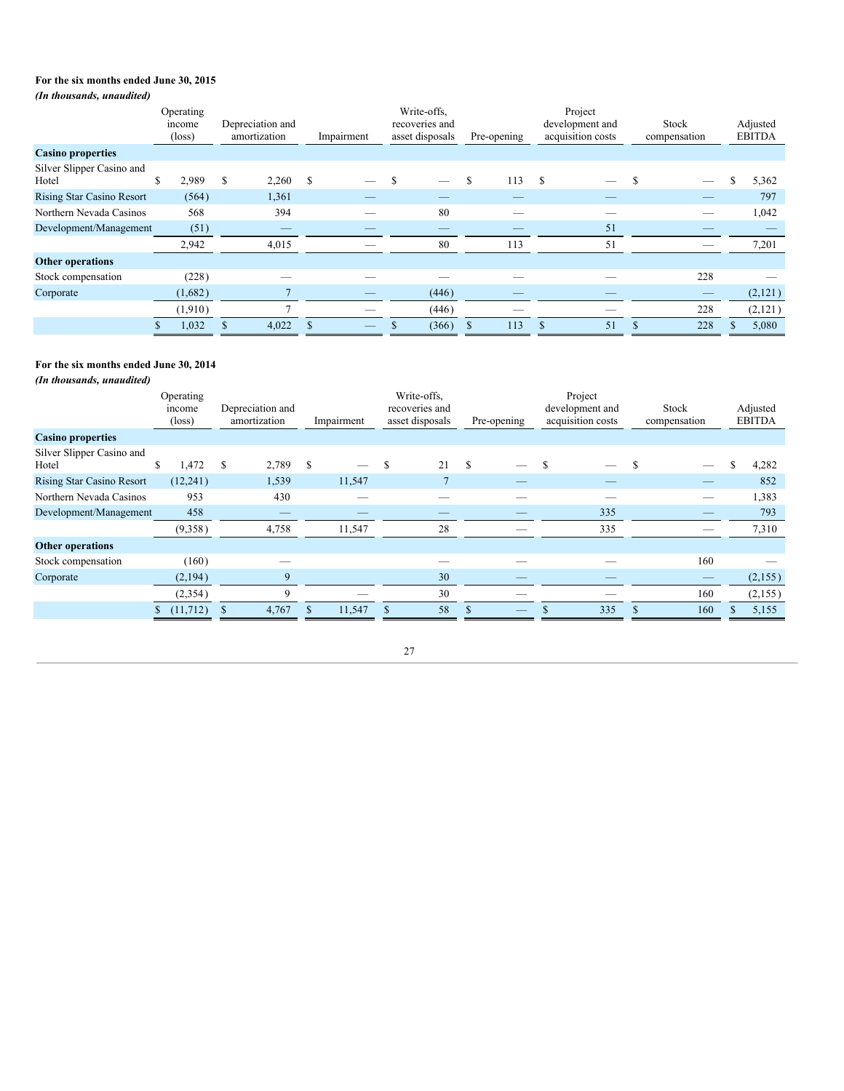# **For the six months ended June 30, 2015**

# *(In thousands, unaudited)*

|                                    |   | Operating<br>income<br>$(\text{loss})$ |     | Depreciation and<br>amortization |    | Impairment | Write-offs.<br>recoveries and<br>asset disposals |          | Pre-opening |   | Project<br>development and<br>acquisition costs | Stock<br>compensation | Adjusted<br><b>EBITDA</b> |
|------------------------------------|---|----------------------------------------|-----|----------------------------------|----|------------|--------------------------------------------------|----------|-------------|---|-------------------------------------------------|-----------------------|---------------------------|
| <b>Casino properties</b>           |   |                                        |     |                                  |    |            |                                                  |          |             |   |                                                 |                       |                           |
| Silver Slipper Casino and<br>Hotel | S | 2,989                                  | \$. | 2,260                            | S  |            |                                                  | S        | 113         | S |                                                 |                       | 5,362                     |
| <b>Rising Star Casino Resort</b>   |   | (564)                                  |     | 1,361                            |    |            |                                                  |          |             |   |                                                 |                       | 797                       |
| Northern Nevada Casinos            |   | 568                                    |     | 394                              |    |            | 80                                               |          |             |   |                                                 |                       | 1,042                     |
| Development/Management             |   | (51)                                   |     |                                  |    |            |                                                  |          |             |   | 51                                              |                       |                           |
|                                    |   | 2,942                                  |     | 4,015                            |    |            | 80                                               |          | 113         |   | 51                                              |                       | 7,201                     |
| Other operations                   |   |                                        |     |                                  |    |            |                                                  |          |             |   |                                                 |                       |                           |
| Stock compensation                 |   | (228)                                  |     |                                  |    |            |                                                  |          |             |   |                                                 | 228                   |                           |
| Corporate                          |   | (1,682)                                |     |                                  |    |            | (446)                                            |          |             |   |                                                 |                       | (2,121)                   |
|                                    |   | (1,910)                                |     | п                                |    |            | (446)                                            |          |             |   |                                                 | 228                   | (2,121)                   |
|                                    |   | 1,032                                  |     | 4,022                            | \$ |            | (366)                                            | <b>S</b> | 113         |   | 51                                              | 228                   | 5,080                     |

# **For the six months ended June 30, 2014**

*(In thousands, unaudited)*

|                                    |   | Operating<br>income<br>$(\text{loss})$ |   | Depreciation and<br>amortization |   | Impairment |   | Write-offs.<br>recoveries and<br>asset disposals |               | Pre-opening | Project<br>development and<br>acquisition costs |   | Stock<br>compensation    | Adjusted<br><b>EBITDA</b> |
|------------------------------------|---|----------------------------------------|---|----------------------------------|---|------------|---|--------------------------------------------------|---------------|-------------|-------------------------------------------------|---|--------------------------|---------------------------|
| <b>Casino properties</b>           |   |                                        |   |                                  |   |            |   |                                                  |               |             |                                                 |   |                          |                           |
| Silver Slipper Casino and<br>Hotel | S | 1,472                                  | S | 2,789                            | S | _          | S | 21                                               | <sup>\$</sup> | _           | -                                               | S | $\overline{\phantom{a}}$ | \$<br>4,282               |
| <b>Rising Star Casino Resort</b>   |   | (12,241)                               |   | 1,539                            |   | 11,547     |   |                                                  |               | _           |                                                 |   |                          | 852                       |
| Northern Nevada Casinos            |   | 953                                    |   | 430                              |   |            |   |                                                  |               |             |                                                 |   |                          | 1,383                     |
| Development/Management             |   | 458                                    |   |                                  |   |            |   |                                                  |               |             | 335                                             |   |                          | 793                       |
|                                    |   | (9,358)                                |   | 4,758                            |   | 11,547     |   | 28                                               |               |             | 335                                             |   |                          | 7,310                     |
| <b>Other operations</b>            |   |                                        |   |                                  |   |            |   |                                                  |               |             |                                                 |   |                          |                           |
| Stock compensation                 |   | (160)                                  |   |                                  |   |            |   |                                                  |               |             |                                                 |   | 160                      |                           |
| Corporate                          |   | (2,194)                                |   | 9                                |   |            |   | 30                                               |               |             |                                                 |   |                          | (2,155)                   |
|                                    |   | (2,354)                                |   | 9                                |   |            |   | 30                                               |               |             |                                                 |   | 160                      | (2,155)                   |
|                                    |   | (11,712)                               |   | 4,767                            |   | 11,547     |   | 58                                               |               |             | 335                                             |   | 160                      | 5,155                     |
|                                    |   |                                        |   |                                  |   |            |   |                                                  |               |             |                                                 |   |                          |                           |

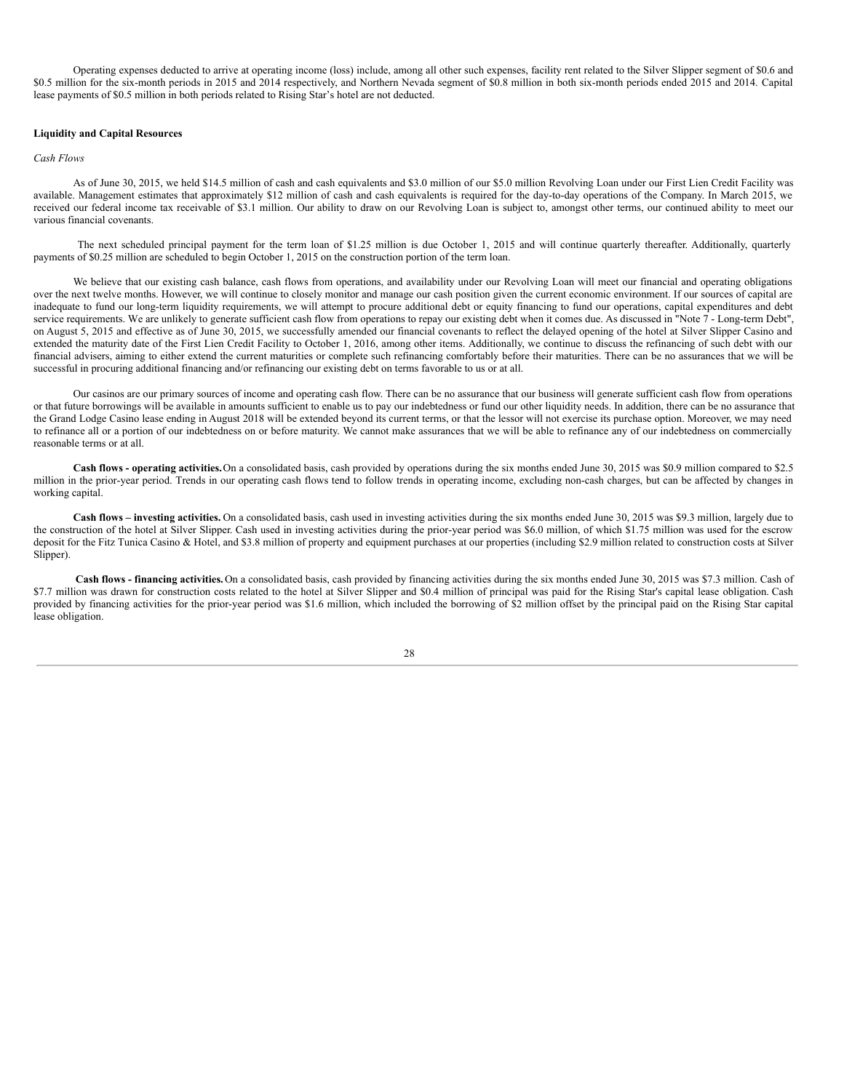Operating expenses deducted to arrive at operating income (loss) include, among all other such expenses, facility rent related to the Silver Slipper segment of \$0.6 and \$0.5 million for the six-month periods in 2015 and 2014 respectively, and Northern Nevada segment of \$0.8 million in both six-month periods ended 2015 and 2014. Capital lease payments of \$0.5 million in both periods related to Rising Star's hotel are not deducted.

#### **Liquidity and Capital Resources**

### *Cash Flows*

As of June 30, 2015, we held \$14.5 million of cash and cash equivalents and \$3.0 million of our \$5.0 million Revolving Loan under our First Lien Credit Facility was available. Management estimates that approximately \$12 million of cash and cash equivalents is required for the day-to-day operations of the Company. In March 2015, we received our federal income tax receivable of \$3.1 million. Our ability to draw on our Revolving Loan is subject to, amongst other terms, our continued ability to meet our various financial covenants.

The next scheduled principal payment for the term loan of \$1.25 million is due October 1, 2015 and will continue quarterly thereafter. Additionally, quarterly payments of \$0.25 million are scheduled to begin October 1, 2015 on the construction portion of the term loan.

We believe that our existing cash balance, cash flows from operations, and availability under our Revolving Loan will meet our financial and operating obligations over the next twelve months. However, we will continue to closely monitor and manage our cash position given the current economic environment. If our sources of capital are inadequate to fund our long-term liquidity requirements, we will attempt to procure additional debt or equity financing to fund our operations, capital expenditures and debt service requirements. We are unlikely to generate sufficient cash flow from operations to repay our existing debt when it comes due. As discussed in "Note 7 - Long-term Debt", on August 5, 2015 and effective as of June 30, 2015, we successfully amended our financial covenants to reflect the delayed opening of the hotel at Silver Slipper Casino and extended the maturity date of the First Lien Credit Facility to October 1, 2016, among other items. Additionally, we continue to discuss the refinancing of such debt with our financial advisers, aiming to either extend the current maturities or complete such refinancing comfortably before their maturities. There can be no assurances that we will be successful in procuring additional financing and/or refinancing our existing debt on terms favorable to us or at all.

Our casinos are our primary sources of income and operating cash flow. There can be no assurance that our business will generate sufficient cash flow from operations or that future borrowings will be available in amounts sufficient to enable us to pay our indebtedness or fund our other liquidity needs. In addition, there can be no assurance that the Grand Lodge Casino lease ending in August 2018 will be extended beyond its current terms, or that the lessor will not exercise its purchase option. Moreover, we may need to refinance all or a portion of our indebtedness on or before maturity. We cannot make assurances that we will be able to refinance any of our indebtedness on commercially reasonable terms or at all.

**Cash flows - operating activities.**On a consolidated basis, cash provided by operations during the six months ended June 30, 2015 was \$0.9 million compared to \$2.5 million in the prior-year period. Trends in our operating cash flows tend to follow trends in operating income, excluding non-cash charges, but can be affected by changes in working capital.

**Cash flows – investing activities.** On a consolidated basis, cash used in investing activities during the six months ended June 30, 2015 was \$9.3 million, largely due to the construction of the hotel at Silver Slipper. Cash used in investing activities during the prior-year period was \$6.0 million, of which \$1.75 million was used for the escrow deposit for the Fitz Tunica Casino & Hotel, and \$3.8 million of property and equipment purchases at our properties (including \$2.9 million related to construction costs at Silver Slipper).

**Cash flows - financing activities.**On a consolidated basis, cash provided by financing activities during the six months ended June 30, 2015 was \$7.3 million. Cash of \$7.7 million was drawn for construction costs related to the hotel at Silver Slipper and \$0.4 million of principal was paid for the Rising Star's capital lease obligation. Cash provided by financing activities for the prior-year period was \$1.6 million, which included the borrowing of \$2 million offset by the principal paid on the Rising Star capital lease obligation.

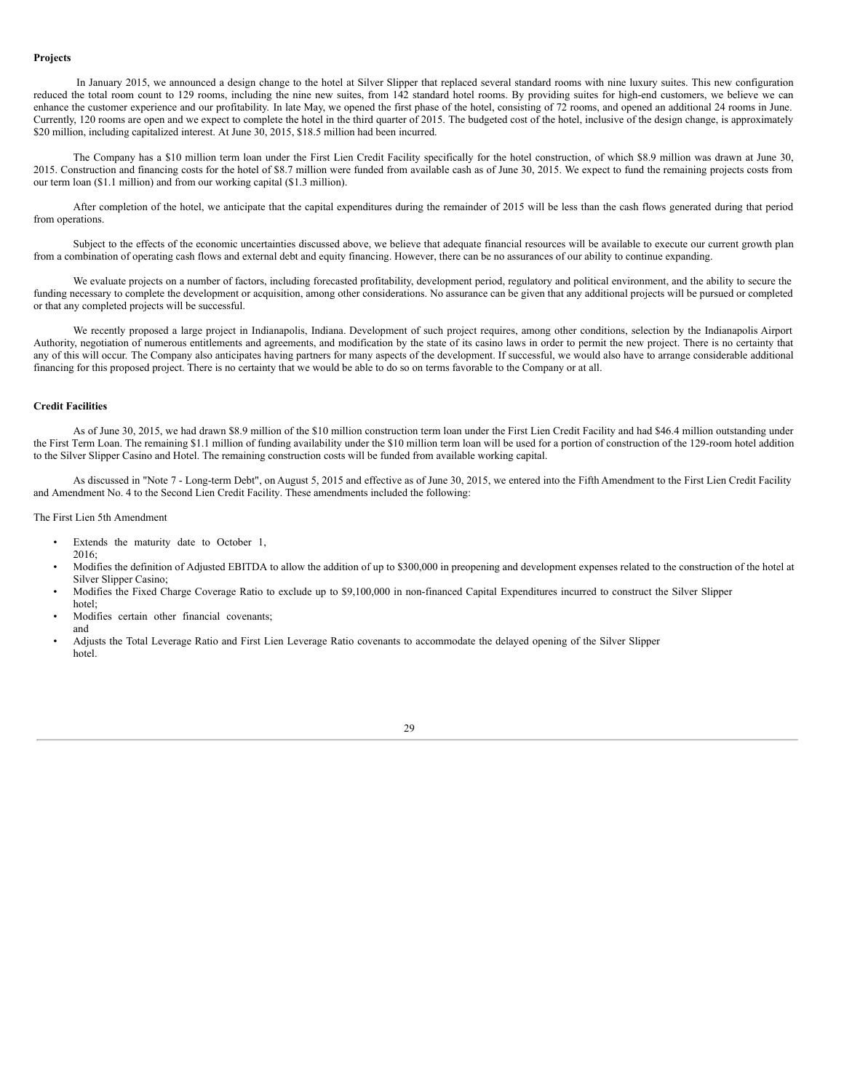#### **Projects**

In January 2015, we announced a design change to the hotel at Silver Slipper that replaced several standard rooms with nine luxury suites. This new configuration reduced the total room count to 129 rooms, including the nine new suites, from 142 standard hotel rooms. By providing suites for high-end customers, we believe we can enhance the customer experience and our profitability. In late May, we opened the first phase of the hotel, consisting of 72 rooms, and opened an additional 24 rooms in June. Currently, 120 rooms are open and we expect to complete the hotel in the third quarter of 2015. The budgeted cost of the hotel, inclusive of the design change, is approximately \$20 million, including capitalized interest. At June 30, 2015, \$18.5 million had been incurred.

The Company has a \$10 million term loan under the First Lien Credit Facility specifically for the hotel construction, of which \$8.9 million was drawn at June 30, 2015. Construction and financing costs for the hotel of \$8.7 million were funded from available cash as of June 30, 2015. We expect to fund the remaining projects costs from our term loan (\$1.1 million) and from our working capital (\$1.3 million).

After completion of the hotel, we anticipate that the capital expenditures during the remainder of 2015 will be less than the cash flows generated during that period from operations.

Subject to the effects of the economic uncertainties discussed above, we believe that adequate financial resources will be available to execute our current growth plan from a combination of operating cash flows and external debt and equity financing. However, there can be no assurances of our ability to continue expanding.

We evaluate projects on a number of factors, including forecasted profitability, development period, regulatory and political environment, and the ability to secure the funding necessary to complete the development or acquisition, among other considerations. No assurance can be given that any additional projects will be pursued or completed or that any completed projects will be successful.

We recently proposed a large project in Indianapolis, Indiana. Development of such project requires, among other conditions, selection by the Indianapolis Airport Authority, negotiation of numerous entitlements and agreements, and modification by the state of its casino laws in order to permit the new project. There is no certainty that any of this will occur. The Company also anticipates having partners for many aspects of the development. If successful, we would also have to arrange considerable additional financing for this proposed project. There is no certainty that we would be able to do so on terms favorable to the Company or at all.

#### **Credit Facilities**

As of June 30, 2015, we had drawn \$8.9 million of the \$10 million construction term loan under the First Lien Credit Facility and had \$46.4 million outstanding under the First Term Loan. The remaining \$1.1 million of funding availability under the \$10 million term loan will be used for a portion of construction of the 129-room hotel addition to the Silver Slipper Casino and Hotel. The remaining construction costs will be funded from available working capital.

As discussed in "Note 7 - Long-term Debt", on August 5, 2015 and effective as of June 30, 2015, we entered into the Fifth Amendment to the First Lien Credit Facility and Amendment No. 4 to the Second Lien Credit Facility. These amendments included the following:

The First Lien 5th Amendment

- Extends the maturity date to October 1,
	- 2016;
- Modifies the definition of Adjusted EBITDA to allow the addition of up to \$300,000 in preopening and development expenses related to the construction of the hotel at Silver Slipper Casino;
- Modifies the Fixed Charge Coverage Ratio to exclude up to \$9,100,000 in non-financed Capital Expenditures incurred to construct the Silver Slipper hotel;
- Modifies certain other financial covenants; and
- Adjusts the Total Leverage Ratio and First Lien Leverage Ratio covenants to accommodate the delayed opening of the Silver Slipper hotel.

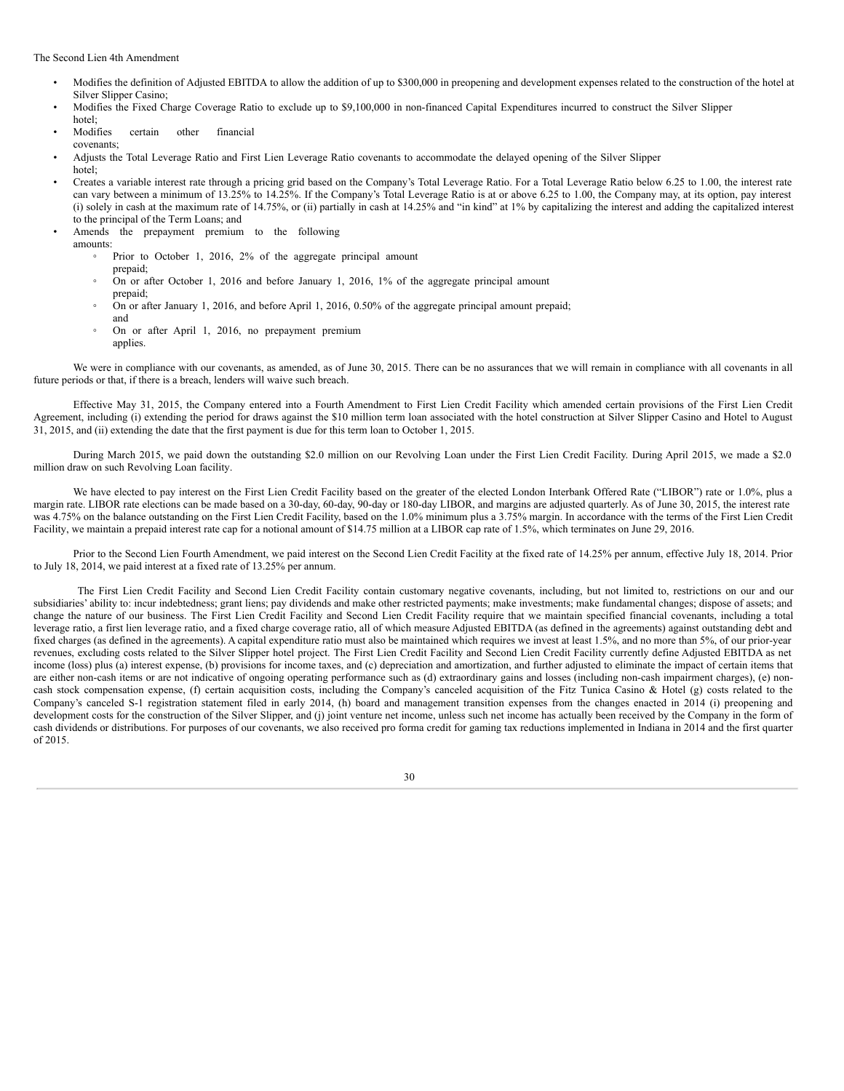The Second Lien 4th Amendment

- Modifies the definition of Adjusted EBITDA to allow the addition of up to \$300,000 in preopening and development expenses related to the construction of the hotel at Silver Slipper Casino;
- Modifies the Fixed Charge Coverage Ratio to exclude up to \$9,100,000 in non-financed Capital Expenditures incurred to construct the Silver Slipper hotel;
- Modifies certain other financial covenants;
- Adjusts the Total Leverage Ratio and First Lien Leverage Ratio covenants to accommodate the delayed opening of the Silver Slipper hotel;
- Creates a variable interest rate through a pricing grid based on the Company's Total Leverage Ratio. For a Total Leverage Ratio below 6.25 to 1.00, the interest rate can vary between a minimum of 13.25% to 14.25%. If the Company's Total Leverage Ratio is at or above 6.25 to 1.00, the Company may, at its option, pay interest (i) solely in cash at the maximum rate of 14.75%, or (ii) partially in cash at 14.25% and "in kind" at 1% by capitalizing the interest and adding the capitalized interest to the principal of the Term Loans; and
- Amends the prepayment premium to the following amounts:
	- Prior to October 1, 2016, 2% of the aggregate principal amount
	- prepaid;
	- On or after October 1, 2016 and before January 1, 2016, 1% of the aggregate principal amount
	- prepaid;
	- On or after January 1, 2016, and before April 1, 2016, 0.50% of the aggregate principal amount prepaid; and
	- On or after April 1, 2016, no prepayment premium applies.

We were in compliance with our covenants, as amended, as of June 30, 2015. There can be no assurances that we will remain in compliance with all covenants in all future periods or that, if there is a breach, lenders will waive such breach.

Effective May 31, 2015, the Company entered into a Fourth Amendment to First Lien Credit Facility which amended certain provisions of the First Lien Credit Agreement, including (i) extending the period for draws against the \$10 million term loan associated with the hotel construction at Silver Slipper Casino and Hotel to August 31, 2015, and (ii) extending the date that the first payment is due for this term loan to October 1, 2015.

During March 2015, we paid down the outstanding \$2.0 million on our Revolving Loan under the First Lien Credit Facility. During April 2015, we made a \$2.0 million draw on such Revolving Loan facility.

We have elected to pay interest on the First Lien Credit Facility based on the greater of the elected London Interbank Offered Rate ("LIBOR") rate or 1.0%, plus a margin rate. LIBOR rate elections can be made based on a 30-day, 60-day, 90-day or 180-day LIBOR, and margins are adjusted quarterly. As of June 30, 2015, the interest rate was 4.75% on the balance outstanding on the First Lien Credit Facility, based on the 1.0% minimum plus a 3.75% margin. In accordance with the terms of the First Lien Credit Facility, we maintain a prepaid interest rate cap for a notional amount of \$14.75 million at a LIBOR cap rate of 1.5%, which terminates on June 29, 2016.

Prior to the Second Lien Fourth Amendment, we paid interest on the Second Lien Credit Facility at the fixed rate of 14.25% per annum, effective July 18, 2014. Prior to July 18, 2014, we paid interest at a fixed rate of 13.25% per annum.

The First Lien Credit Facility and Second Lien Credit Facility contain customary negative covenants, including, but not limited to, restrictions on our and our subsidiaries' ability to: incur indebtedness; grant liens; pay dividends and make other restricted payments; make investments; make fundamental changes; dispose of assets; and change the nature of our business. The First Lien Credit Facility and Second Lien Credit Facility require that we maintain specified financial covenants, including a total leverage ratio, a first lien leverage ratio, and a fixed charge coverage ratio, all of which measure Adjusted EBITDA (as defined in the agreements) against outstanding debt and fixed charges (as defined in the agreements). A capital expenditure ratio must also be maintained which requires we invest at least 1.5%, and no more than 5%, of our prior-year revenues, excluding costs related to the Silver Slipper hotel project. The First Lien Credit Facility and Second Lien Credit Facility currently define Adjusted EBITDA as net income (loss) plus (a) interest expense, (b) provisions for income taxes, and (c) depreciation and amortization, and further adjusted to eliminate the impact of certain items that are either non-cash items or are not indicative of ongoing operating performance such as (d) extraordinary gains and losses (including non-cash impairment charges), (e) noncash stock compensation expense, (f) certain acquisition costs, including the Company's canceled acquisition of the Fitz Tunica Casino & Hotel (g) costs related to the Company's canceled S-1 registration statement filed in early 2014, (h) board and management transition expenses from the changes enacted in 2014 (i) preopening and development costs for the construction of the Silver Slipper, and (j) joint venture net income, unless such net income has actually been received by the Company in the form of cash dividends or distributions. For purposes of our covenants, we also received pro forma credit for gaming tax reductions implemented in Indiana in 2014 and the first quarter of 2015.

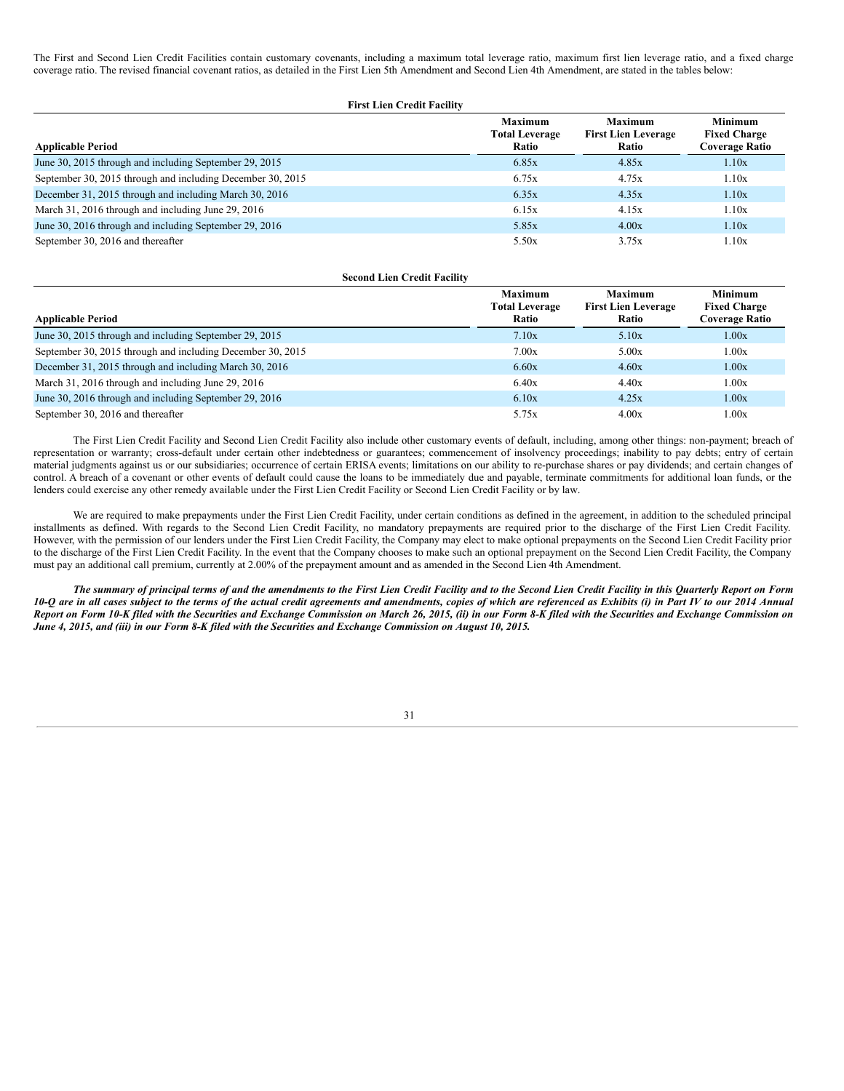The First and Second Lien Credit Facilities contain customary covenants, including a maximum total leverage ratio, maximum first lien leverage ratio, and a fixed charge coverage ratio. The revised financial covenant ratios, as detailed in the First Lien 5th Amendment and Second Lien 4th Amendment, are stated in the tables below:

| <b>First Lien Credit Facility</b>                          |                                                  |                                                       |                                                         |
|------------------------------------------------------------|--------------------------------------------------|-------------------------------------------------------|---------------------------------------------------------|
| <b>Applicable Period</b>                                   | <b>Maximum</b><br><b>Total Leverage</b><br>Ratio | <b>Maximum</b><br><b>First Lien Leverage</b><br>Ratio | <b>Minimum</b><br><b>Fixed Charge</b><br>Coverage Ratio |
| June 30, 2015 through and including September 29, 2015     | 6.85x                                            | 4.85x                                                 | 1.10x                                                   |
| September 30, 2015 through and including December 30, 2015 | 6.75x                                            | 4.75x                                                 | 1.10x                                                   |
| December 31, 2015 through and including March 30, 2016     | 6.35x                                            | 4.35x                                                 | 1.10x                                                   |
| March 31, 2016 through and including June 29, 2016         | 6.15x                                            | 4.15x                                                 | 1.10x                                                   |
| June 30, 2016 through and including September 29, 2016     | 5.85x                                            | 4.00x                                                 | 1.10x                                                   |
| September 30, 2016 and thereafter                          | 5.50x                                            | 3.75x                                                 | 1.10x                                                   |

#### **Second Lien Credit Facility**

| <b>Applicable Period</b>                                   | <b>Maximum</b><br><b>Total Leverage</b><br>Ratio | <b>Maximum</b><br><b>First Lien Leverage</b><br>Ratio | <b>Minimum</b><br><b>Fixed Charge</b><br><b>Coverage Ratio</b> |
|------------------------------------------------------------|--------------------------------------------------|-------------------------------------------------------|----------------------------------------------------------------|
| June 30, 2015 through and including September 29, 2015     | 7.10x                                            | 5.10x                                                 | 1.00x                                                          |
| September 30, 2015 through and including December 30, 2015 | 7.00x                                            | 5.00x                                                 | 1.00x                                                          |
| December 31, 2015 through and including March 30, 2016     | 6.60x                                            | 4.60x                                                 | 1.00x                                                          |
| March 31, 2016 through and including June 29, 2016         | 6.40x                                            | 4.40x                                                 | 1.00x                                                          |
| June 30, 2016 through and including September 29, 2016     | 6.10x                                            | 4.25x                                                 | 1.00x                                                          |
| September 30, 2016 and thereafter                          | 5.75x                                            | 4.00x                                                 | 1.00x                                                          |

The First Lien Credit Facility and Second Lien Credit Facility also include other customary events of default, including, among other things: non-payment; breach of representation or warranty; cross-default under certain other indebtedness or guarantees; commencement of insolvency proceedings; inability to pay debts; entry of certain material judgments against us or our subsidiaries; occurrence of certain ERISA events; limitations on our ability to re-purchase shares or pay dividends; and certain changes of control. A breach of a covenant or other events of default could cause the loans to be immediately due and payable, terminate commitments for additional loan funds, or the lenders could exercise any other remedy available under the First Lien Credit Facility or Second Lien Credit Facility or by law.

We are required to make prepayments under the First Lien Credit Facility, under certain conditions as defined in the agreement, in addition to the scheduled principal installments as defined. With regards to the Second Lien Credit Facility, no mandatory prepayments are required prior to the discharge of the First Lien Credit Facility. However, with the permission of our lenders under the First Lien Credit Facility, the Company may elect to make optional prepayments on the Second Lien Credit Facility prior to the discharge of the First Lien Credit Facility. In the event that the Company chooses to make such an optional prepayment on the Second Lien Credit Facility, the Company must pay an additional call premium, currently at 2.00% of the prepayment amount and as amended in the Second Lien 4th Amendment.

The summary of principal terms of and the amendments to the First Lien Credit Facility and to the Second Lien Credit Facility in this Quarterly Report on Form 10-Q are in all cases subject to the terms of the actual credit agreements and amendments, copies of which are referenced as Exhibits (i) in Part IV to our 2014 Annual Report on Form 10-K filed with the Securities and Exchange Commission on March 26, 2015, (ii) in our Form 8-K filed with the Securities and Exchange Commission on June 4, 2015, and (iii) in our Form 8-K filed with the Securities and Exchange Commission on August 10, 2015.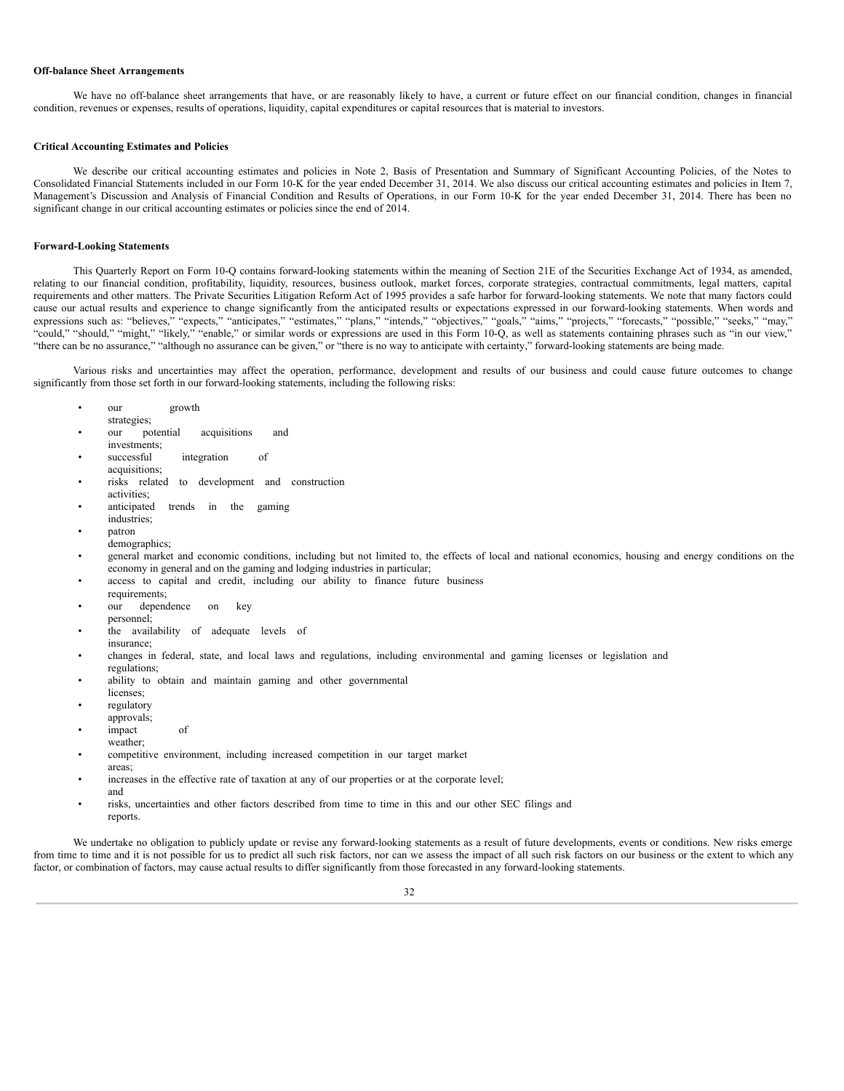#### **Off-balance Sheet Arrangements**

We have no off-balance sheet arrangements that have, or are reasonably likely to have, a current or future effect on our financial condition, changes in financial condition, revenues or expenses, results of operations, liquidity, capital expenditures or capital resources that is material to investors.

#### **Critical Accounting Estimates and Policies**

We describe our critical accounting estimates and policies in Note 2, Basis of Presentation and Summary of Significant Accounting Policies, of the Notes to Consolidated Financial Statements included in our Form 10-K for the year ended December 31, 2014. We also discuss our critical accounting estimates and policies in Item 7, Management's Discussion and Analysis of Financial Condition and Results of Operations, in our Form 10-K for the year ended December 31, 2014. There has been no significant change in our critical accounting estimates or policies since the end of 2014.

#### **Forward-Looking Statements**

This Quarterly Report on Form 10-Q contains forward-looking statements within the meaning of Section 21E of the Securities Exchange Act of 1934, as amended, relating to our financial condition, profitability, liquidity, resources, business outlook, market forces, corporate strategies, contractual commitments, legal matters, capital requirements and other matters. The Private Securities Litigation Reform Act of 1995 provides a safe harbor for forward-looking statements. We note that many factors could cause our actual results and experience to change significantly from the anticipated results or expectations expressed in our forward-looking statements. When words and expressions such as: "believes," "expects," "anticipates," "estimates," "plans," "intends," "objectives," "goals," "aims," "projects," "forecasts," "possible," "seeks," "may," "could," "should," "might," "likely," "enable," or similar words or expressions are used in this Form 10-Q, as well as statements containing phrases such as "in our view," "there can be no assurance," "although no assurance can be given," or "there is no way to anticipate with certainty," forward-looking statements are being made.

Various risks and uncertainties may affect the operation, performance, development and results of our business and could cause future outcomes to change significantly from those set forth in our forward-looking statements, including the following risks:

- our growth
- strategies;
- our potential acquisitions and investments;
- successful integration of
- acquisitions;
- risks related to development and construction activities;
- anticipated trends in the gaming
- industries;
- patron
- demographics;
- general market and economic conditions, including but not limited to, the effects of local and national economics, housing and energy conditions on the economy in general and on the gaming and lodging industries in particular;
- access to capital and credit, including our ability to finance future business
- requirements: our dependence on key
- personnel;
- the availability of adequate levels of insurance;
- changes in federal, state, and local laws and regulations, including environmental and gaming licenses or legislation and regulations;
- ability to obtain and maintain gaming and other governmental
- licenses;
- regulatory
- approvals;
- impact of weather;
- competitive environment, including increased competition in our target market areas;
- increases in the effective rate of taxation at any of our properties or at the corporate level; and
- risks, uncertainties and other factors described from time to time in this and our other SEC filings and reports.

We undertake no obligation to publicly update or revise any forward-looking statements as a result of future developments, events or conditions. New risks emerge from time to time and it is not possible for us to predict all such risk factors, nor can we assess the impact of all such risk factors on our business or the extent to which any factor, or combination of factors, may cause actual results to differ significantly from those forecasted in any forward-looking statements.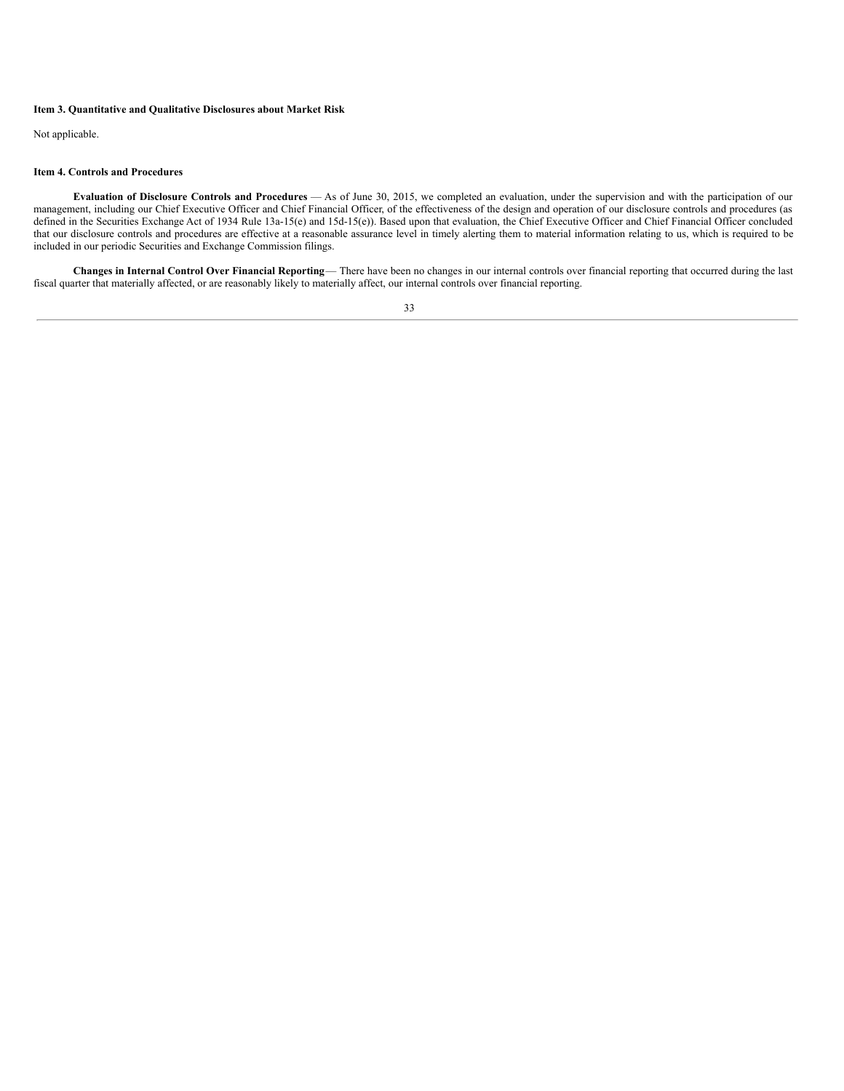#### <span id="page-32-0"></span>**Item 3. Quantitative and Qualitative Disclosures about Market Risk**

<span id="page-32-1"></span>Not applicable.

#### **Item 4. Controls and Procedures**

**Evaluation of Disclosure Controls and Procedures** — As of June 30, 2015, we completed an evaluation, under the supervision and with the participation of our management, including our Chief Executive Officer and Chief Financial Officer, of the effectiveness of the design and operation of our disclosure controls and procedures (as defined in the Securities Exchange Act of 1934 Rule 13a-15(e) and 15d-15(e)). Based upon that evaluation, the Chief Executive Officer and Chief Financial Officer concluded that our disclosure controls and procedures are effective at a reasonable assurance level in timely alerting them to material information relating to us, which is required to be included in our periodic Securities and Exchange Commission filings.

**Changes in Internal Control Over Financial Reporting**— There have been no changes in our internal controls over financial reporting that occurred during the last fiscal quarter that materially affected, or are reasonably likely to materially affect, our internal controls over financial reporting.

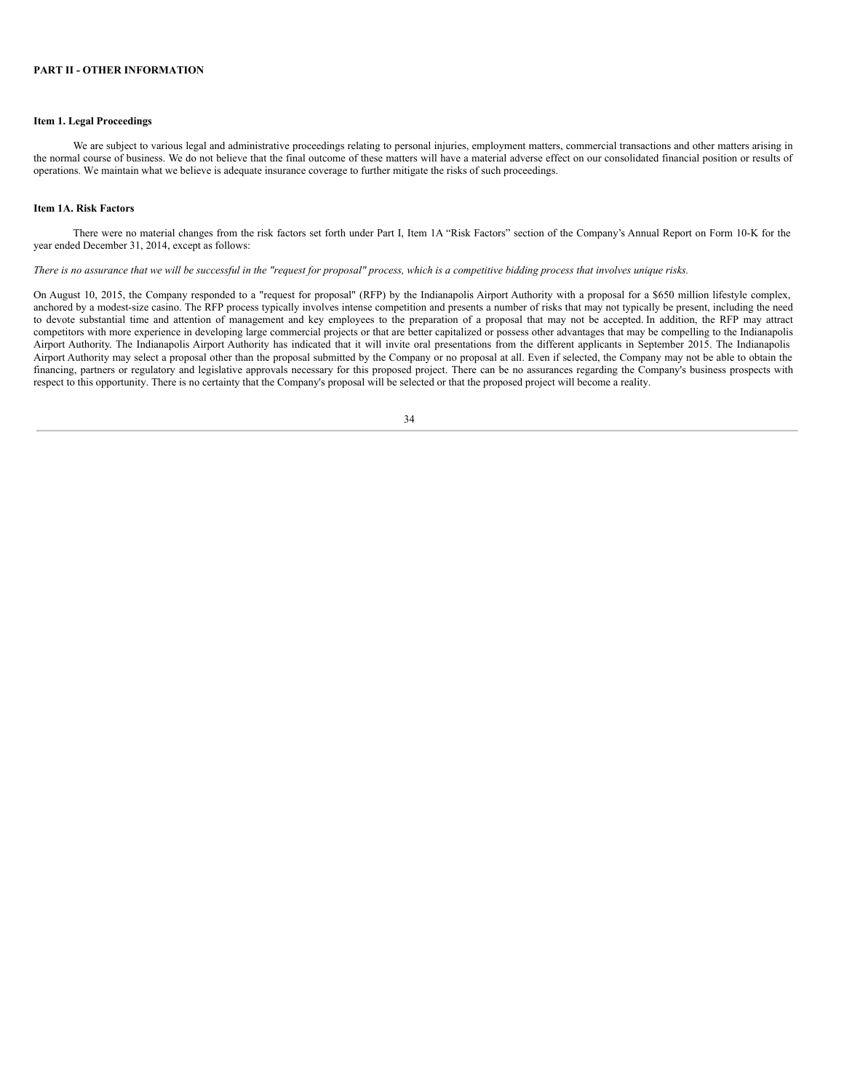### **PART II - OTHER INFORMATION**

#### <span id="page-33-0"></span>**Item 1. Legal Proceedings**

We are subject to various legal and administrative proceedings relating to personal injuries, employment matters, commercial transactions and other matters arising in the normal course of business. We do not believe that the final outcome of these matters will have a material adverse effect on our consolidated financial position or results of operations. We maintain what we believe is adequate insurance coverage to further mitigate the risks of such proceedings.

#### <span id="page-33-1"></span>**Item 1A. Risk Factors**

There were no material changes from the risk factors set forth under Part I, Item 1A "Risk Factors" section of the Company's Annual Report on Form 10-K for the year ended December 31, 2014, except as follows:

There is no assurance that we will be successful in the "request for proposal" process, which is a competitive bidding process that involves unique risks.

On August 10, 2015, the Company responded to a "request for proposal" (RFP) by the Indianapolis Airport Authority with a proposal for a \$650 million lifestyle complex, anchored by a modest-size casino. The RFP process typically involves intense competition and presents a number of risks that may not typically be present, including the need to devote substantial time and attention of management and key employees to the preparation of a proposal that may not be accepted. In addition, the RFP may attract competitors with more experience in developing large commercial projects or that are better capitalized or possess other advantages that may be compelling to the Indianapolis Airport Authority. The Indianapolis Airport Authority has indicated that it will invite oral presentations from the different applicants in September 2015. The Indianapolis Airport Authority may select a proposal other than the proposal submitted by the Company or no proposal at all. Even if selected, the Company may not be able to obtain the financing, partners or regulatory and legislative approvals necessary for this proposed project. There can be no assurances regarding the Company's business prospects with respect to this opportunity. There is no certainty that the Company's proposal will be selected or that the proposed project will become a reality.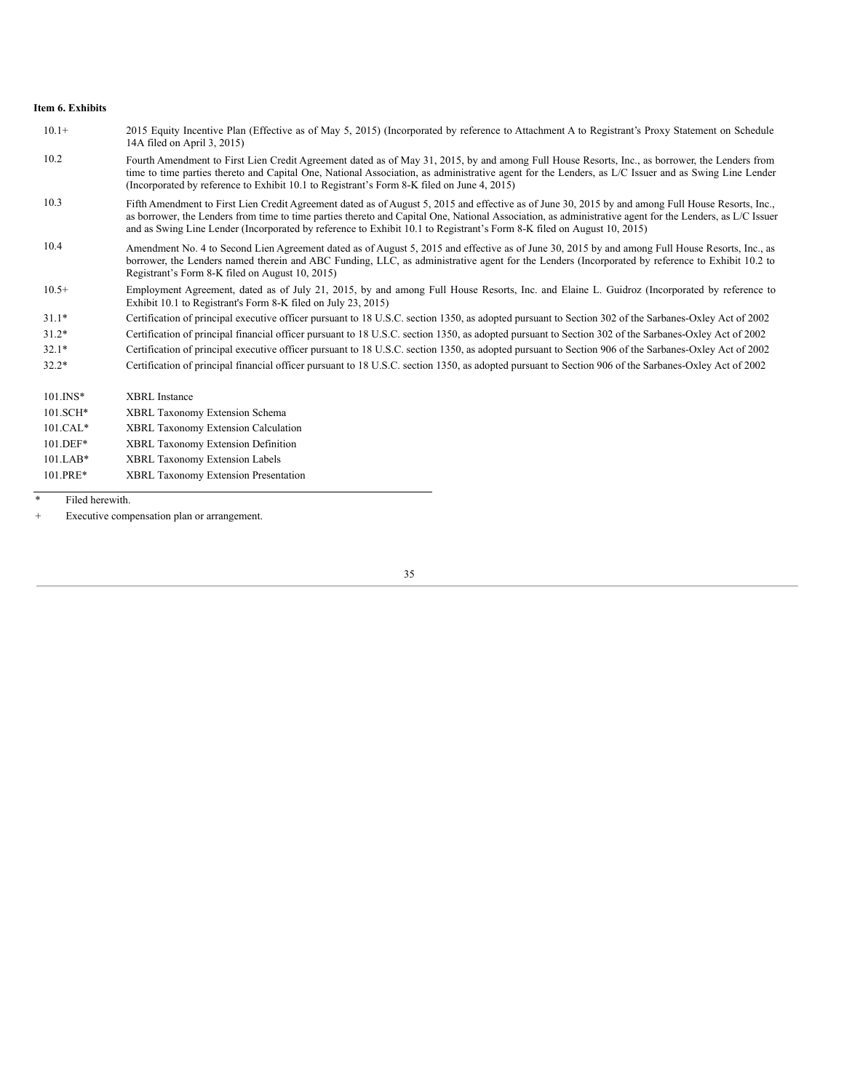#### <span id="page-34-0"></span>**Item 6. Exhibits**

- 10.1+ 2015 Equity Incentive Plan (Effective as of May 5, 2015) (Incorporated by reference to Attachment A to Registrant's Proxy Statement on Schedule 14A filed on April 3, 2015)
- 10.2 Fourth Amendment to First Lien Credit Agreement dated as of May 31, 2015, by and among Full House Resorts, Inc., as borrower, the Lenders from time to time parties thereto and Capital One, National Association, as administrative agent for the Lenders, as L/C Issuer and as Swing Line Lender (Incorporated by reference to Exhibit 10.1 to Registrant's Form 8-K filed on June 4, 2015)
- 10.3 Fifth Amendment to First Lien Credit Agreement dated as of August 5, 2015 and effective as of June 30, 2015 by and among Full House Resorts, Inc., as borrower, the Lenders from time to time parties thereto and Capital One, National Association, as administrative agent for the Lenders, as L/C Issuer and as Swing Line Lender (Incorporated by reference to Exhibit 10.1 to Registrant's Form 8-K filed on August 10, 2015)
- 10.4 Amendment No. 4 to Second Lien Agreement dated as of August 5, 2015 and effective as of June 30, 2015 by and among Full House Resorts, Inc., as borrower, the Lenders named therein and ABC Funding, LLC, as administrative agent for the Lenders (Incorporated by reference to Exhibit 10.2 to Registrant's Form 8-K filed on August 10, 2015)
- 10.5+ Employment Agreement, dated as of July 21, 2015, by and among Full House Resorts, Inc. and Elaine L. Guidroz (Incorporated by reference to Exhibit 10.1 to Registrant's Form 8-K filed on July 23, 2015)
- 31.1\* Certification of principal executive officer pursuant to 18 U.S.C. section 1350, as adopted pursuant to Section 302 of the Sarbanes-Oxley Act of 2002
- 31.2\* Certification of principal financial officer pursuant to 18 U.S.C. section 1350, as adopted pursuant to Section 302 of the Sarbanes-Oxley Act of 2002
- 32.1\* Certification of principal executive officer pursuant to 18 U.S.C. section 1350, as adopted pursuant to Section 906 of the Sarbanes-Oxley Act of 2002 32.2\* Certification of principal financial officer pursuant to 18 U.S.C. section 1350, as adopted pursuant to Section 906 of the Sarbanes-Oxley Act of 2002

| $101.$ INS* | <b>XBRL</b> Instance                  |
|-------------|---------------------------------------|
| $101.SCH*$  | XBRL Taxonomy Extension Schema        |
| $101.CAL*$  | XBRL Taxonomy Extension Calculation   |
| $101.DEF*$  | XBRL Taxonomy Extension Definition    |
| $101.LAB*$  | <b>XBRL Taxonomy Extension Labels</b> |
| 101.PRE*    | XBRL Taxonomy Extension Presentation  |

Filed herewith.

Executive compensation plan or arrangement.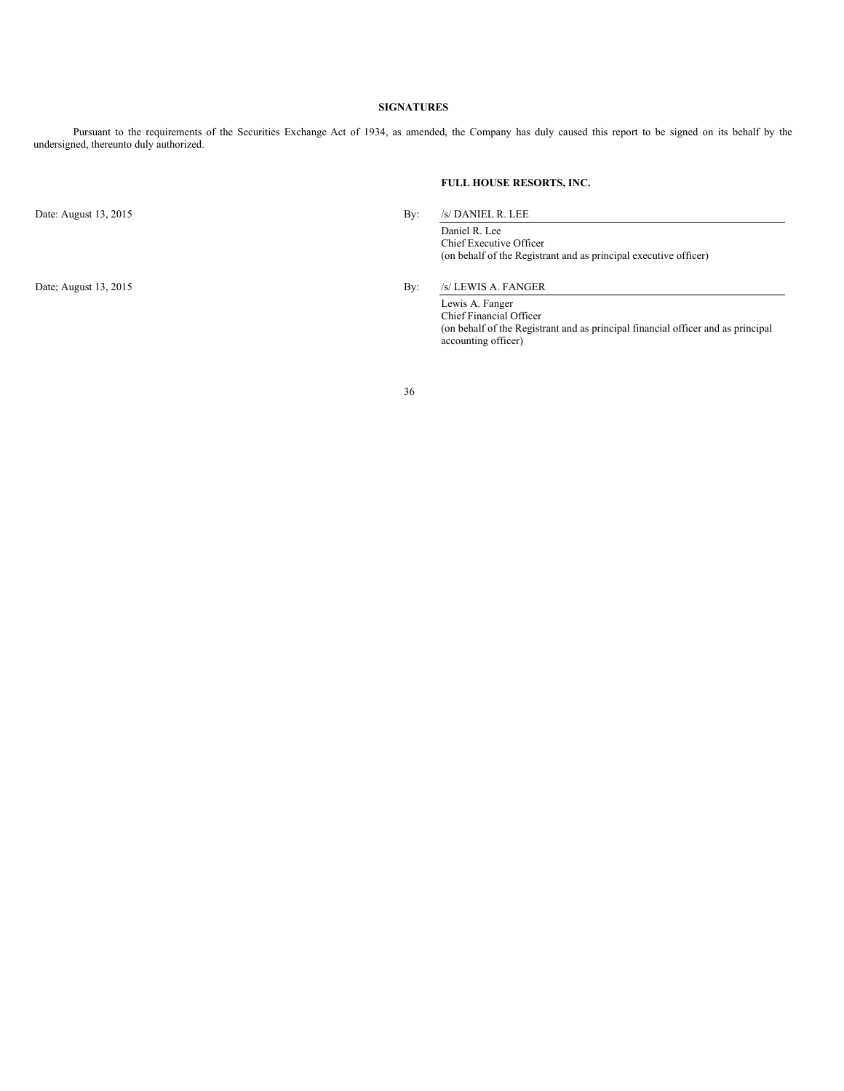# **SIGNATURES**

<span id="page-35-0"></span>Pursuant to the requirements of the Securities Exchange Act of 1934, as amended, the Company has duly caused this report to be signed on its behalf by the undersigned, thereunto duly authorized.

# **FULL HOUSE RESORTS, INC.**

Date: August 13, 2015 By: /s/ DANIEL R. LEE

Daniel R. Lee Chief Executive Officer (on behalf of the Registrant and as principal executive officer)

Date; August 13, 2015 By: /s/ LEWIS A. FANGER

Lewis A. Fanger Chief Financial Officer (on behalf of the Registrant and as principal financial officer and as principal accounting officer)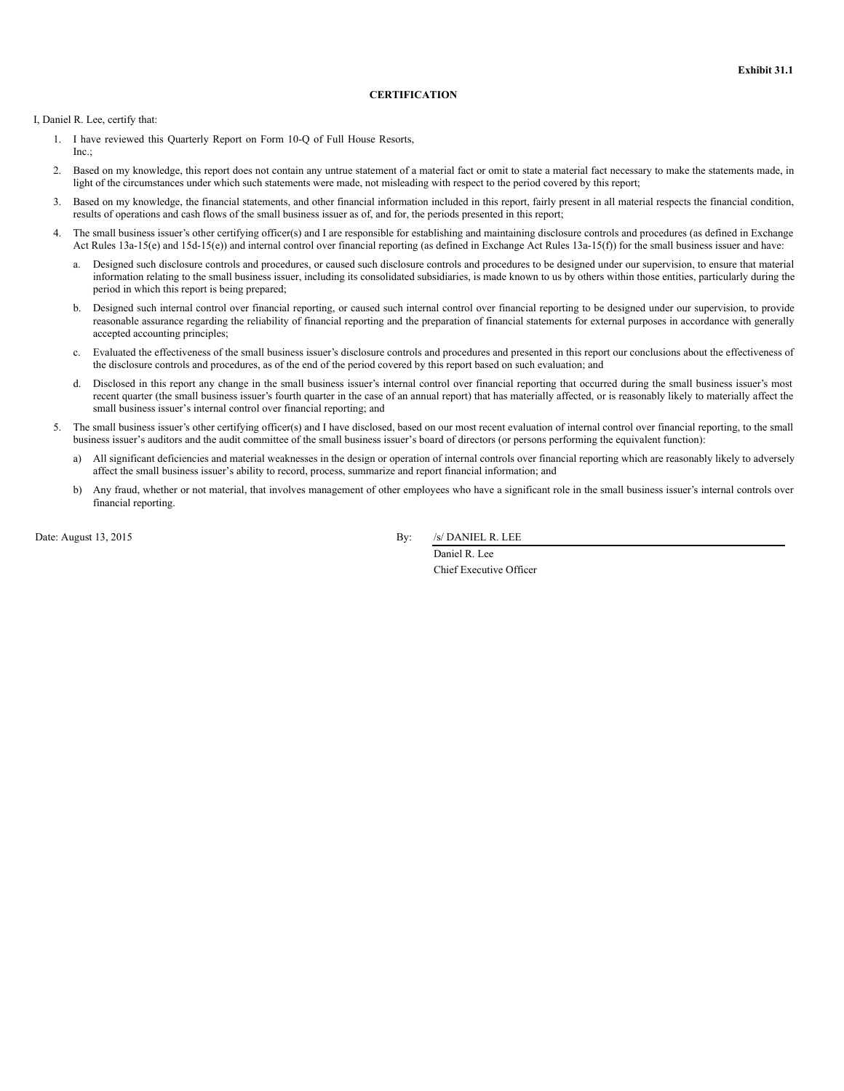#### **CERTIFICATION**

I, Daniel R. Lee, certify that:

- 1. I have reviewed this Quarterly Report on Form 10-Q of Full House Resorts, Inc.;
- 2. Based on my knowledge, this report does not contain any untrue statement of a material fact or omit to state a material fact necessary to make the statements made, in light of the circumstances under which such statements were made, not misleading with respect to the period covered by this report;
- 3. Based on my knowledge, the financial statements, and other financial information included in this report, fairly present in all material respects the financial condition, results of operations and cash flows of the small business issuer as of, and for, the periods presented in this report;
- 4. The small business issuer's other certifying officer(s) and I are responsible for establishing and maintaining disclosure controls and procedures (as defined in Exchange Act Rules 13a-15(e) and 15d-15(e)) and internal control over financial reporting (as defined in Exchange Act Rules 13a-15(f)) for the small business issuer and have:
	- a. Designed such disclosure controls and procedures, or caused such disclosure controls and procedures to be designed under our supervision, to ensure that material information relating to the small business issuer, including its consolidated subsidiaries, is made known to us by others within those entities, particularly during the period in which this report is being prepared;
	- b. Designed such internal control over financial reporting, or caused such internal control over financial reporting to be designed under our supervision, to provide reasonable assurance regarding the reliability of financial reporting and the preparation of financial statements for external purposes in accordance with generally accepted accounting principles;
	- c. Evaluated the effectiveness of the small business issuer's disclosure controls and procedures and presented in this report our conclusions about the effectiveness of the disclosure controls and procedures, as of the end of the period covered by this report based on such evaluation; and
	- d. Disclosed in this report any change in the small business issuer's internal control over financial reporting that occurred during the small business issuer's most recent quarter (the small business issuer's fourth quarter in the case of an annual report) that has materially affected, or is reasonably likely to materially affect the small business issuer's internal control over financial reporting; and
- 5. The small business issuer's other certifying officer(s) and I have disclosed, based on our most recent evaluation of internal control over financial reporting, to the small business issuer's auditors and the audit committee of the small business issuer's board of directors (or persons performing the equivalent function):
	- a) All significant deficiencies and material weaknesses in the design or operation of internal controls over financial reporting which are reasonably likely to adversely affect the small business issuer's ability to record, process, summarize and report financial information; and
	- b) Any fraud, whether or not material, that involves management of other employees who have a significant role in the small business issuer's internal controls over financial reporting.

Date: August 13, 2015 By: /s/ DANIEL R. LEE

Daniel R. Lee Chief Executive Officer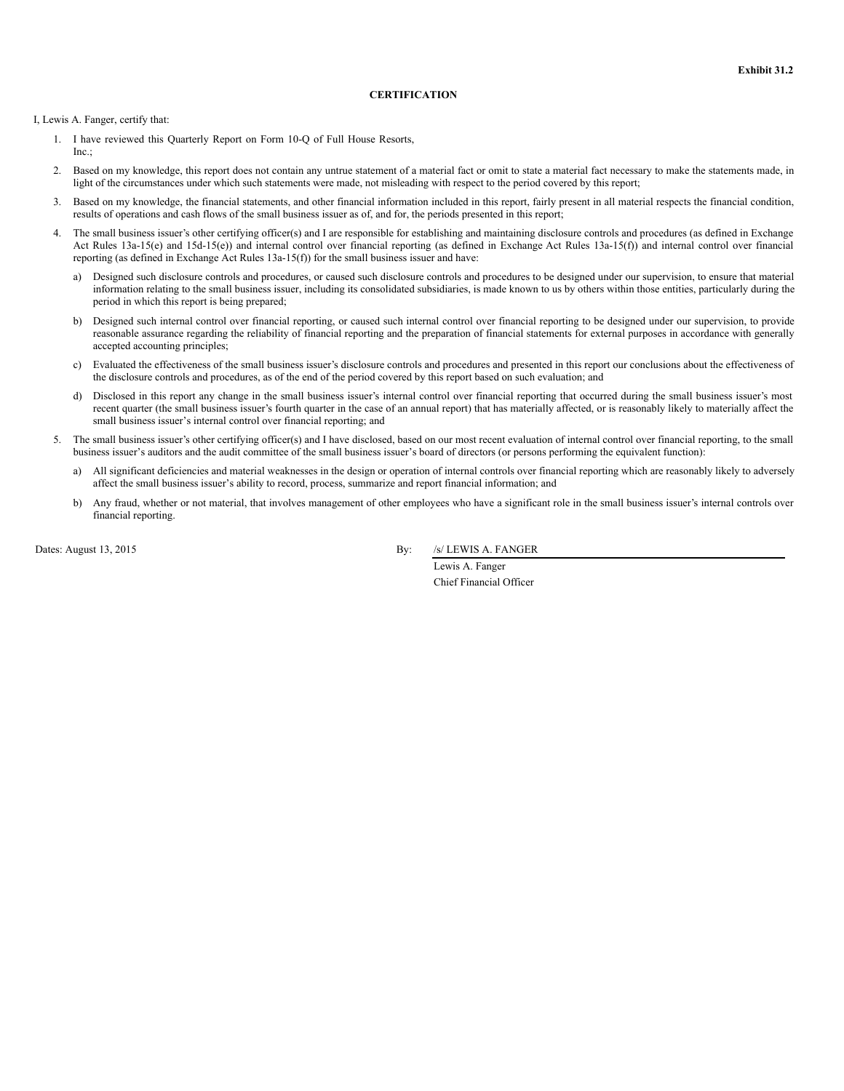#### **CERTIFICATION**

I, Lewis A. Fanger, certify that:

- 1. I have reviewed this Quarterly Report on Form 10-Q of Full House Resorts, Inc.;
- 2. Based on my knowledge, this report does not contain any untrue statement of a material fact or omit to state a material fact necessary to make the statements made, in light of the circumstances under which such statements were made, not misleading with respect to the period covered by this report;
- 3. Based on my knowledge, the financial statements, and other financial information included in this report, fairly present in all material respects the financial condition, results of operations and cash flows of the small business issuer as of, and for, the periods presented in this report;
- 4. The small business issuer's other certifying officer(s) and I are responsible for establishing and maintaining disclosure controls and procedures (as defined in Exchange Act Rules 13a-15(e) and 15d-15(e)) and internal control over financial reporting (as defined in Exchange Act Rules 13a-15(f)) and internal control over financial reporting (as defined in Exchange Act Rules 13a-15(f)) for the small business issuer and have:
	- a) Designed such disclosure controls and procedures, or caused such disclosure controls and procedures to be designed under our supervision, to ensure that material information relating to the small business issuer, including its consolidated subsidiaries, is made known to us by others within those entities, particularly during the period in which this report is being prepared;
	- b) Designed such internal control over financial reporting, or caused such internal control over financial reporting to be designed under our supervision, to provide reasonable assurance regarding the reliability of financial reporting and the preparation of financial statements for external purposes in accordance with generally accepted accounting principles;
	- c) Evaluated the effectiveness of the small business issuer's disclosure controls and procedures and presented in this report our conclusions about the effectiveness of the disclosure controls and procedures, as of the end of the period covered by this report based on such evaluation; and
	- d) Disclosed in this report any change in the small business issuer's internal control over financial reporting that occurred during the small business issuer's most recent quarter (the small business issuer's fourth quarter in the case of an annual report) that has materially affected, or is reasonably likely to materially affect the small business issuer's internal control over financial reporting; and
- 5. The small business issuer's other certifying officer(s) and I have disclosed, based on our most recent evaluation of internal control over financial reporting, to the small business issuer's auditors and the audit committee of the small business issuer's board of directors (or persons performing the equivalent function):
	- a) All significant deficiencies and material weaknesses in the design or operation of internal controls over financial reporting which are reasonably likely to adversely affect the small business issuer's ability to record, process, summarize and report financial information; and
	- b) Any fraud, whether or not material, that involves management of other employees who have a significant role in the small business issuer's internal controls over financial reporting.

Dates: August 13, 2015 By: /s/ LEWIS A. FANGER

Lewis A. Fanger Chief Financial Officer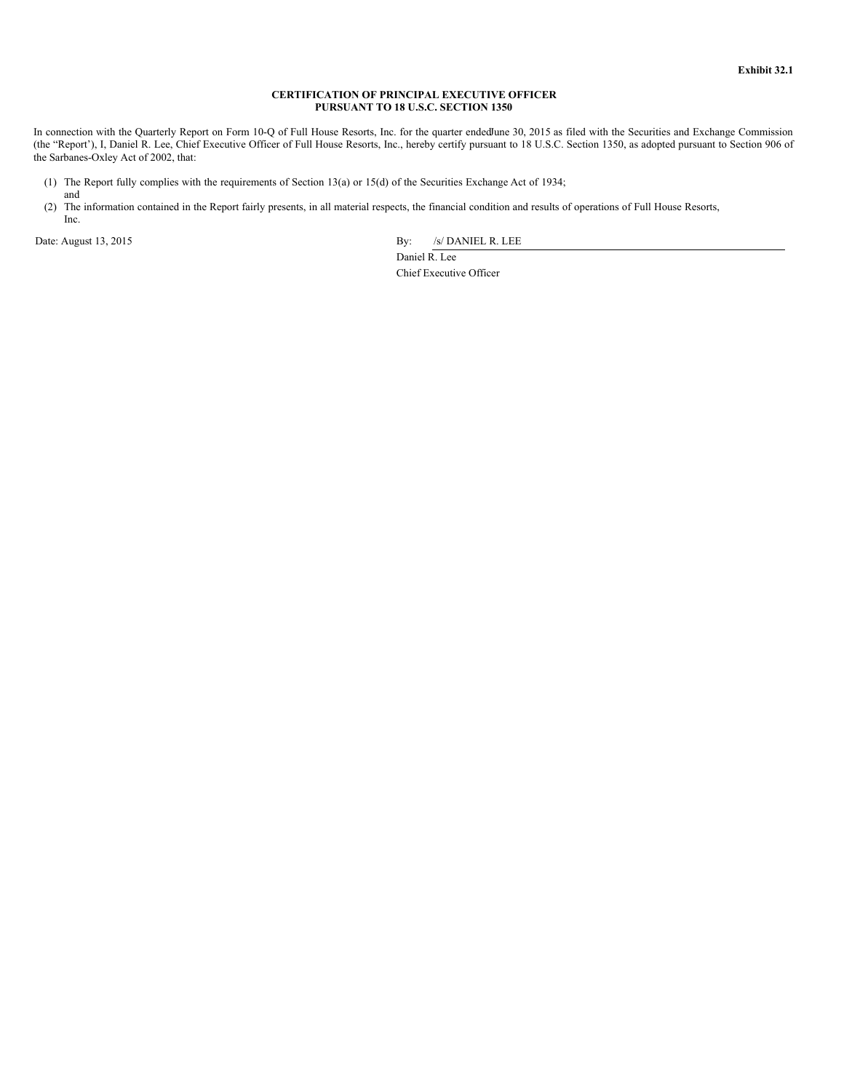#### **CERTIFICATION OF PRINCIPAL EXECUTIVE OFFICER PURSUANT TO 18 U.S.C. SECTION 1350**

In connection with the Quarterly Report on Form 10-Q of Full House Resorts, Inc. for the quarter endedJune 30, 2015 as filed with the Securities and Exchange Commission (the "Report'), I, Daniel R. Lee, Chief Executive Officer of Full House Resorts, Inc., hereby certify pursuant to 18 U.S.C. Section 1350, as adopted pursuant to Section 906 of the Sarbanes-Oxley Act of 2002, that:

- (1) The Report fully complies with the requirements of Section 13(a) or 15(d) of the Securities Exchange Act of 1934; and
- (2) The information contained in the Report fairly presents, in all material respects, the financial condition and results of operations of Full House Resorts, Inc.

Date: August 13, 2015 By: /s/ DANIEL R. LEE Daniel R. Lee Chief Executive Officer